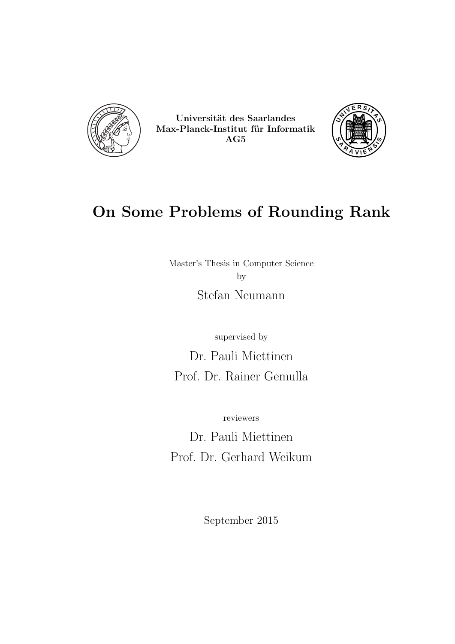

Universität des Saarlandes Max-Planck-Institut für Informatik AG5



# On Some Problems of Rounding Rank

Master's Thesis in Computer Science by Stefan Neumann

supervised by

Dr. Pauli Miettinen Prof. Dr. Rainer Gemulla

reviewers

Dr. Pauli Miettinen Prof. Dr. Gerhard Weikum

September 2015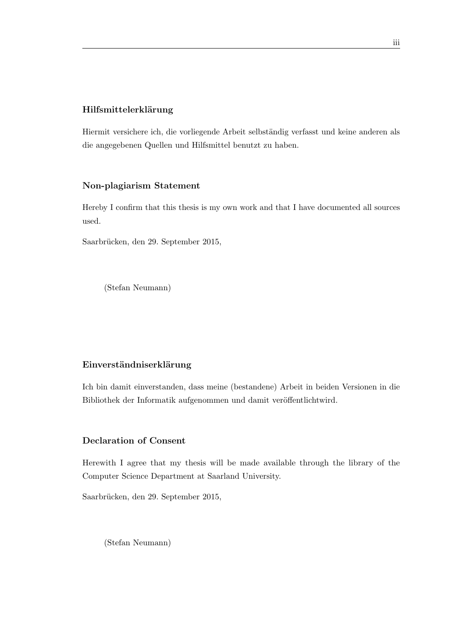### Hilfsmittelerklärung

Hiermit versichere ich, die vorliegende Arbeit selbständig verfasst und keine anderen als die angegebenen Quellen und Hilfsmittel benutzt zu haben.

### Non-plagiarism Statement

Hereby I confirm that this thesis is my own work and that I have documented all sources used.

Saarbrücken, den 29. September 2015,

(Stefan Neumann)

#### Einverständniserklärung

Ich bin damit einverstanden, dass meine (bestandene) Arbeit in beiden Versionen in die Bibliothek der Informatik aufgenommen und damit veröffentlichtwird.

#### Declaration of Consent

Herewith I agree that my thesis will be made available through the library of the Computer Science Department at Saarland University.

Saarbrücken, den 29. September 2015,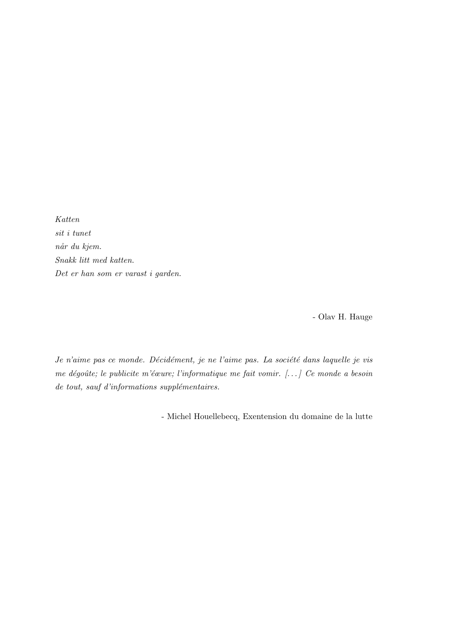Katten sit i tunet når du kjem. Snakk litt med katten. Det er han som er varast i garden.

- Olav H. Hauge

Je n'aime pas ce monde. Décidément, je ne l'aime pas. La société dans laquelle je vis me dégoûte; le publicite m'éœure; l'informatique me fait vomir. [...] Ce monde a besoin  $de$  tout, sauf d'informations supplémentaires.

- Michel Houellebecq, Exentension du domaine de la lutte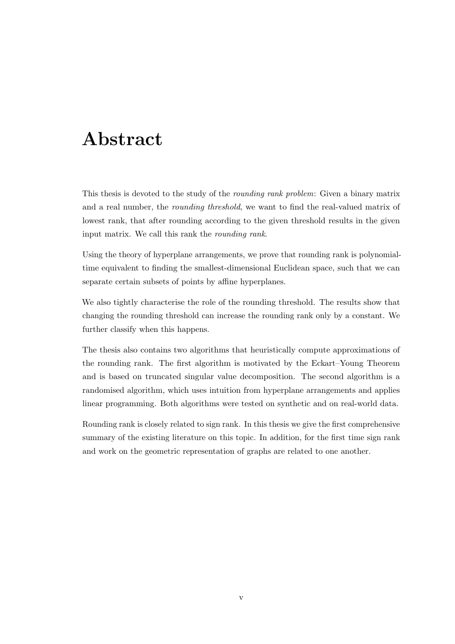# <span id="page-4-0"></span>Abstract

This thesis is devoted to the study of the rounding rank problem: Given a binary matrix and a real number, the rounding threshold, we want to find the real-valued matrix of lowest rank, that after rounding according to the given threshold results in the given input matrix. We call this rank the rounding rank.

Using the theory of hyperplane arrangements, we prove that rounding rank is polynomialtime equivalent to finding the smallest-dimensional Euclidean space, such that we can separate certain subsets of points by affine hyperplanes.

We also tightly characterise the role of the rounding threshold. The results show that changing the rounding threshold can increase the rounding rank only by a constant. We further classify when this happens.

The thesis also contains two algorithms that heuristically compute approximations of the rounding rank. The first algorithm is motivated by the Eckart–Young Theorem and is based on truncated singular value decomposition. The second algorithm is a randomised algorithm, which uses intuition from hyperplane arrangements and applies linear programming. Both algorithms were tested on synthetic and on real-world data.

Rounding rank is closely related to sign rank. In this thesis we give the first comprehensive summary of the existing literature on this topic. In addition, for the first time sign rank and work on the geometric representation of graphs are related to one another.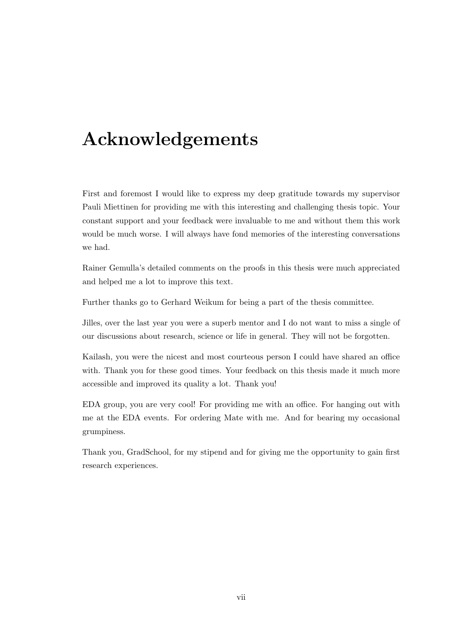# <span id="page-6-0"></span>Acknowledgements

First and foremost I would like to express my deep gratitude towards my supervisor Pauli Miettinen for providing me with this interesting and challenging thesis topic. Your constant support and your feedback were invaluable to me and without them this work would be much worse. I will always have fond memories of the interesting conversations we had.

Rainer Gemulla's detailed comments on the proofs in this thesis were much appreciated and helped me a lot to improve this text.

Further thanks go to Gerhard Weikum for being a part of the thesis committee.

Jilles, over the last year you were a superb mentor and I do not want to miss a single of our discussions about research, science or life in general. They will not be forgotten.

Kailash, you were the nicest and most courteous person I could have shared an office with. Thank you for these good times. Your feedback on this thesis made it much more accessible and improved its quality a lot. Thank you!

EDA group, you are very cool! For providing me with an office. For hanging out with me at the EDA events. For ordering Mate with me. And for bearing my occasional grumpiness.

Thank you, GradSchool, for my stipend and for giving me the opportunity to gain first research experiences.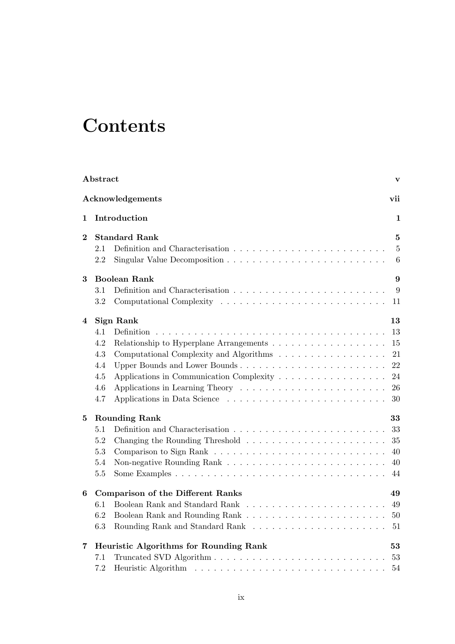# **Contents**

|          | Abstract                               |                                                                                    | $\mathbf{v}$   |  |  |
|----------|----------------------------------------|------------------------------------------------------------------------------------|----------------|--|--|
|          |                                        | Acknowledgements                                                                   | vii            |  |  |
| 1        |                                        | Introduction                                                                       | 1              |  |  |
| $\bf{2}$ | <b>Standard Rank</b>                   |                                                                                    |                |  |  |
|          | 2.1                                    |                                                                                    | $\overline{5}$ |  |  |
|          | 2.2                                    |                                                                                    | 6              |  |  |
| 3        | <b>Boolean Rank</b><br>9               |                                                                                    |                |  |  |
|          | 3.1                                    |                                                                                    | 9              |  |  |
|          | $3.2\,$                                |                                                                                    | 11             |  |  |
| 4        |                                        | Sign Rank                                                                          | 13             |  |  |
|          | 4.1                                    | <b>Definition</b>                                                                  | 13             |  |  |
|          | 4.2                                    |                                                                                    | 15             |  |  |
|          | 4.3                                    | Computational Complexity and Algorithms                                            | 21             |  |  |
|          | 4.4                                    | Upper Bounds and Lower Bounds                                                      | 22             |  |  |
|          | 4.5                                    | Applications in Communication Complexity                                           | 24             |  |  |
|          | 4.6                                    | Applications in Learning Theory $\dots \dots \dots \dots \dots \dots \dots \dots$  | 26             |  |  |
|          | 4.7                                    |                                                                                    | 30             |  |  |
| $\bf{5}$ | <b>Rounding Rank</b><br>33             |                                                                                    |                |  |  |
|          | 5.1                                    |                                                                                    | 33             |  |  |
|          | 5.2                                    |                                                                                    | 35             |  |  |
|          | 5.3                                    |                                                                                    | 40             |  |  |
|          | 5.4                                    |                                                                                    | 40             |  |  |
|          | $5.5\,$                                |                                                                                    | 44             |  |  |
| 6        |                                        | <b>Comparison of the Different Ranks</b>                                           | 49             |  |  |
|          | 6.1                                    |                                                                                    | 49             |  |  |
|          | 6.2                                    |                                                                                    | 50             |  |  |
|          | 6.3                                    | Rounding Rank and Standard Rank $\ldots \ldots \ldots \ldots \ldots \ldots \ldots$ | 51             |  |  |
| 7        | Heuristic Algorithms for Rounding Rank |                                                                                    |                |  |  |
|          | 7.1                                    |                                                                                    | 53             |  |  |
|          | 7.2                                    |                                                                                    | 54             |  |  |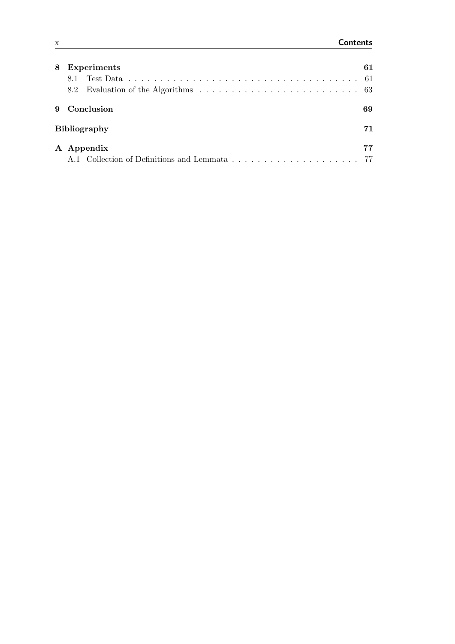| 8 | <b>Experiments</b>                        | 61 |  |
|---|-------------------------------------------|----|--|
|   | 8.1                                       |    |  |
|   |                                           |    |  |
| 9 | Conclusion                                | 69 |  |
|   | <b>Bibliography</b>                       |    |  |
|   | A Appendix                                | 77 |  |
|   | A.1 Collection of Definitions and Lemmata | 77 |  |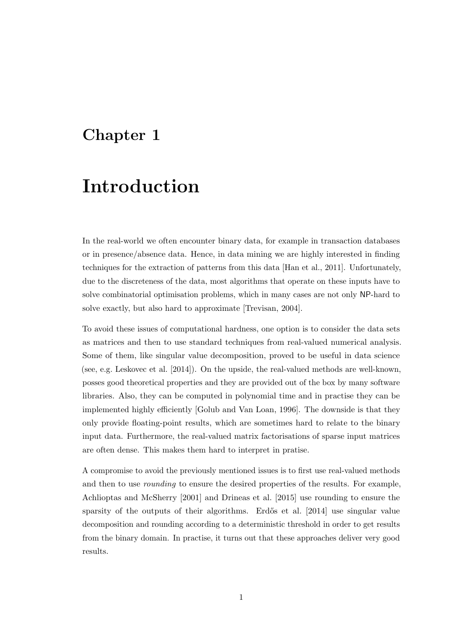## <span id="page-10-0"></span>Chapter 1

# Introduction

In the real-world we often encounter binary data, for example in transaction databases or in presence/absence data. Hence, in data mining we are highly interested in finding techniques for the extraction of patterns from this data [\[Han et al.,](#page-82-0) [2011\]](#page-82-0). Unfortunately, due to the discreteness of the data, most algorithms that operate on these inputs have to solve combinatorial optimisation problems, which in many cases are not only NP-hard to solve exactly, but also hard to approximate [\[Trevisan,](#page-84-0) [2004\]](#page-84-0).

To avoid these issues of computational hardness, one option is to consider the data sets as matrices and then to use standard techniques from real-valued numerical analysis. Some of them, like singular value decomposition, proved to be useful in data science (see, e.g. [Leskovec et al.](#page-83-0) [\[2014\]](#page-83-0)). On the upside, the real-valued methods are well-known, posses good theoretical properties and they are provided out of the box by many software libraries. Also, they can be computed in polynomial time and in practise they can be implemented highly efficiently [\[Golub and Van Loan,](#page-82-1) [1996\]](#page-82-1). The downside is that they only provide floating-point results, which are sometimes hard to relate to the binary input data. Furthermore, the real-valued matrix factorisations of sparse input matrices are often dense. This makes them hard to interpret in pratise.

A compromise to avoid the previously mentioned issues is to first use real-valued methods and then to use rounding to ensure the desired properties of the results. For example, [Achlioptas and McSherry](#page-80-1) [\[2001\]](#page-80-1) and [Drineas et al.](#page-81-0) [\[2015\]](#page-81-0) use rounding to ensure the sparsity of the outputs of their algorithms. Erdős et al. [\[2014\]](#page-81-1) use singular value decomposition and rounding according to a deterministic threshold in order to get results from the binary domain. In practise, it turns out that these approaches deliver very good results.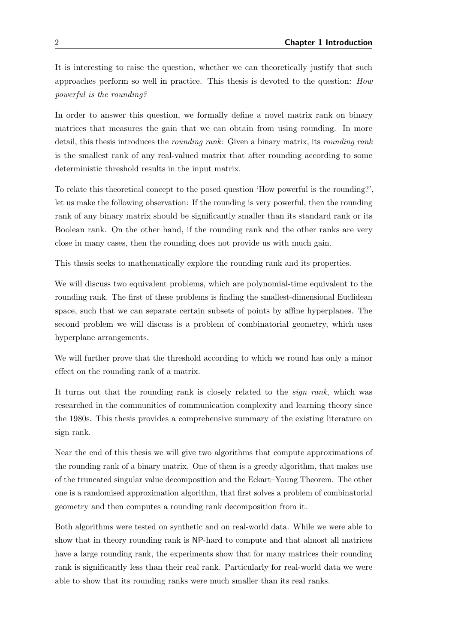It is interesting to raise the question, whether we can theoretically justify that such approaches perform so well in practice. This thesis is devoted to the question: How powerful is the rounding?

In order to answer this question, we formally define a novel matrix rank on binary matrices that measures the gain that we can obtain from using rounding. In more detail, this thesis introduces the rounding rank: Given a binary matrix, its rounding rank is the smallest rank of any real-valued matrix that after rounding according to some deterministic threshold results in the input matrix.

To relate this theoretical concept to the posed question 'How powerful is the rounding?', let us make the following observation: If the rounding is very powerful, then the rounding rank of any binary matrix should be significantly smaller than its standard rank or its Boolean rank. On the other hand, if the rounding rank and the other ranks are very close in many cases, then the rounding does not provide us with much gain.

This thesis seeks to mathematically explore the rounding rank and its properties.

We will discuss two equivalent problems, which are polynomial-time equivalent to the rounding rank. The first of these problems is finding the smallest-dimensional Euclidean space, such that we can separate certain subsets of points by affine hyperplanes. The second problem we will discuss is a problem of combinatorial geometry, which uses hyperplane arrangements.

We will further prove that the threshold according to which we round has only a minor effect on the rounding rank of a matrix.

It turns out that the rounding rank is closely related to the sign rank, which was researched in the communities of communication complexity and learning theory since the 1980s. This thesis provides a comprehensive summary of the existing literature on sign rank.

Near the end of this thesis we will give two algorithms that compute approximations of the rounding rank of a binary matrix. One of them is a greedy algorithm, that makes use of the truncated singular value decomposition and the Eckart–Young Theorem. The other one is a randomised approximation algorithm, that first solves a problem of combinatorial geometry and then computes a rounding rank decomposition from it.

Both algorithms were tested on synthetic and on real-world data. While we were able to show that in theory rounding rank is NP-hard to compute and that almost all matrices have a large rounding rank, the experiments show that for many matrices their rounding rank is significantly less than their real rank. Particularly for real-world data we were able to show that its rounding ranks were much smaller than its real ranks.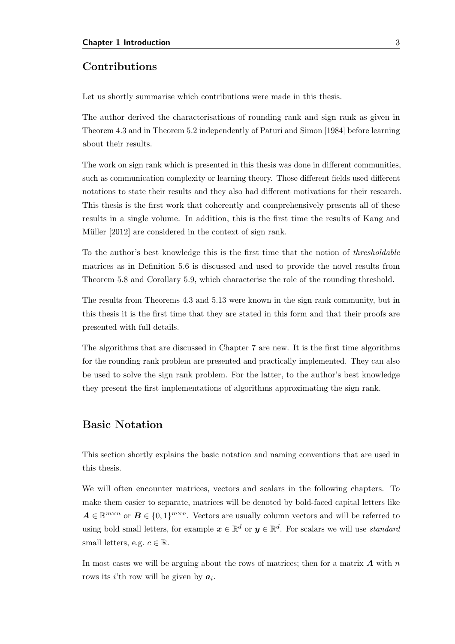### Contributions

Let us shortly summarise which contributions were made in this thesis.

The author derived the characterisations of rounding rank and sign rank as given in Theorem [4.3](#page-28-0) and in Theorem [5.2](#page-44-1) independently of [Paturi and Simon](#page-83-1) [\[1984\]](#page-83-1) before learning about their results.

The work on sign rank which is presented in this thesis was done in different communities, such as communication complexity or learning theory. Those different fields used different notations to state their results and they also had different motivations for their research. This thesis is the first work that coherently and comprehensively presents all of these results in a single volume. In addition, this is the first time the results of [Kang and](#page-82-2) Müller [\[2012\]](#page-82-2) are considered in the context of sign rank.

To the author's best knowledge this is the first time that the notion of thresholdable matrices as in Definition [5.6](#page-46-0) is discussed and used to provide the novel results from Theorem [5.8](#page-47-0) and Corollary [5.9,](#page-48-0) which characterise the role of the rounding threshold.

The results from Theorems [4.3](#page-28-0) and [5.13](#page-50-0) were known in the sign rank community, but in this thesis it is the first time that they are stated in this form and that their proofs are presented with full details.

The algorithms that are discussed in Chapter [7](#page-62-0) are new. It is the first time algorithms for the rounding rank problem are presented and practically implemented. They can also be used to solve the sign rank problem. For the latter, to the author's best knowledge they present the first implementations of algorithms approximating the sign rank.

### Basic Notation

This section shortly explains the basic notation and naming conventions that are used in this thesis.

We will often encounter matrices, vectors and scalars in the following chapters. To make them easier to separate, matrices will be denoted by bold-faced capital letters like  $A \in \mathbb{R}^{m \times n}$  or  $B \in \{0,1\}^{m \times n}$ . Vectors are usually column vectors and will be referred to using bold small letters, for example  $x \in \mathbb{R}^d$  or  $y \in \mathbb{R}^d$ . For scalars we will use *standard* small letters, e.g.  $c \in \mathbb{R}$ .

In most cases we will be arguing about the rows of matrices; then for a matrix  $\boldsymbol{A}$  with  $n$ rows its *i*'th row will be given by  $a_i$ .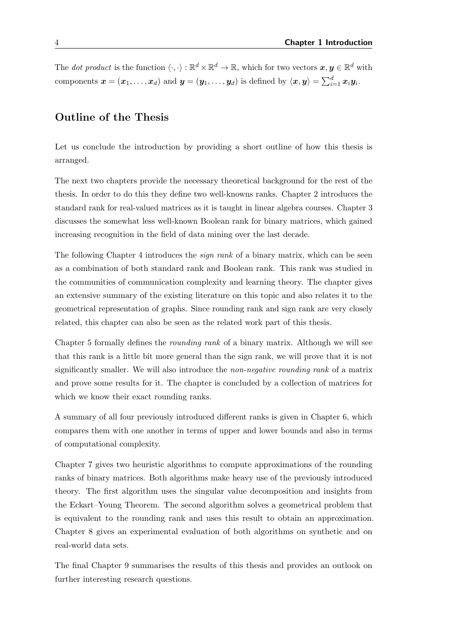The *dot product* is the function  $\langle \cdot, \cdot \rangle : \mathbb{R}^d \times \mathbb{R}^d \to \mathbb{R}$ , which for two vectors  $x, y \in \mathbb{R}^d$  with components  $\bm{x} = (\bm{x}_1, \ldots, \bm{x}_d)$  and  $\bm{y} = (\bm{y}_1, \ldots, \bm{y}_d)$  is defined by  $\langle \bm{x}, \bm{y} \rangle = \sum_{i=1}^d \bm{x}_i \bm{y}_i$ .

### Outline of the Thesis

Let us conclude the introduction by providing a short outline of how this thesis is arranged.

The next two chapters provide the necessary theoretical background for the rest of the thesis. In order to do this they define two well-knowns ranks. Chapter [2](#page-14-0) introduces the standard rank for real-valued matrices as it is taught in linear algebra courses. Chapter [3](#page-18-0) discusses the somewhat less well-known Boolean rank for binary matrices, which gained increasing recognition in the field of data mining over the last decade.

The following Chapter [4](#page-22-0) introduces the *sign rank* of a binary matrix, which can be seen as a combination of both standard rank and Boolean rank. This rank was studied in the communities of communication complexity and learning theory. The chapter gives an extensive summary of the existing literature on this topic and also relates it to the geometrical representation of graphs. Since rounding rank and sign rank are very closely related, this chapter can also be seen as the related work part of this thesis.

Chapter [5](#page-42-0) formally defines the rounding rank of a binary matrix. Although we will see that this rank is a little bit more general than the sign rank, we will prove that it is not significantly smaller. We will also introduce the *non-negative rounding rank* of a matrix and prove some results for it. The chapter is concluded by a collection of matrices for which we know their exact rounding ranks.

A summary of all four previously introduced different ranks is given in Chapter [6,](#page-58-0) which compares them with one another in terms of upper and lower bounds and also in terms of computational complexity.

Chapter [7](#page-62-0) gives two heuristic algorithms to compute approximations of the rounding ranks of binary matrices. Both algorithms make heavy use of the previously introduced theory. The first algorithm uses the singular value decomposition and insights from the Eckart–Young Theorem. The second algorithm solves a geometrical problem that is equivalent to the rounding rank and uses this result to obtain an approximation. Chapter [8](#page-70-0) gives an experimental evaluation of both algorithms on synthetic and on real-world data sets.

The final Chapter [9](#page-78-0) summarises the results of this thesis and provides an outlook on further interesting research questions.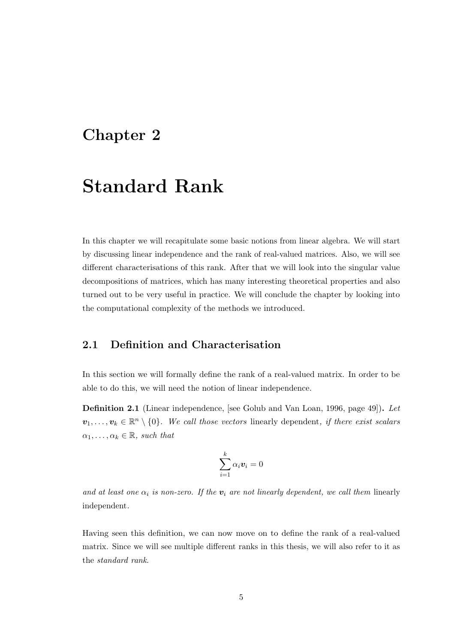## <span id="page-14-0"></span>Chapter 2

# Standard Rank

In this chapter we will recapitulate some basic notions from linear algebra. We will start by discussing linear independence and the rank of real-valued matrices. Also, we will see different characterisations of this rank. After that we will look into the singular value decompositions of matrices, which has many interesting theoretical properties and also turned out to be very useful in practice. We will conclude the chapter by looking into the computational complexity of the methods we introduced.

## <span id="page-14-1"></span>2.1 Definition and Characterisation

In this section we will formally define the rank of a real-valued matrix. In order to be able to do this, we will need the notion of linear independence.

Definition 2.1 (Linear independence, [see [Golub and Van Loan,](#page-82-1) [1996,](#page-82-1) page 49]). Let  $v_1, \ldots, v_k \in \mathbb{R}^n \setminus \{0\}$ . We call those vectors linearly dependent, if there exist scalars  $\alpha_1, \ldots, \alpha_k \in \mathbb{R}$ , such that

$$
\sum_{i=1}^k \alpha_i \boldsymbol{v}_i = 0
$$

and at least one  $\alpha_i$  is non-zero. If the  $v_i$  are not linearly dependent, we call them linearly independent.

Having seen this definition, we can now move on to define the rank of a real-valued matrix. Since we will see multiple different ranks in this thesis, we will also refer to it as the standard rank.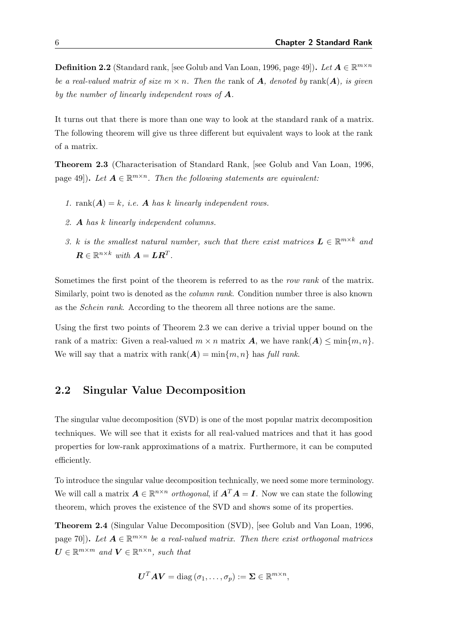**Definition 2.2** (Standard rank, [see [Golub and Van Loan,](#page-82-1) [1996,](#page-82-1) page 49]). Let  $A \in \mathbb{R}^{m \times n}$ be a real-valued matrix of size  $m \times n$ . Then the rank of **A**, denoted by rank(**A**), is given by the number of linearly independent rows of  $\boldsymbol{A}$ .

It turns out that there is more than one way to look at the standard rank of a matrix. The following theorem will give us three different but equivalent ways to look at the rank of a matrix.

<span id="page-15-1"></span>Theorem 2.3 (Characterisation of Standard Rank, [see [Golub and Van Loan,](#page-82-1) [1996,](#page-82-1) page 49]). Let  $A \in \mathbb{R}^{m \times n}$ . Then the following statements are equivalent:

- 1. rank $(A) = k$ , *i.e.* A has k linearly independent rows.
- 2. A has k linearly independent columns.
- 3. k is the smallest natural number, such that there exist matrices  $\mathbf{L} \in \mathbb{R}^{m \times k}$  and  $\boldsymbol{R} \in \mathbb{R}^{n \times k}$  with  $\boldsymbol{A} = \boldsymbol{L} \boldsymbol{R}^T$ .

Sometimes the first point of the theorem is referred to as the row rank of the matrix. Similarly, point two is denoted as the *column rank*. Condition number three is also known as the Schein rank. According to the theorem all three notions are the same.

Using the first two points of Theorem [2.3](#page-15-1) we can derive a trivial upper bound on the rank of a matrix: Given a real-valued  $m \times n$  matrix  $\mathbf{A}$ , we have rank $(\mathbf{A}) \leq \min\{m, n\}$ . We will say that a matrix with rank $(A) = \min\{m, n\}$  has full rank.

## <span id="page-15-0"></span>2.2 Singular Value Decomposition

The singular value decomposition (SVD) is one of the most popular matrix decomposition techniques. We will see that it exists for all real-valued matrices and that it has good properties for low-rank approximations of a matrix. Furthermore, it can be computed efficiently.

To introduce the singular value decomposition technically, we need some more terminology. We will call a matrix  $\mathbf{A} \in \mathbb{R}^{n \times n}$  orthogonal, if  $\mathbf{A}^T \mathbf{A} = \mathbf{I}$ . Now we can state the following theorem, which proves the existence of the SVD and shows some of its properties.

<span id="page-15-2"></span>Theorem 2.4 (Singular Value Decomposition (SVD), [see [Golub and Van Loan,](#page-82-1) [1996,](#page-82-1) page 70]). Let  $A \in \mathbb{R}^{m \times n}$  be a real-valued matrix. Then there exist orthogonal matrices  $\boldsymbol{U} \in \mathbb{R}^{m \times m}$  and  $\boldsymbol{V} \in \mathbb{R}^{n \times n}$ , such that

$$
\boldsymbol{U}^T \boldsymbol{A} \boldsymbol{V} = \text{diag}(\sigma_1, \dots, \sigma_p) := \boldsymbol{\Sigma} \in \mathbb{R}^{m \times n},
$$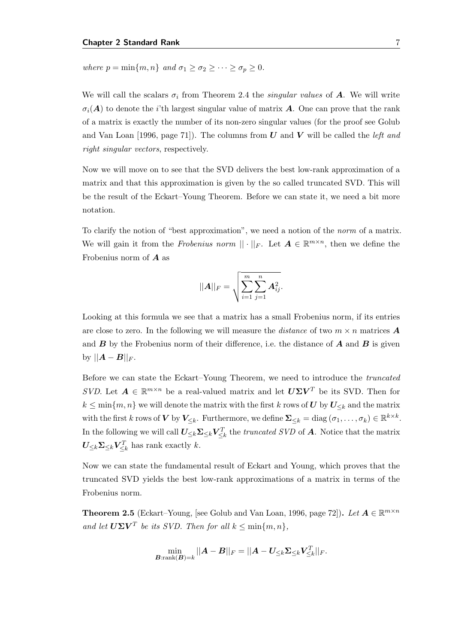where  $p = \min\{m, n\}$  and  $\sigma_1 \geq \sigma_2 \geq \cdots \geq \sigma_p \geq 0$ .

We will call the scalars  $\sigma_i$  from Theorem [2.4](#page-15-2) the *singular values* of **A**. We will write  $\sigma_i(A)$  to denote the *i*'th largest singular value of matrix A. One can prove that the rank of a matrix is exactly the number of its non-zero singular values (for the proof see [Golub](#page-82-1) [and Van Loan](#page-82-1) [\[1996,](#page-82-1) page 71]). The columns from  $U$  and  $V$  will be called the *left and* right singular vectors, respectively.

Now we will move on to see that the SVD delivers the best low-rank approximation of a matrix and that this approximation is given by the so called truncated SVD. This will be the result of the Eckart–Young Theorem. Before we can state it, we need a bit more notation.

To clarify the notion of "best approximation", we need a notion of the norm of a matrix. We will gain it from the *Frobenius norm*  $|| \cdot ||_F$ . Let  $\mathbf{A} \in \mathbb{R}^{m \times n}$ , then we define the Frobenius norm of A as

$$
||A||_F = \sqrt{\sum_{i=1}^m \sum_{j=1}^n A_{ij}^2}.
$$

Looking at this formula we see that a matrix has a small Frobenius norm, if its entries are close to zero. In the following we will measure the *distance* of two  $m \times n$  matrices **A** and  $\bm{B}$  by the Frobenius norm of their difference, i.e. the distance of  $\bm{A}$  and  $\bm{B}$  is given by  $||\boldsymbol{A}-\boldsymbol{B}||_F$ .

Before we can state the Eckart–Young Theorem, we need to introduce the truncated SVD. Let  $A \in \mathbb{R}^{m \times n}$  be a real-valued matrix and let  $U\Sigma V^T$  be its SVD. Then for  $k \leq \min\{m, n\}$  we will denote the matrix with the first k rows of U by  $U_{\leq k}$  and the matrix with the first k rows of V by  $V_{\leq k}$ . Furthermore, we define  $\Sigma_{\leq k} = \text{diag}(\sigma_1, \dots, \sigma_k) \in \mathbb{R}^{k \times k}$ . In the following we will call  $U_{\leq k} \Sigma_{\leq k} V_{\leq k}^T$  the *truncated SVD* of A. Notice that the matrix  $U_{\leq k} \Sigma_{\leq k} V_{\leq k}^T$  has rank exactly k.

Now we can state the fundamental result of Eckart and Young, which proves that the truncated SVD yields the best low-rank approximations of a matrix in terms of the Frobenius norm.

**Theorem 2.5** (Eckart–Young, [see [Golub and Van Loan,](#page-82-1) [1996,](#page-82-1) page 72]). Let  $A \in \mathbb{R}^{m \times n}$ and let  $U\Sigma V^T$  be its SVD. Then for all  $k \leq \min\{m, n\}$ ,

$$
\min_{\boldsymbol{B}:\mathrm{rank}(\boldsymbol{B})=k}||\boldsymbol{A}-\boldsymbol{B}||_F=||\boldsymbol{A}-\boldsymbol{U}_{\le k}\boldsymbol{\Sigma}_{\le k}\boldsymbol{V}_{\le k}^T||_F.
$$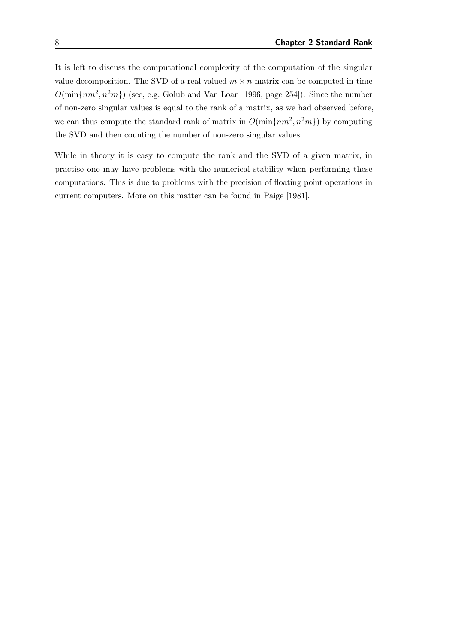It is left to discuss the computational complexity of the computation of the singular value decomposition. The SVD of a real-valued  $m \times n$  matrix can be computed in time  $O(\min\{nm^2, n^2m\})$  (see, e.g. [Golub and Van Loan](#page-82-1) [\[1996,](#page-82-1) page 254]). Since the number of non-zero singular values is equal to the rank of a matrix, as we had observed before, we can thus compute the standard rank of matrix in  $O(\min\{nm^2, n^2m\})$  by computing the SVD and then counting the number of non-zero singular values.

While in theory it is easy to compute the rank and the SVD of a given matrix, in practise one may have problems with the numerical stability when performing these computations. This is due to problems with the precision of floating point operations in current computers. More on this matter can be found in [Paige](#page-83-2) [\[1981\]](#page-83-2).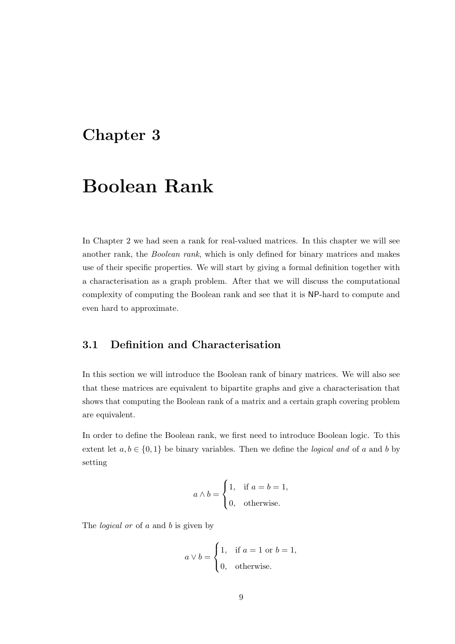# <span id="page-18-0"></span>Chapter 3

# Boolean Rank

In Chapter [2](#page-14-0) we had seen a rank for real-valued matrices. In this chapter we will see another rank, the Boolean rank, which is only defined for binary matrices and makes use of their specific properties. We will start by giving a formal definition together with a characterisation as a graph problem. After that we will discuss the computational complexity of computing the Boolean rank and see that it is NP-hard to compute and even hard to approximate.

## <span id="page-18-1"></span>3.1 Definition and Characterisation

In this section we will introduce the Boolean rank of binary matrices. We will also see that these matrices are equivalent to bipartite graphs and give a characterisation that shows that computing the Boolean rank of a matrix and a certain graph covering problem are equivalent.

In order to define the Boolean rank, we first need to introduce Boolean logic. To this extent let  $a, b \in \{0, 1\}$  be binary variables. Then we define the *logical and* of a and b by setting

$$
a \wedge b = \begin{cases} 1, & \text{if } a = b = 1, \\ 0, & \text{otherwise.} \end{cases}
$$

The *logical* or of a and b is given by

$$
a \vee b = \begin{cases} 1, & \text{if } a = 1 \text{ or } b = 1, \\ 0, & \text{otherwise.} \end{cases}
$$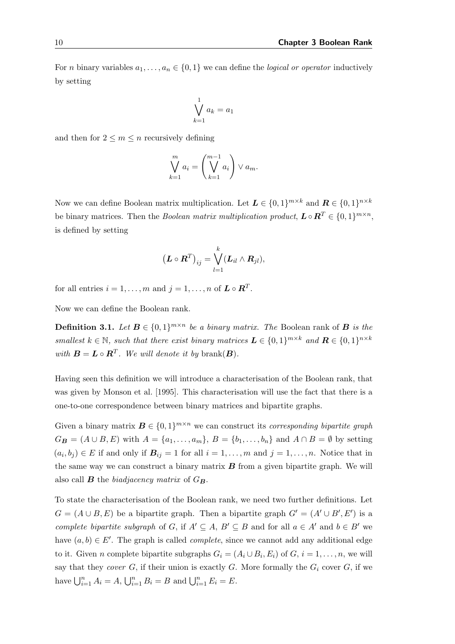For *n* binary variables  $a_1, \ldots, a_n \in \{0, 1\}$  we can define the *logical or operator* inductively by setting

$$
\bigvee_{k=1}^{1} a_k = a_1
$$

and then for  $2 \leq m \leq n$  recursively defining

$$
\bigvee_{k=1}^{m} a_i = \left(\bigvee_{k=1}^{m-1} a_i\right) \vee a_m.
$$

Now we can define Boolean matrix multiplication. Let  $\mathbf{L} \in \{0,1\}^{m \times k}$  and  $\mathbf{R} \in \{0,1\}^{n \times k}$ be binary matrices. Then the *Boolean matrix multiplication product*,  $\mathbf{L} \circ \mathbf{R}^T \in \{0, 1\}^{m \times n}$ , is defined by setting

$$
\left(\boldsymbol{L}\circ\boldsymbol{R}^T\right)_{ij}=\bigvee_{l=1}^k(\boldsymbol{L}_{il}\wedge\boldsymbol{R}_{jl}),
$$

for all entries  $i = 1, ..., m$  and  $j = 1, ..., n$  of  $\mathbf{L} \circ \mathbf{R}^T$ .

Now we can define the Boolean rank.

**Definition 3.1.** Let  $B \in \{0,1\}^{m \times n}$  be a binary matrix. The Boolean rank of  $B$  is the smallest  $k \in \mathbb{N}$ , such that there exist binary matrices  $\mathbf{L} \in \{0,1\}^{m \times k}$  and  $\mathbf{R} \in \{0,1\}^{n \times k}$ with  $\mathbf{B} = \mathbf{L} \circ \mathbf{R}^T$ . We will denote it by brank $(\mathbf{B})$ .

Having seen this definition we will introduce a characterisation of the Boolean rank, that was given by [Monson et al.](#page-83-3) [\[1995\]](#page-83-3). This characterisation will use the fact that there is a one-to-one correspondence between binary matrices and bipartite graphs.

Given a binary matrix  $\mathbf{B} \in \{0,1\}^{m \times n}$  we can construct its *corresponding bipartite graph*  $G_{\mathbf{B}} = (A \cup B, E)$  with  $A = \{a_1, \ldots, a_m\}, B = \{b_1, \ldots, b_n\}$  and  $A \cap B = \emptyset$  by setting  $(a_i, b_j) \in E$  if and only if  $B_{ij} = 1$  for all  $i = 1, \ldots, m$  and  $j = 1, \ldots, n$ . Notice that in the same way we can construct a binary matrix  $\boldsymbol{B}$  from a given bipartite graph. We will also call **B** the biadjacency matrix of  $G_{\bf{B}}$ .

To state the characterisation of the Boolean rank, we need two further definitions. Let  $G = (A \cup B, E)$  be a bipartite graph. Then a bipartite graph  $G' = (A' \cup B', E')$  is a complete bipartite subgraph of G, if  $A' \subseteq A$ ,  $B' \subseteq B$  and for all  $a \in A'$  and  $b \in B'$  we have  $(a, b) \in E'$ . The graph is called *complete*, since we cannot add any additional edge to it. Given *n* complete bipartite subgraphs  $G_i = (A_i \cup B_i, E_i)$  of  $G, i = 1, ..., n$ , we will say that they cover  $G$ , if their union is exactly  $G$ . More formally the  $G_i$  cover  $G$ , if we have  $\bigcup_{i=1}^{n} A_i = A, \bigcup_{i=1}^{n} B_i = B$  and  $\bigcup_{i=1}^{n} E_i = E$ .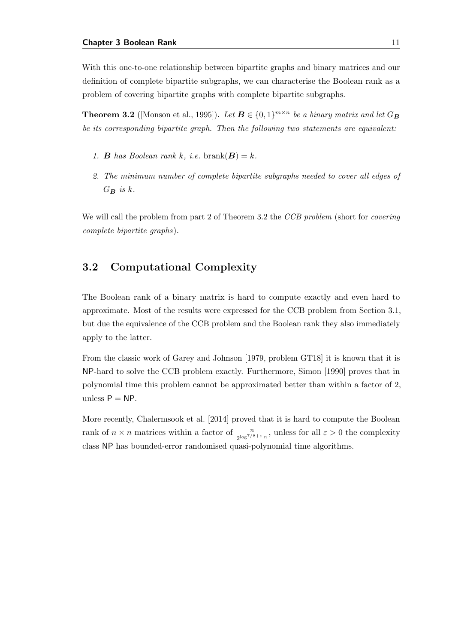With this one-to-one relationship between bipartite graphs and binary matrices and our definition of complete bipartite subgraphs, we can characterise the Boolean rank as a problem of covering bipartite graphs with complete bipartite subgraphs.

<span id="page-20-1"></span>**Theorem 3.2** ([\[Monson et al.,](#page-83-3) [1995\]](#page-83-3)). Let  $\mathbf{B} \in \{0, 1\}^{m \times n}$  be a binary matrix and let  $G_{\mathbf{B}}$ be its corresponding bipartite graph. Then the following two statements are equivalent:

- 1. **B** has Boolean rank k, i.e. brank $(B) = k$ .
- 2. The minimum number of complete bipartite subgraphs needed to cover all edges of  $G_B$  is k.

We will call the problem from part 2 of Theorem [3.2](#page-20-1) the *CCB problem* (short for *covering* complete bipartite graphs).

## <span id="page-20-0"></span>3.2 Computational Complexity

The Boolean rank of a binary matrix is hard to compute exactly and even hard to approximate. Most of the results were expressed for the CCB problem from Section [3.1,](#page-18-1) but due the equivalence of the CCB problem and the Boolean rank they also immediately apply to the latter.

From the classic work of [Garey and Johnson](#page-82-3) [\[1979,](#page-82-3) problem GT18] it is known that it is NP-hard to solve the CCB problem exactly. Furthermore, [Simon](#page-84-1) [\[1990\]](#page-84-1) proves that in polynomial time this problem cannot be approximated better than within a factor of 2, unless  $P = NP$ .

More recently, [Chalermsook et al.](#page-81-2) [\[2014\]](#page-81-2) proved that it is hard to compute the Boolean rank of  $n \times n$  matrices within a factor of  $\frac{n}{2^{\log^{7/8+\varepsilon} n}}$ , unless for all  $\varepsilon > 0$  the complexity class NP has bounded-error randomised quasi-polynomial time algorithms.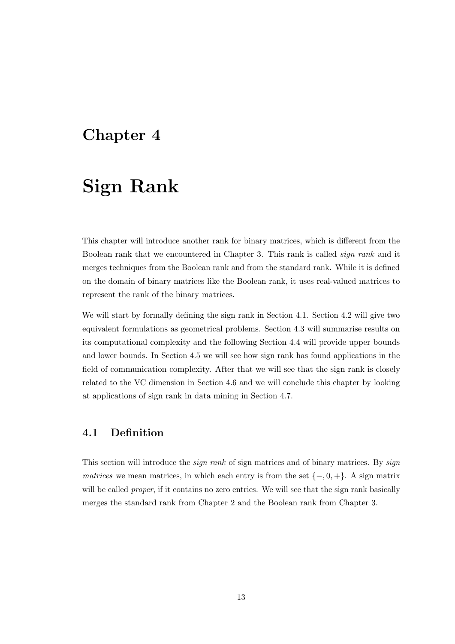## <span id="page-22-0"></span>Chapter 4

# Sign Rank

This chapter will introduce another rank for binary matrices, which is different from the Boolean rank that we encountered in Chapter [3.](#page-18-0) This rank is called sign rank and it merges techniques from the Boolean rank and from the standard rank. While it is defined on the domain of binary matrices like the Boolean rank, it uses real-valued matrices to represent the rank of the binary matrices.

We will start by formally defining the sign rank in Section [4.1.](#page-22-1) Section [4.2](#page-24-0) will give two equivalent formulations as geometrical problems. Section [4.3](#page-30-0) will summarise results on its computational complexity and the following Section [4.4](#page-31-0) will provide upper bounds and lower bounds. In Section [4.5](#page-33-0) we will see how sign rank has found applications in the field of communication complexity. After that we will see that the sign rank is closely related to the VC dimension in Section [4.6](#page-35-0) and we will conclude this chapter by looking at applications of sign rank in data mining in Section [4.7.](#page-39-0)

## <span id="page-22-1"></span>4.1 Definition

This section will introduce the *sign rank* of sign matrices and of binary matrices. By *sign* matrices we mean matrices, in which each entry is from the set  $\{-,0,+\}$ . A sign matrix will be called *proper*, if it contains no zero entries. We will see that the sign rank basically merges the standard rank from Chapter [2](#page-14-0) and the Boolean rank from Chapter [3.](#page-18-0)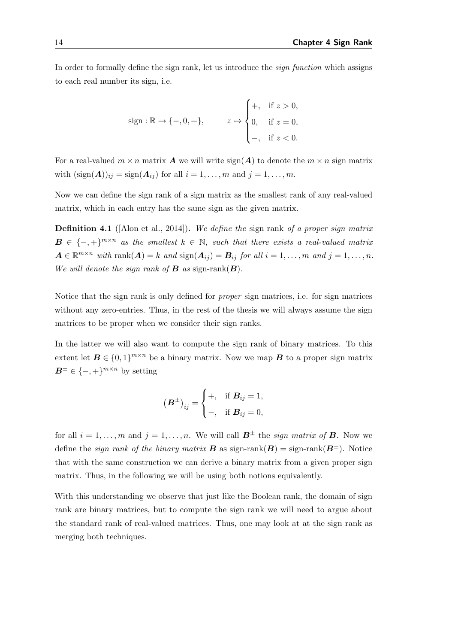In order to formally define the sign rank, let us introduce the sign function which assigns to each real number its sign, i.e.

sign: 
$$
\mathbb{R} \to \{-, 0, +\}
$$
,  $z \mapsto \begin{cases} +, & \text{if } z > 0, \\ 0, & \text{if } z = 0, \\ -, & \text{if } z < 0. \end{cases}$ 

For a real-valued  $m \times n$  matrix **A** we will write  $sign(A)$  to denote the  $m \times n$  sign matrix with  $(\text{sign}(\boldsymbol{A}))_{ij} = \text{sign}(\boldsymbol{A}_{ij})$  for all  $i = 1, \ldots, m$  and  $j = 1, \ldots, m$ .

Now we can define the sign rank of a sign matrix as the smallest rank of any real-valued matrix, which in each entry has the same sign as the given matrix.

**Definition 4.1** (Alon et al., 2014). We define the sign rank of a proper sign matrix  $B \in \{-,+\}^{m \times n}$  as the smallest  $k \in \mathbb{N}$ , such that there exists a real-valued matrix  $A \in \mathbb{R}^{m \times n}$  with  $\text{rank}(A) = k$  and  $\text{sign}(A_{ij}) = B_{ij}$  for all  $i = 1, \ldots, m$  and  $j = 1, \ldots, n$ . We will denote the sign rank of  $\bf{B}$  as sign-rank $(\bf{B})$ .

Notice that the sign rank is only defined for proper sign matrices, i.e. for sign matrices without any zero-entries. Thus, in the rest of the thesis we will always assume the sign matrices to be proper when we consider their sign ranks.

In the latter we will also want to compute the sign rank of binary matrices. To this extent let  $\mathbf{B} \in \{0,1\}^{m \times n}$  be a binary matrix. Now we map  $\mathbf{B}$  to a proper sign matrix  $B^{\pm} \in \{-,+\}^{m \times n}$  by setting

$$
\left(\boldsymbol{B}^{\pm}\right)_{ij} = \begin{cases} +, & \text{if } \boldsymbol{B}_{ij} = 1, \\ -, & \text{if } \boldsymbol{B}_{ij} = 0, \end{cases}
$$

for all  $i = 1, \ldots, m$  and  $j = 1, \ldots, n$ . We will call  $\mathbf{B}^{\pm}$  the sign matrix of **B**. Now we define the *sign rank of the binary matrix* **B** as sign-rank $(B)$  = sign-rank $(B^{\pm})$ . Notice that with the same construction we can derive a binary matrix from a given proper sign matrix. Thus, in the following we will be using both notions equivalently.

With this understanding we observe that just like the Boolean rank, the domain of sign rank are binary matrices, but to compute the sign rank we will need to argue about the standard rank of real-valued matrices. Thus, one may look at at the sign rank as merging both techniques.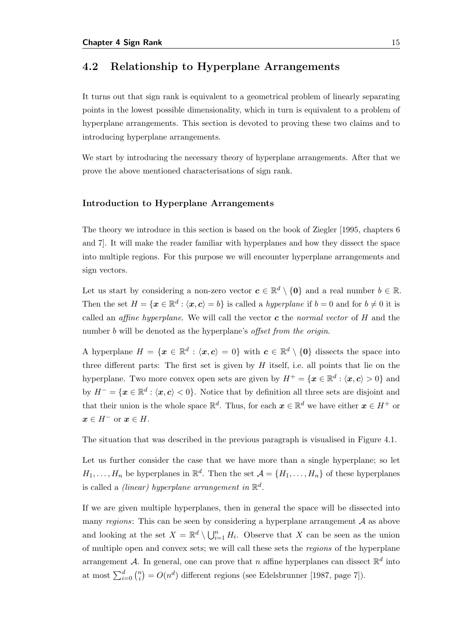### <span id="page-24-0"></span>4.2 Relationship to Hyperplane Arrangements

It turns out that sign rank is equivalent to a geometrical problem of linearly separating points in the lowest possible dimensionality, which in turn is equivalent to a problem of hyperplane arrangements. This section is devoted to proving these two claims and to introducing hyperplane arrangements.

We start by introducing the necessary theory of hyperplane arrangements. After that we prove the above mentioned characterisations of sign rank.

#### Introduction to Hyperplane Arrangements

The theory we introduce in this section is based on the book of [Ziegler](#page-84-2) [\[1995,](#page-84-2) chapters 6 and 7]. It will make the reader familiar with hyperplanes and how they dissect the space into multiple regions. For this purpose we will encounter hyperplane arrangements and sign vectors.

Let us start by considering a non-zero vector  $c \in \mathbb{R}^d \setminus \{0\}$  and a real number  $b \in \mathbb{R}$ . Then the set  $H = \{x \in \mathbb{R}^d : \langle x, c \rangle = b\}$  is called a *hyperplane* if  $b = 0$  and for  $b \neq 0$  it is called an *affine hyperplane*. We will call the vector  $c$  the normal vector of  $H$  and the number b will be denoted as the hyperplane's *offset from the origin*.

A hyperplane  $H = \{x \in \mathbb{R}^d : \langle x, c \rangle = 0\}$  with  $c \in \mathbb{R}^d \setminus \{0\}$  dissects the space into three different parts: The first set is given by  $H$  itself, i.e. all points that lie on the hyperplane. Two more convex open sets are given by  $H^+ = \{x \in \mathbb{R}^d : \langle x, c \rangle > 0\}$  and by  $H^- = \{x \in \mathbb{R}^d : \langle x, c \rangle < 0\}$ . Notice that by definition all three sets are disjoint and that their union is the whole space  $\mathbb{R}^d$ . Thus, for each  $x \in \mathbb{R}^d$  we have either  $x \in H^+$  or  $x \in H^-$  or  $x \in H$ .

The situation that was described in the previous paragraph is visualised in Figure [4.1.](#page-25-0)

Let us further consider the case that we have more than a single hyperplane; so let  $H_1, \ldots, H_n$  be hyperplanes in  $\mathbb{R}^d$ . Then the set  $\mathcal{A} = \{H_1, \ldots, H_n\}$  of these hyperplanes is called a *(linear)* hyperplane arrangement in  $\mathbb{R}^d$ .

If we are given multiple hyperplanes, then in general the space will be dissected into many regions: This can be seen by considering a hyperplane arrangement  $A$  as above and looking at the set  $X = \mathbb{R}^d \setminus \bigcup_{i=1}^n H_i$ . Observe that X can be seen as the union of multiple open and convex sets; we will call these sets the regions of the hyperplane arrangement A. In general, one can prove that n affine hyperplanes can dissect  $\mathbb{R}^d$  into at most  $\sum_{i=0}^{d} \binom{n}{i}$  $\binom{n}{i} = O(n^d)$  different regions (see [Edelsbrunner](#page-81-3) [\[1987,](#page-81-3) page 7]).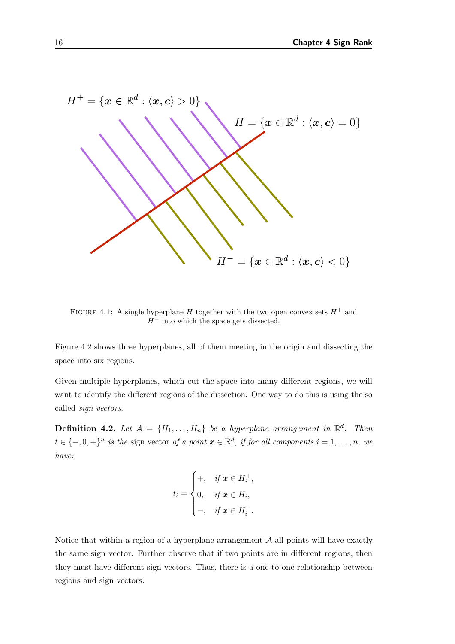<span id="page-25-0"></span>

FIGURE 4.1: A single hyperplane H together with the two open convex sets  $H^+$  and  $H^-$  into which the space gets dissected.

Figure [4.2](#page-26-0) shows three hyperplanes, all of them meeting in the origin and dissecting the space into six regions.

Given multiple hyperplanes, which cut the space into many different regions, we will want to identify the different regions of the dissection. One way to do this is using the so called sign vectors.

**Definition 4.2.** Let  $A = \{H_1, \ldots, H_n\}$  be a hyperplane arrangement in  $\mathbb{R}^d$ . Then  $t \in \{-,0,+\}^n$  is the sign vector of a point  $\boldsymbol{x} \in \mathbb{R}^d$ , if for all components  $i = 1, \ldots, n$ , we have:

$$
t_i = \begin{cases} +, & \text{if } \mathbf{x} \in H_i^+, \\ 0, & \text{if } \mathbf{x} \in H_i, \\ -, & \text{if } \mathbf{x} \in H_i^-. \end{cases}
$$

Notice that within a region of a hyperplane arrangement  $A$  all points will have exactly the same sign vector. Further observe that if two points are in different regions, then they must have different sign vectors. Thus, there is a one-to-one relationship between regions and sign vectors.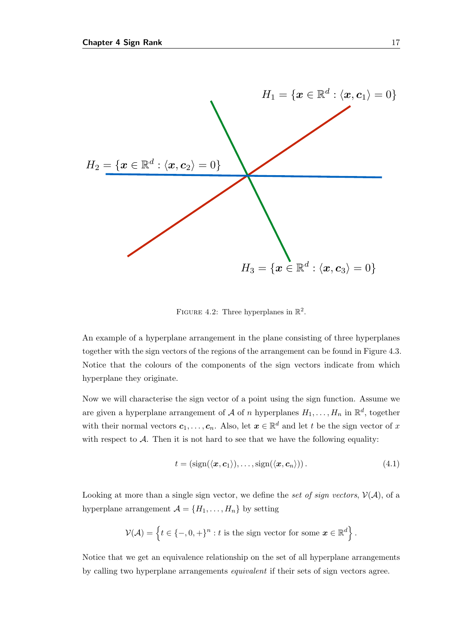<span id="page-26-0"></span>

FIGURE 4.2: Three hyperplanes in  $\mathbb{R}^2$ .

An example of a hyperplane arrangement in the plane consisting of three hyperplanes together with the sign vectors of the regions of the arrangement can be found in Figure [4.3.](#page-27-0) Notice that the colours of the components of the sign vectors indicate from which hyperplane they originate.

Now we will characterise the sign vector of a point using the sign function. Assume we are given a hyperplane arrangement of  $A$  of n hyperplanes  $H_1, \ldots, H_n$  in  $\mathbb{R}^d$ , together with their normal vectors  $c_1, \ldots, c_n$ . Also, let  $x \in \mathbb{R}^d$  and let t be the sign vector of x with respect to  $A$ . Then it is not hard to see that we have the following equality:

<span id="page-26-1"></span>
$$
t = (sign(\langle \boldsymbol{x}, \boldsymbol{c}_1 \rangle), \dots, sign(\langle \boldsymbol{x}, \boldsymbol{c}_n \rangle)). \tag{4.1}
$$

Looking at more than a single sign vector, we define the set of sign vectors,  $V(A)$ , of a hyperplane arrangement  $\mathcal{A} = \{H_1, \ldots, H_n\}$  by setting

$$
\mathcal{V}(\mathcal{A}) = \left\{ t \in \{-,0,+\}^n : t \text{ is the sign vector for some } \mathbf{x} \in \mathbb{R}^d \right\}.
$$

Notice that we get an equivalence relationship on the set of all hyperplane arrangements by calling two hyperplane arrangements equivalent if their sets of sign vectors agree.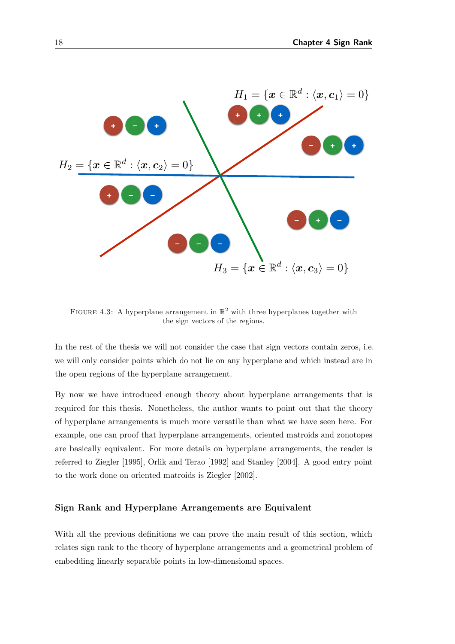<span id="page-27-0"></span>

FIGURE 4.3: A hyperplane arrangement in  $\mathbb{R}^2$  with three hyperplanes together with the sign vectors of the regions.

In the rest of the thesis we will not consider the case that sign vectors contain zeros, i.e. we will only consider points which do not lie on any hyperplane and which instead are in the open regions of the hyperplane arrangement.

By now we have introduced enough theory about hyperplane arrangements that is required for this thesis. Nonetheless, the author wants to point out that the theory of hyperplane arrangements is much more versatile than what we have seen here. For example, one can proof that hyperplane arrangements, oriented matroids and zonotopes are basically equivalent. For more details on hyperplane arrangements, the reader is referred to [Ziegler](#page-84-2) [\[1995\]](#page-84-2), [Orlik and Terao](#page-83-4) [\[1992\]](#page-83-4) and [Stanley](#page-84-3) [\[2004\]](#page-84-3). A good entry point to the work done on oriented matroids is [Ziegler](#page-84-4) [\[2002\]](#page-84-4).

#### Sign Rank and Hyperplane Arrangements are Equivalent

With all the previous definitions we can prove the main result of this section, which relates sign rank to the theory of hyperplane arrangements and a geometrical problem of embedding linearly separable points in low-dimensional spaces.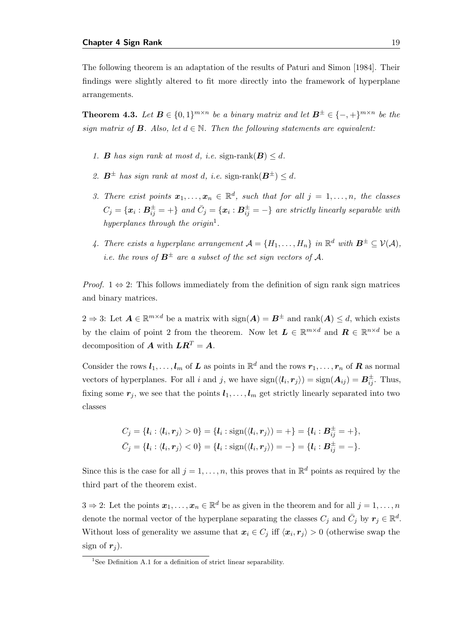The following theorem is an adaptation of the results of [Paturi and Simon](#page-83-1) [\[1984\]](#page-83-1). Their findings were slightly altered to fit more directly into the framework of hyperplane arrangements.

<span id="page-28-0"></span>**Theorem 4.3.** Let  $B \in \{0,1\}^{m \times n}$  be a binary matrix and let  $B^{\pm} \in \{-,+\}^{m \times n}$  be the sign matrix of **B**. Also, let  $d \in \mathbb{N}$ . Then the following statements are equivalent:

- 1. **B** has sign rank at most d, i.e. sign-rank $(B) \leq d$ .
- 2.  $B^{\pm}$  has sign rank at most d, i.e. sign-rank $(B^{\pm}) \leq d$ .
- 3. There exist points  $\mathbf{x}_1, \ldots, \mathbf{x}_n \in \mathbb{R}^d$ , such that for all  $j = 1, \ldots, n$ , the classes  $C_j = \{\bm{x}_i: \bm{B}_{ij}^\pm = +\}$  and  $\bar{C}_j = \{\bm{x}_i: \bm{B}_{ij}^\pm = -\}$  are strictly linearly separable with hyperplanes through the origin<sup>[1](#page-28-1)</sup>.
- 4. There exists a hyperplane arrangement  $\mathcal{A} = \{H_1, \ldots, H_n\}$  in  $\mathbb{R}^d$  with  $\mathcal{B}^{\pm} \subseteq \mathcal{V}(\mathcal{A}),$ *i.e.* the rows of  $B^{\pm}$  are a subset of the set sign vectors of A.

*Proof.*  $1 \Leftrightarrow 2$ : This follows immediately from the definition of sign rank sign matrices and binary matrices.

2 ⇒ 3: Let  $A \in \mathbb{R}^{m \times d}$  be a matrix with  $sign(A) = B^{\pm}$  and  $rank(A) \leq d$ , which exists by the claim of point 2 from the theorem. Now let  $\mathbf{L} \in \mathbb{R}^{m \times d}$  and  $\mathbf{R} \in \mathbb{R}^{n \times d}$  be a decomposition of **A** with  $LR^T = A$ .

Consider the rows  $l_1, \ldots, l_m$  of  $L$  as points in  $\mathbb{R}^d$  and the rows  $r_1, \ldots, r_n$  of  $R$  as normal vectors of hyperplanes. For all i and j, we have  $sign(\langle \mathbf{l}_i, \mathbf{r}_j \rangle) = sign(\mathbf{A}_{ij}) = \mathbf{B}_{ij}^{\pm}$ . Thus, fixing some  $r_j$ , we see that the points  $l_1, \ldots, l_m$  get strictly linearly separated into two classes

$$
C_j = \{l_i : \langle l_i, r_j \rangle > 0\} = \{l_i : \text{sign}(\langle l_i, r_j \rangle) = +\} = \{l_i : B_{ij}^{\pm} = +\},
$$
  

$$
\bar{C}_j = \{l_i : \langle l_i, r_j \rangle < 0\} = \{l_i : \text{sign}(\langle l_i, r_j \rangle) = -\} = \{l_i : B_{ij}^{\pm} = -\}.
$$

Since this is the case for all  $j = 1, \ldots, n$ , this proves that in  $\mathbb{R}^d$  points as required by the third part of the theorem exist.

 $3 \Rightarrow 2$ : Let the points  $\boldsymbol{x}_1, \ldots, \boldsymbol{x}_n \in \mathbb{R}^d$  be as given in the theorem and for all  $j = 1, \ldots, n$ denote the normal vector of the hyperplane separating the classes  $C_j$  and  $\bar{C}_j$  by  $r_j \in \mathbb{R}^d$ . Without loss of generality we assume that  $x_i \in C_j$  iff  $\langle x_i, r_j \rangle > 0$  (otherwise swap the sign of  $r_j$ ).

<span id="page-28-1"></span><sup>&</sup>lt;sup>1</sup>See Definition [A.1](#page-86-2) for a definition of strict linear separability.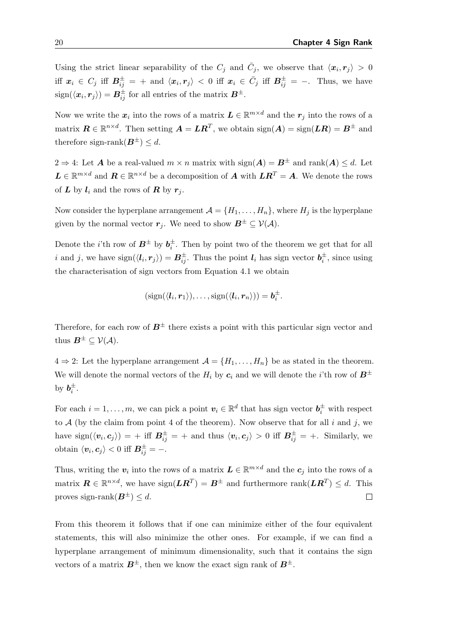Using the strict linear separability of the  $C_j$  and  $\bar{C}_j$ , we observe that  $\langle x_i, r_j \rangle > 0$ iff  $x_i \in C_j$  iff  $B_{ij}^{\pm} = +$  and  $\langle x_i, r_j \rangle < 0$  iff  $x_i \in \bar{C}_j$  iff  $B_{ij}^{\pm} = -$ . Thus, we have  $sign(\langle x_i, r_j \rangle) = B_{ij}^{\pm}$  for all entries of the matrix  $B^{\pm}$ .

Now we write the  $x_i$  into the rows of a matrix  $L \in \mathbb{R}^{m \times d}$  and the  $r_j$  into the rows of a matrix  $\mathbf{R} \in \mathbb{R}^{n \times d}$ . Then setting  $\mathbf{A} = \mathbf{L}\mathbf{R}^T$ , we obtain  $\text{sign}(\mathbf{A}) = \text{sign}(\mathbf{L}\mathbf{R}) = \mathbf{B}^{\pm}$  and therefore sign-rank $(B^{\pm}) \leq d$ .

 $2 \Rightarrow 4$ : Let **A** be a real-valued  $m \times n$  matrix with  $sign(A) = B^{\pm}$  and  $rank(A) \leq d$ . Let  $\mathbf{L} \in \mathbb{R}^{m \times d}$  and  $\mathbf{R} \in \mathbb{R}^{n \times d}$  be a decomposition of  $\mathbf{A}$  with  $\mathbf{L}\mathbf{R}^T = \mathbf{A}$ . We denote the rows of  $L$  by  $l_i$  and the rows of  $R$  by  $r_j$ .

Now consider the hyperplane arrangement  $\mathcal{A} = \{H_1, \ldots, H_n\}$ , where  $H_j$  is the hyperplane given by the normal vector  $r_j$ . We need to show  $B^{\pm} \subseteq V(\mathcal{A})$ .

Denote the *i*'th row of  $B^{\pm}$  by  $b_i^{\pm}$ . Then by point two of the theorem we get that for all i and j, we have  $sign(\langle \mathbf{l}_i, \mathbf{r}_j \rangle) = \mathbf{B}_{ij}^{\pm}$ . Thus the point  $\mathbf{l}_i$  has sign vector  $\mathbf{b}_i^{\pm}$ , since using the characterisation of sign vectors from Equation [4.1](#page-26-1) we obtain

$$
(sign(\langle \mathbf{l}_i, \mathbf{r}_1 \rangle), \ldots, sign(\langle \mathbf{l}_i, \mathbf{r}_n \rangle)) = \mathbf{b}_i^{\pm}.
$$

Therefore, for each row of  $B^{\pm}$  there exists a point with this particular sign vector and thus  $\boldsymbol{B}^{\pm} \subseteq \mathcal{V}(\mathcal{A})$ .

 $4 \Rightarrow 2$ : Let the hyperplane arrangement  $\mathcal{A} = \{H_1, \ldots, H_n\}$  be as stated in the theorem. We will denote the normal vectors of the  $H_i$  by  $c_i$  and we will denote the *i*'th row of  $B^{\pm}$ by  $b_i^{\pm}$ .

For each  $i = 1, ..., m$ , we can pick a point  $v_i \in \mathbb{R}^d$  that has sign vector  $b_i^{\pm}$  with respect to  $A$  (by the claim from point 4 of the theorem). Now observe that for all i and j, we have  $sign(\langle v_i, c_j \rangle) = +$  iff  $B_{ij}^{\pm} = +$  and thus  $\langle v_i, c_j \rangle > 0$  iff  $B_{ij}^{\pm} = +$ . Similarly, we obtain  $\langle v_i, c_j \rangle < 0$  iff  $B_{ij}^{\pm} = -$ .

Thus, writing the  $v_i$  into the rows of a matrix  $L \in \mathbb{R}^{m \times d}$  and the  $c_j$  into the rows of a matrix  $\mathbf{R} \in \mathbb{R}^{n \times d}$ , we have  $sign(\mathbf{L}\mathbf{R}^T) = \mathbf{B}^{\pm}$  and furthermore  $rank(\mathbf{L}\mathbf{R}^T) \leq d$ . This proves sign-rank $(B^{\pm}) \leq d$ .  $\Box$ 

From this theorem it follows that if one can minimize either of the four equivalent statements, this will also minimize the other ones. For example, if we can find a hyperplane arrangement of minimum dimensionality, such that it contains the sign vectors of a matrix  $B^{\pm}$ , then we know the exact sign rank of  $B^{\pm}$ .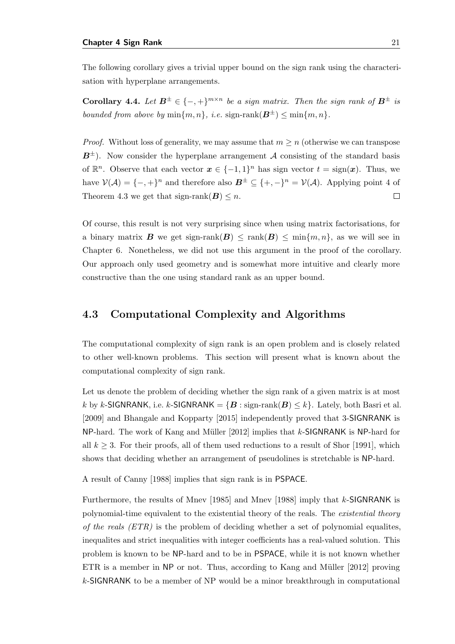The following corollary gives a trivial upper bound on the sign rank using the characterisation with hyperplane arrangements.

<span id="page-30-1"></span>**Corollary 4.4.** Let  $B^{\pm} \in \{-,+\}^{m \times n}$  be a sign matrix. Then the sign rank of  $B^{\pm}$  is bounded from above by  $\min\{m, n\}$ , i.e.  $\text{sign-rank}(\mathbf{B}^{\pm}) \leq \min\{m, n\}$ .

*Proof.* Without loss of generality, we may assume that  $m \geq n$  (otherwise we can transpose  $B^{\pm}$ ). Now consider the hyperplane arrangement A consisting of the standard basis of  $\mathbb{R}^n$ . Observe that each vector  $\boldsymbol{x} \in \{-1,1\}^n$  has sign vector  $t = \text{sign}(\boldsymbol{x})$ . Thus, we have  $V(A) = \{-, +\}^n$  and therefore also  $\mathbf{B}^{\pm} \subseteq \{+,-\}^n = V(A)$ . Applying point 4 of  $\Box$ Theorem [4.3](#page-28-0) we get that sign-rank $(B) \leq n$ .

Of course, this result is not very surprising since when using matrix factorisations, for a binary matrix **B** we get sign-rank $(B) \leq \text{rank}(B) \leq \text{min}\{m, n\}$ , as we will see in Chapter [6.](#page-58-0) Nonetheless, we did not use this argument in the proof of the corollary. Our approach only used geometry and is somewhat more intuitive and clearly more constructive than the one using standard rank as an upper bound.

### <span id="page-30-0"></span>4.3 Computational Complexity and Algorithms

The computational complexity of sign rank is an open problem and is closely related to other well-known problems. This section will present what is known about the computational complexity of sign rank.

Let us denote the problem of deciding whether the sign rank of a given matrix is at most k by k-SIGNRANK, i.e. k-SIGNRANK =  ${B : \text{sign-rank}(B) \le k}$ . Lately, both [Basri et al.](#page-80-3) [\[2009\]](#page-80-3) and [Bhangale and Kopparty](#page-80-4) [\[2015\]](#page-80-4) independently proved that 3-SIGNRANK is NP-hard. The work of Kang and Müller  $[2012]$  implies that k-SIGNRANK is NP-hard for all  $k \geq 3$ . For their proofs, all of them used reductions to a result of [Shor](#page-83-5) [\[1991\]](#page-83-5), which shows that deciding whether an arrangement of pseudolines is stretchable is NP-hard.

A result of [Canny](#page-81-4) [\[1988\]](#page-81-4) implies that sign rank is in PSPACE.

Furthermore, the results of [Mnev](#page-83-6) [\[1985\]](#page-83-6) and [Mnev](#page-83-7) [\[1988\]](#page-83-7) imply that k-SIGNRANK is polynomial-time equivalent to the existential theory of the reals. The existential theory of the reals  $(ETR)$  is the problem of deciding whether a set of polynomial equalities, inequalites and strict inequalities with integer coefficients has a real-valued solution. This problem is known to be NP-hard and to be in PSPACE, while it is not known whether ETR is a member in  $NP$  or not. Thus, according to Kang and Müller [\[2012\]](#page-82-2) proving  $k$ -SIGNRANK to be a member of NP would be a minor breakthrough in computational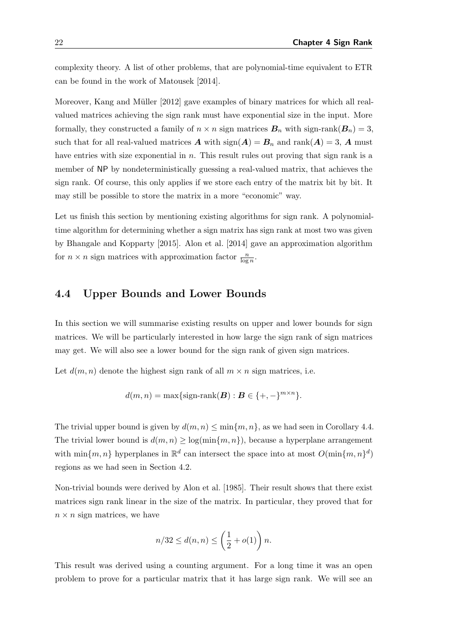complexity theory. A list of other problems, that are polynomial-time equivalent to ETR can be found in the work of [Matousek](#page-83-8) [\[2014\]](#page-83-8).

Moreover, Kang and Müller [\[2012\]](#page-82-2) gave examples of binary matrices for which all realvalued matrices achieving the sign rank must have exponential size in the input. More formally, they constructed a family of  $n \times n$  sign matrices  $\mathbf{B}_n$  with sign-rank $(\mathbf{B}_n) = 3$ , such that for all real-valued matrices **A** with  $sign(A) = B_n$  and  $rank(A) = 3$ , **A** must have entries with size exponential in  $n$ . This result rules out proving that sign rank is a member of NP by nondeterministically guessing a real-valued matrix, that achieves the sign rank. Of course, this only applies if we store each entry of the matrix bit by bit. It may still be possible to store the matrix in a more "economic" way.

Let us finish this section by mentioning existing algorithms for sign rank. A polynomialtime algorithm for determining whether a sign matrix has sign rank at most two was given by [Bhangale and Kopparty](#page-80-4) [\[2015\]](#page-80-4). [Alon et al.](#page-80-2) [\[2014\]](#page-80-2) gave an approximation algorithm for  $n \times n$  sign matrices with approximation factor  $\frac{n}{\log n}$ .

### <span id="page-31-0"></span>4.4 Upper Bounds and Lower Bounds

In this section we will summarise existing results on upper and lower bounds for sign matrices. We will be particularly interested in how large the sign rank of sign matrices may get. We will also see a lower bound for the sign rank of given sign matrices.

Let  $d(m, n)$  denote the highest sign rank of all  $m \times n$  sign matrices, i.e.

$$
d(m, n) = \max\{\text{sign-rank}(\boldsymbol{B}) : \boldsymbol{B} \in \{+,-\}^{m \times n}\}.
$$

The trivial upper bound is given by  $d(m, n) \leq \min\{m, n\}$ , as we had seen in Corollary [4.4.](#page-30-1) The trivial lower bound is  $d(m, n) \geq \log(\min\{m, n\})$ , because a hyperplane arrangement with  $\min\{m, n\}$  hyperplanes in  $\mathbb{R}^d$  can intersect the space into at most  $O(\min\{m, n\}^d)$ regions as we had seen in Section [4.2.](#page-24-0)

Non-trivial bounds were derived by [Alon et al.](#page-80-5) [\[1985\]](#page-80-5). Their result shows that there exist matrices sign rank linear in the size of the matrix. In particular, they proved that for  $n \times n$  sign matrices, we have

$$
n/32 \le d(n,n) \le \left(\frac{1}{2} + o(1)\right)n.
$$

This result was derived using a counting argument. For a long time it was an open problem to prove for a particular matrix that it has large sign rank. We will see an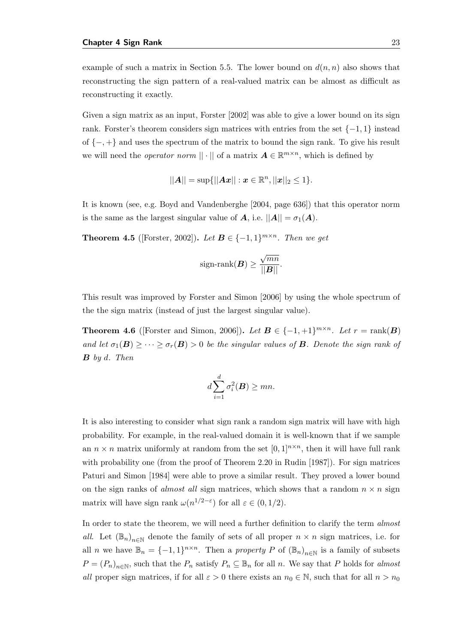example of such a matrix in Section [5.5.](#page-53-0) The lower bound on  $d(n, n)$  also shows that reconstructing the sign pattern of a real-valued matrix can be almost as difficult as reconstructing it exactly.

Given a sign matrix as an input, [Forster](#page-81-5) [\[2002\]](#page-81-5) was able to give a lower bound on its sign rank. Forster's theorem considers sign matrices with entries from the set  $\{-1,1\}$  instead of {−, +} and uses the spectrum of the matrix to bound the sign rank. To give his result we will need the *operator norm*  $|| \cdot ||$  of a matrix  $\mathbf{A} \in \mathbb{R}^{m \times n}$ , which is defined by

$$
||A|| = \sup{||Ax|| : x \in \mathbb{R}^n, ||x||_2 \le 1}.
$$

It is known (see, e.g. [Boyd and Vandenberghe](#page-81-6) [\[2004,](#page-81-6) page 636]) that this operator norm is the same as the largest singular value of  $A$ , i.e.  $||A|| = \sigma_1(A)$ .

<span id="page-32-0"></span>**Theorem 4.5** ([\[Forster,](#page-81-5) [2002\]](#page-81-5)). Let  $\mathbf{B} \in \{-1, 1\}^{m \times n}$ . Then we get

$$
sign\text{-rank}(\boldsymbol{B}) \geq \frac{\sqrt{mn}}{||\boldsymbol{B}||}.
$$

This result was improved by [Forster and Simon](#page-82-4) [\[2006\]](#page-82-4) by using the whole spectrum of the the sign matrix (instead of just the largest singular value).

**Theorem 4.6** ([\[Forster and Simon,](#page-82-4) [2006\]](#page-82-4)). Let  $B \in \{-1, +1\}^{m \times n}$ . Let  $r = \text{rank}(B)$ and let  $\sigma_1(\mathbf{B}) \geq \cdots \geq \sigma_r(\mathbf{B}) > 0$  be the singular values of **B**. Denote the sign rank of  $\bm{B}$  by d. Then

$$
d\sum_{i=1}^d \sigma_i^2(\boldsymbol{B}) \ge mn.
$$

It is also interesting to consider what sign rank a random sign matrix will have with high probability. For example, in the real-valued domain it is well-known that if we sample an  $n \times n$  matrix uniformly at random from the set  $[0,1]^{n \times n}$ , then it will have full rank with probability one (from the proof of Theorem 2.20 in [Rudin](#page-83-9) [\[1987\]](#page-83-9)). For sign matrices [Paturi and Simon](#page-83-1) [\[1984\]](#page-83-1) were able to prove a similar result. They proved a lower bound on the sign ranks of *almost all* sign matrices, which shows that a random  $n \times n$  sign matrix will have sign rank  $\omega(n^{1/2-\epsilon})$  for all  $\varepsilon \in (0,1/2)$ .

In order to state the theorem, we will need a further definition to clarify the term almost all. Let  $(\mathbb{B}_n)_{n\in\mathbb{N}}$  denote the family of sets of all proper  $n \times n$  sign matrices, i.e. for all *n* we have  $\mathbb{B}_n = \{-1,1\}^{n \times n}$ . Then a *property P* of  $(\mathbb{B}_n)_{n \in \mathbb{N}}$  is a family of subsets  $P = (P_n)_{n \in \mathbb{N}}$ , such that the  $P_n$  satisfy  $P_n \subseteq \mathbb{B}_n$  for all n. We say that P holds for almost all proper sign matrices, if for all  $\varepsilon > 0$  there exists an  $n_0 \in \mathbb{N}$ , such that for all  $n > n_0$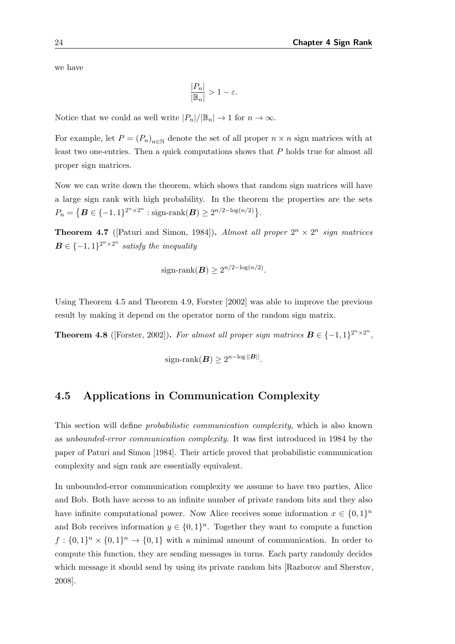we have

$$
\frac{|P_n|}{|\mathbb{B}_n|} > 1 - \varepsilon.
$$

Notice that we could as well write  $|P_n|/|\mathbb{B}_n| \to 1$  for  $n \to \infty$ .

For example, let  $P = (P_n)_{n \in \mathbb{N}}$  denote the set of all proper  $n \times n$  sign matrices with at least two one-entries. Then a quick computations shows that P holds true for almost all proper sign matrices.

Now we can write down the theorem, which shows that random sign matrices will have a large sign rank with high probability. In the theorem the properties are the sets  $P_n = \{ \mathbf{B} \in \{-1, 1\}^{2^n \times 2^n} : \text{sign-rank}(\mathbf{B}) \ge 2^{n/2 - \log(n/2)} \}.$ 

**Theorem 4.7** ([\[Paturi and Simon,](#page-83-1) [1984\]](#page-83-1)). Almost all proper  $2^n \times 2^n$  sign matrices  $\boldsymbol{B} \in \{-1,1\}^{2^n \times 2^n}$  satisfy the inequality

sign-rank(
$$
\boldsymbol{B}
$$
)  $\geq 2^{n/2 - \log(n/2)}$ .

Using Theorem [4.5](#page-32-0) and Theorem [4.9,](#page-34-0) [Forster](#page-81-5) [\[2002\]](#page-81-5) was able to improve the previous result by making it depend on the operator norm of the random sign matrix.

**Theorem 4.8** ([\[Forster,](#page-81-5) [2002\]](#page-81-5)). For almost all proper sign matrices  $\mathbf{B} \in \{-1, 1\}^{2^n \times 2^n}$ ,

sign-rank
$$
(\boldsymbol{B}) \geq 2^{n-\log ||\boldsymbol{B}||}
$$
.

### <span id="page-33-0"></span>4.5 Applications in Communication Complexity

This section will define *probabilistic communication complexity*, which is also known as unbounded-error communication complexity. It was first introduced in 1984 by the paper of [Paturi and Simon](#page-83-1) [\[1984\]](#page-83-1). Their article proved that probabilistic communication complexity and sign rank are essentially equivalent.

In unbounded-error communication complexity we assume to have two parties, Alice and Bob. Both have access to an infinite number of private random bits and they also have infinite computational power. Now Alice receives some information  $x \in \{0,1\}^n$ and Bob receives information  $y \in \{0,1\}^n$ . Together they want to compute a function  $f: \{0,1\}^n \times \{0,1\}^n \to \{0,1\}$  with a minimal amount of communication. In order to compute this function, they are sending messages in turns. Each party randomly decides which message it should send by using its private random bits [\[Razborov and Sherstov,](#page-83-10) [2008\]](#page-83-10).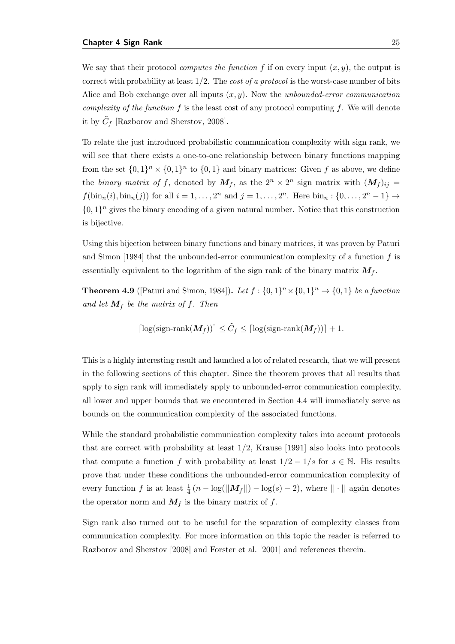We say that their protocol *computes the function f* if on every input  $(x, y)$ , the output is correct with probability at least  $1/2$ . The *cost of a protocol* is the worst-case number of bits Alice and Bob exchange over all inputs  $(x, y)$ . Now the *unbounded-error communication* complexity of the function f is the least cost of any protocol computing f. We will denote it by  $\tilde{C}_f$  [\[Razborov and Sherstov,](#page-83-10) [2008\]](#page-83-10).

To relate the just introduced probabilistic communication complexity with sign rank, we will see that there exists a one-to-one relationship between binary functions mapping from the set  $\{0,1\}^n \times \{0,1\}^n$  to  $\{0,1\}$  and binary matrices: Given f as above, we define the binary matrix of f, denoted by  $M_f$ , as the  $2^n \times 2^n$  sign matrix with  $(M_f)_{ij}$  =  $f(\text{bin}_n(i), \text{bin}_n(j))$  for all  $i = 1, ..., 2^n$  and  $j = 1, ..., 2^n$ . Here  $\text{bin}_n : \{0, ..., 2^n - 1\} \to$  $\{0,1\}^n$  gives the binary encoding of a given natural number. Notice that this construction is bijective.

Using this bijection between binary functions and binary matrices, it was proven by [Paturi](#page-83-1) [and Simon](#page-83-1) [\[1984\]](#page-83-1) that the unbounded-error communication complexity of a function  $f$  is essentially equivalent to the logarithm of the sign rank of the binary matrix  $M_f$ .

<span id="page-34-0"></span>**Theorem 4.9** ([\[Paturi and Simon,](#page-83-1) [1984\]](#page-83-1)). Let  $f: \{0,1\}^n \times \{0,1\}^n \rightarrow \{0,1\}$  be a function and let  $M_f$  be the matrix of f. Then

$$
\lceil \log(\text{sign-rank}(\boldsymbol{M}_f)) \rceil \leq \tilde{C}_f \leq \lceil \log(\text{sign-rank}(\boldsymbol{M}_f)) \rceil + 1.
$$

This is a highly interesting result and launched a lot of related research, that we will present in the following sections of this chapter. Since the theorem proves that all results that apply to sign rank will immediately apply to unbounded-error communication complexity, all lower and upper bounds that we encountered in Section [4.4](#page-31-0) will immediately serve as bounds on the communication complexity of the associated functions.

While the standard probabilistic communication complexity takes into account protocols that are correct with probability at least 1/2, [Krause](#page-82-5) [\[1991\]](#page-82-5) also looks into protocols that compute a function f with probability at least  $1/2 - 1/s$  for  $s \in \mathbb{N}$ . His results prove that under these conditions the unbounded-error communication complexity of every function f is at least  $\frac{1}{4}(n - \log(||M_f||) - \log(s) - 2)$ , where  $|| \cdot ||$  again denotes the operator norm and  $M_f$  is the binary matrix of f.

Sign rank also turned out to be useful for the separation of complexity classes from communication complexity. For more information on this topic the reader is referred to [Razborov and Sherstov](#page-83-10) [\[2008\]](#page-83-10) and [Forster et al.](#page-81-7) [\[2001\]](#page-81-7) and references therein.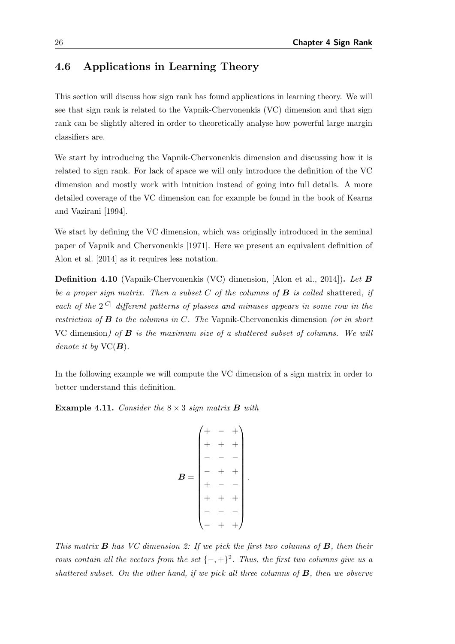## <span id="page-35-0"></span>4.6 Applications in Learning Theory

This section will discuss how sign rank has found applications in learning theory. We will see that sign rank is related to the Vapnik-Chervonenkis (VC) dimension and that sign rank can be slightly altered in order to theoretically analyse how powerful large margin classifiers are.

We start by introducing the Vapnik-Chervonenkis dimension and discussing how it is related to sign rank. For lack of space we will only introduce the definition of the VC dimension and mostly work with intuition instead of going into full details. A more detailed coverage of the VC dimension can for example be found in the book of [Kearns](#page-82-6) [and Vazirani](#page-82-6) [\[1994\]](#page-82-6).

We start by defining the VC dimension, which was originally introduced in the seminal paper of [Vapnik and Chervonenkis](#page-84-5) [\[1971\]](#page-84-5). Here we present an equivalent definition of [Alon et al.](#page-80-2) [\[2014\]](#page-80-2) as it requires less notation.

Definition 4.10 (Vapnik-Chervonenkis (VC) dimension, [\[Alon et al.,](#page-80-2) [2014\]](#page-80-2)). Let B be a proper sign matrix. Then a subset  $C$  of the columns of  $B$  is called shattered, if each of the  $2^{|C|}$  different patterns of plusses and minuses appears in some row in the restriction of  $\bf{B}$  to the columns in C. The Vapnik-Chervonenkis dimension (or in short VC dimension) of  $\bf{B}$  is the maximum size of a shattered subset of columns. We will denote it by  $\text{VC}(B)$ .

In the following example we will compute the VC dimension of a sign matrix in order to better understand this definition.

**Example 4.11.** Consider the  $8 \times 3$  sign matrix **B** with

$$
B = \begin{pmatrix} + & - & + \\ + & + & + \\ - & - & - \\ - & + & + \\ + & - & - \\ + & + & + \\ - & - & - \\ - & + & + \end{pmatrix}.
$$

This matrix  $\bf{B}$  has VC dimension 2: If we pick the first two columns of  $\bf{B}$ , then their rows contain all the vectors from the set  $\{-,+\}^2$ . Thus, the first two columns give us a shattered subset. On the other hand, if we pick all three columns of  $B$ , then we observe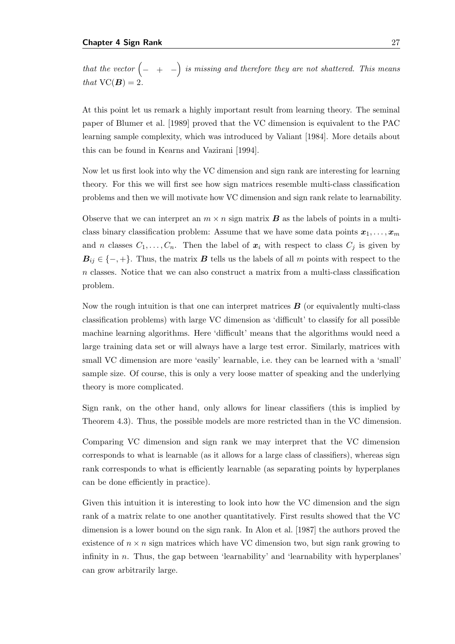that the vector  $\begin{pmatrix} -&+&-\end{pmatrix}$  is missing and therefore they are not shattered. This means that  $VC(B) = 2$ .

At this point let us remark a highly important result from learning theory. The seminal paper of [Blumer et al.](#page-81-0) [\[1989\]](#page-81-0) proved that the VC dimension is equivalent to the PAC learning sample complexity, which was introduced by [Valiant](#page-84-0) [\[1984\]](#page-84-0). More details about this can be found in [Kearns and Vazirani](#page-82-0) [\[1994\]](#page-82-0).

Now let us first look into why the VC dimension and sign rank are interesting for learning theory. For this we will first see how sign matrices resemble multi-class classification problems and then we will motivate how VC dimension and sign rank relate to learnability.

Observe that we can interpret an  $m \times n$  sign matrix **B** as the labels of points in a multiclass binary classification problem: Assume that we have some data points  $x_1, \ldots, x_m$ and n classes  $C_1, \ldots, C_n$ . Then the label of  $x_i$  with respect to class  $C_j$  is given by  $B_{ij} \in \{-, +\}.$  Thus, the matrix B tells us the labels of all m points with respect to the n classes. Notice that we can also construct a matrix from a multi-class classification problem.

Now the rough intuition is that one can interpret matrices  $\bf{B}$  (or equivalently multi-class classification problems) with large VC dimension as 'difficult' to classify for all possible machine learning algorithms. Here 'difficult' means that the algorithms would need a large training data set or will always have a large test error. Similarly, matrices with small VC dimension are more 'easily' learnable, i.e. they can be learned with a 'small' sample size. Of course, this is only a very loose matter of speaking and the underlying theory is more complicated.

Sign rank, on the other hand, only allows for linear classifiers (this is implied by Theorem [4.3\)](#page-28-0). Thus, the possible models are more restricted than in the VC dimension.

Comparing VC dimension and sign rank we may interpret that the VC dimension corresponds to what is learnable (as it allows for a large class of classifiers), whereas sign rank corresponds to what is efficiently learnable (as separating points by hyperplanes can be done efficiently in practice).

Given this intuition it is interesting to look into how the VC dimension and the sign rank of a matrix relate to one another quantitatively. First results showed that the VC dimension is a lower bound on the sign rank. In [Alon et al.](#page-80-0) [\[1987\]](#page-80-0) the authors proved the existence of  $n \times n$  sign matrices which have VC dimension two, but sign rank growing to infinity in  $n$ . Thus, the gap between 'learnability' and 'learnability with hyperplanes' can grow arbitrarily large.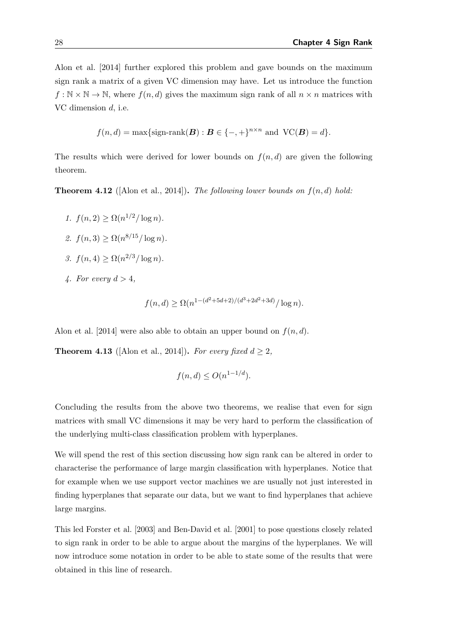[Alon et al.](#page-80-1) [\[2014\]](#page-80-1) further explored this problem and gave bounds on the maximum sign rank a matrix of a given VC dimension may have. Let us introduce the function  $f : \mathbb{N} \times \mathbb{N} \to \mathbb{N}$ , where  $f(n, d)$  gives the maximum sign rank of all  $n \times n$  matrices with VC dimension d, i.e.

$$
f(n,d) = \max\{\text{sign-rank}(\boldsymbol{B}) : \boldsymbol{B} \in \{-,+\}^{n \times n} \text{ and } \text{VC}(\boldsymbol{B}) = d\}.
$$

The results which were derived for lower bounds on  $f(n, d)$  are given the following theorem.

**Theorem 4.12** ([\[Alon et al.,](#page-80-1) [2014\]](#page-80-1)). The following lower bounds on  $f(n,d)$  hold:

- 1.  $f(n, 2) \ge \Omega(n^{1/2}/\log n)$ .
- 2.  $f(n, 3) \ge \Omega(n^{8/15}/\log n)$ .
- 3.  $f(n, 4) \ge \Omega(n^{2/3} / \log n)$ .
- 4. For every  $d > 4$ ,

$$
f(n,d) \ge \Omega(n^{1-(d^2+5d+2)/(d^3+2d^2+3d)}/\log n).
$$

[Alon et al.](#page-80-1) [\[2014\]](#page-80-1) were also able to obtain an upper bound on  $f(n, d)$ .

**Theorem 4.13** ([\[Alon et al.,](#page-80-1) [2014\]](#page-80-1)). For every fixed  $d \geq 2$ ,

$$
f(n,d) \le O(n^{1-1/d}).
$$

Concluding the results from the above two theorems, we realise that even for sign matrices with small VC dimensions it may be very hard to perform the classification of the underlying multi-class classification problem with hyperplanes.

We will spend the rest of this section discussing how sign rank can be altered in order to characterise the performance of large margin classification with hyperplanes. Notice that for example when we use support vector machines we are usually not just interested in finding hyperplanes that separate our data, but we want to find hyperplanes that achieve large margins.

This led [Forster et al.](#page-82-1) [\[2003\]](#page-82-1) and [Ben-David et al.](#page-80-2) [\[2001\]](#page-80-2) to pose questions closely related to sign rank in order to be able to argue about the margins of the hyperplanes. We will now introduce some notation in order to be able to state some of the results that were obtained in this line of research.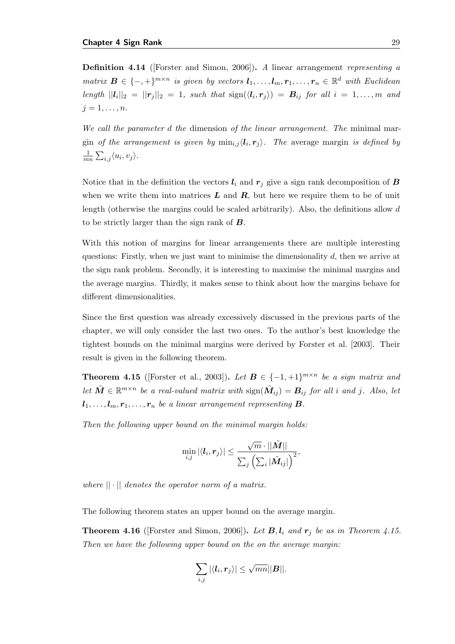Definition 4.14 ([\[Forster and Simon,](#page-82-2) [2006\]](#page-82-2)). A linear arrangement representing a matrix  $\mathbf{B} \in \{-,+\}^{m \times n}$  is given by vectors  $l_1,\ldots,l_m,r_1,\ldots,r_n \in \mathbb{R}^d$  with Euclidean length  $||\boldsymbol{l}_i||_2 = ||\boldsymbol{r}_j||_2 = 1$ , such that  $\text{sign}(\langle \boldsymbol{l}_i, \boldsymbol{r}_j \rangle) = \boldsymbol{B}_{ij}$  for all  $i = 1, \ldots, m$  and  $j=1,\ldots,n$ .

We call the parameter d the dimension of the linear arrangement. The minimal margin of the arrangement is given by  $\min_{i,j} \langle l_i, r_j \rangle$ . The average margin is defined by 1  $\frac{1}{mn}\sum_{i,j}\langle u_i,v_j\rangle.$ 

Notice that in the definition the vectors  $l_i$  and  $r_j$  give a sign rank decomposition of B when we write them into matrices  $L$  and  $R$ , but here we require them to be of unit length (otherwise the margins could be scaled arbitrarily). Also, the definitions allow d to be strictly larger than the sign rank of  $\bm{B}$ .

With this notion of margins for linear arrangements there are multiple interesting questions: Firstly, when we just want to minimise the dimensionality  $d$ , then we arrive at the sign rank problem. Secondly, it is interesting to maximise the minimal margins and the average margins. Thirdly, it makes sense to think about how the margins behave for different dimensionalities.

Since the first question was already excessively discussed in the previous parts of the chapter, we will only consider the last two ones. To the author's best knowledge the tightest bounds on the minimal margins were derived by [Forster et al.](#page-82-1) [\[2003\]](#page-82-1). Their result is given in the following theorem.

<span id="page-38-0"></span>**Theorem 4.15** ([\[Forster et al.,](#page-82-1) [2003\]](#page-82-1)). Let  $B \in \{-1, +1\}^{m \times n}$  be a sign matrix and let  $\tilde{M} \in \mathbb{R}^{m \times n}$  be a real-valued matrix with  $\text{sign}(\tilde{M}_{ij}) = B_{ij}$  for all i and j. Also, let  $l_1, \ldots, l_m, r_1, \ldots, r_n$  be a linear arrangement representing **B**.

Then the following upper bound on the minimal margin holds:

$$
\min_{i,j} |\langle \boldsymbol{l}_i, \boldsymbol{r}_j \rangle| \leq \frac{\sqrt{m} \cdot ||\tilde{\boldsymbol{M}}||}{\sum_j \left(\sum_i |\tilde{\boldsymbol{M}}_{ij}|\right)^2},
$$

where  $|| \cdot ||$  denotes the operator norm of a matrix.

The following theorem states an upper bound on the average margin.

**Theorem 4.16** (Forster and Simon, 2006)). Let **B**,  $l_i$  and  $r_j$  be as in Theorem [4.15.](#page-38-0) Then we have the following upper bound on the on the average margin:

$$
\sum_{i,j} |\langle \boldsymbol{l}_i, \boldsymbol{r}_j \rangle| \leq \sqrt{mn} ||\boldsymbol{B}||.
$$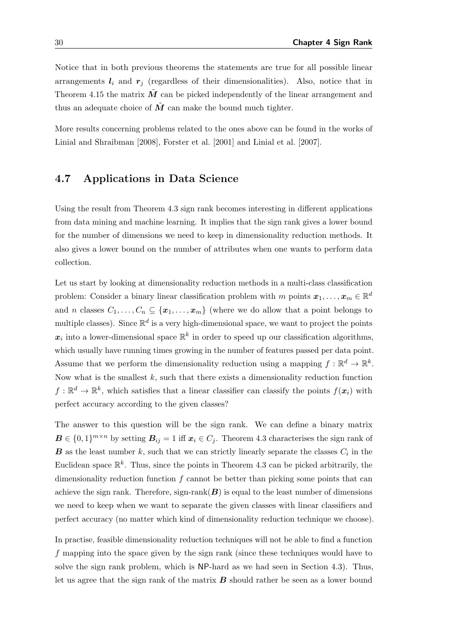Notice that in both previous theorems the statements are true for all possible linear arrangements  $l_i$  and  $r_j$  (regardless of their dimensionalities). Also, notice that in Theorem [4.15](#page-38-0) the matrix  $\tilde{M}$  can be picked independently of the linear arrangement and thus an adequate choice of  $\tilde{M}$  can make the bound much tighter.

More results concerning problems related to the ones above can be found in the works of [Linial and Shraibman](#page-83-0) [\[2008\]](#page-83-0), [Forster et al.](#page-81-1) [\[2001\]](#page-81-1) and [Linial et al.](#page-83-1) [\[2007\]](#page-83-1).

#### 4.7 Applications in Data Science

Using the result from Theorem [4.3](#page-28-0) sign rank becomes interesting in different applications from data mining and machine learning. It implies that the sign rank gives a lower bound for the number of dimensions we need to keep in dimensionality reduction methods. It also gives a lower bound on the number of attributes when one wants to perform data collection.

Let us start by looking at dimensionality reduction methods in a multi-class classification problem: Consider a binary linear classification problem with m points  $x_1, \ldots, x_m \in \mathbb{R}^d$ and n classes  $C_1, \ldots, C_n \subseteq \{x_1, \ldots, x_m\}$  (where we do allow that a point belongs to multiple classes). Since  $\mathbb{R}^d$  is a very high-dimensional space, we want to project the points  $x_i$  into a lower-dimensional space  $\mathbb{R}^k$  in order to speed up our classification algorithms, which usually have running times growing in the number of features passed per data point. Assume that we perform the dimensionality reduction using a mapping  $f : \mathbb{R}^d \to \mathbb{R}^k$ . Now what is the smallest  $k$ , such that there exists a dimensionality reduction function  $f: \mathbb{R}^d \to \mathbb{R}^k$ , which satisfies that a linear classifier can classify the points  $f(x_i)$  with perfect accuracy according to the given classes?

The answer to this question will be the sign rank. We can define a binary matrix  $\mathbf{B} \in \{0,1\}^{m \times n}$  by setting  $\mathbf{B}_{ij} = 1$  iff  $\mathbf{x}_i \in C_j$ . Theorem [4.3](#page-28-0) characterises the sign rank of **B** as the least number k, such that we can strictly linearly separate the classes  $C_i$  in the Euclidean space  $\mathbb{R}^k$ . Thus, since the points in Theorem [4.3](#page-28-0) can be picked arbitrarily, the dimensionality reduction function  $f$  cannot be better than picking some points that can achieve the sign rank. Therefore, sign-rank $(B)$  is equal to the least number of dimensions we need to keep when we want to separate the given classes with linear classifiers and perfect accuracy (no matter which kind of dimensionality reduction technique we choose).

In practise, feasible dimensionality reduction techniques will not be able to find a function f mapping into the space given by the sign rank (since these techniques would have to solve the sign rank problem, which is NP-hard as we had seen in Section [4.3\)](#page-30-0). Thus, let us agree that the sign rank of the matrix  $B$  should rather be seen as a lower bound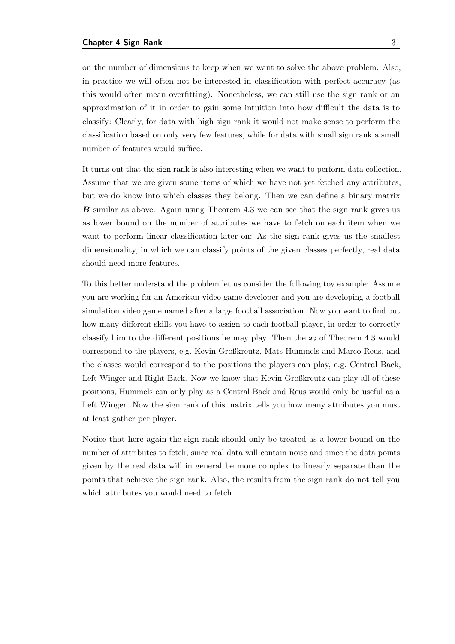on the number of dimensions to keep when we want to solve the above problem. Also, in practice we will often not be interested in classification with perfect accuracy (as this would often mean overfitting). Nonetheless, we can still use the sign rank or an approximation of it in order to gain some intuition into how difficult the data is to classify: Clearly, for data with high sign rank it would not make sense to perform the classification based on only very few features, while for data with small sign rank a small number of features would suffice.

It turns out that the sign rank is also interesting when we want to perform data collection. Assume that we are given some items of which we have not yet fetched any attributes, but we do know into which classes they belong. Then we can define a binary matrix B similar as above. Again using Theorem [4.3](#page-28-0) we can see that the sign rank gives us as lower bound on the number of attributes we have to fetch on each item when we want to perform linear classification later on: As the sign rank gives us the smallest dimensionality, in which we can classify points of the given classes perfectly, real data should need more features.

To this better understand the problem let us consider the following toy example: Assume you are working for an American video game developer and you are developing a football simulation video game named after a large football association. Now you want to find out how many different skills you have to assign to each football player, in order to correctly classify him to the different positions he may play. Then the  $x_i$  of Theorem [4.3](#page-28-0) would correspond to the players, e.g. Kevin Großkreutz, Mats Hummels and Marco Reus, and the classes would correspond to the positions the players can play, e.g. Central Back, Left Winger and Right Back. Now we know that Kevin Großkreutz can play all of these positions, Hummels can only play as a Central Back and Reus would only be useful as a Left Winger. Now the sign rank of this matrix tells you how many attributes you must at least gather per player.

Notice that here again the sign rank should only be treated as a lower bound on the number of attributes to fetch, since real data will contain noise and since the data points given by the real data will in general be more complex to linearly separate than the points that achieve the sign rank. Also, the results from the sign rank do not tell you which attributes you would need to fetch.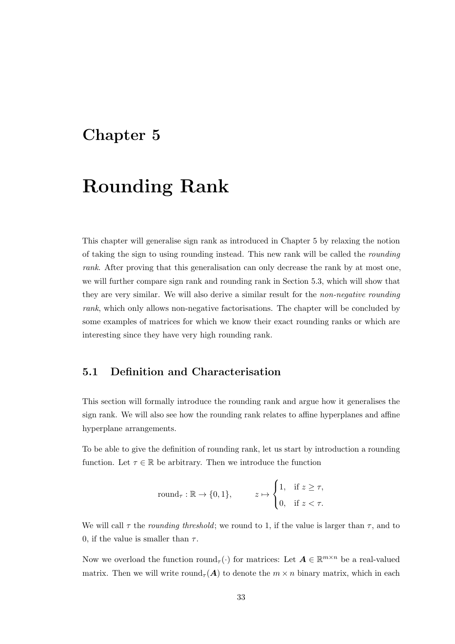### <span id="page-42-0"></span>Chapter 5

## Rounding Rank

This chapter will generalise sign rank as introduced in Chapter [5](#page-42-0) by relaxing the notion of taking the sign to using rounding instead. This new rank will be called the rounding rank. After proving that this generalisation can only decrease the rank by at most one, we will further compare sign rank and rounding rank in Section [5.3,](#page-49-0) which will show that they are very similar. We will also derive a similar result for the non-negative rounding rank, which only allows non-negative factorisations. The chapter will be concluded by some examples of matrices for which we know their exact rounding ranks or which are interesting since they have very high rounding rank.

#### <span id="page-42-1"></span>5.1 Definition and Characterisation

This section will formally introduce the rounding rank and argue how it generalises the sign rank. We will also see how the rounding rank relates to affine hyperplanes and affine hyperplane arrangements.

To be able to give the definition of rounding rank, let us start by introduction a rounding function. Let  $\tau \in \mathbb{R}$  be arbitrary. Then we introduce the function

$$
round_{\tau} : \mathbb{R} \to \{0, 1\}, \qquad z \mapsto \begin{cases} 1, & \text{if } z \ge \tau, \\ 0, & \text{if } z < \tau. \end{cases}
$$

We will call  $\tau$  the *rounding threshold*; we round to 1, if the value is larger than  $\tau$ , and to 0, if the value is smaller than  $\tau$ .

Now we overload the function round<sub> $\tau(\cdot)$ </sub> for matrices: Let  $\mathbf{A} \in \mathbb{R}^{m \times n}$  be a real-valued matrix. Then we will write round<sub> $\tau(A)$ </sub> to denote the  $m \times n$  binary matrix, which in each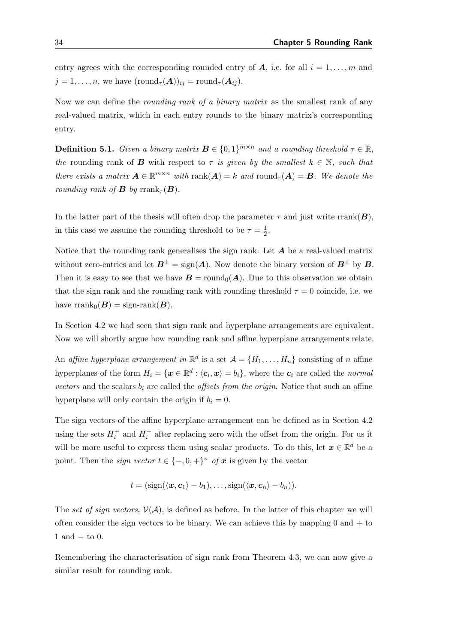entry agrees with the corresponding rounded entry of  $A$ , i.e. for all  $i = 1, \ldots, m$  and  $j = 1, \ldots, n$ , we have  $(\text{round}_{\tau}(\boldsymbol{A}))_{ij} = \text{round}_{\tau}(\boldsymbol{A}_{ij}).$ 

Now we can define the *rounding rank of a binary matrix* as the smallest rank of any real-valued matrix, which in each entry rounds to the binary matrix's corresponding entry.

**Definition 5.1.** Given a binary matrix  $\mathbf{B} \in \{0,1\}^{m \times n}$  and a rounding threshold  $\tau \in \mathbb{R}$ , the rounding rank of **B** with respect to  $\tau$  is given by the smallest  $k \in \mathbb{N}$ , such that there exists a matrix  $\mathbf{A} \in \mathbb{R}^{m \times n}$  with  $\text{rank}(\mathbf{A}) = k$  and  $\text{round}_{\tau}(\mathbf{A}) = \mathbf{B}$ . We denote the rounding rank of **B** by rrank<sub> $\tau$ </sub> $(B)$ .

In the latter part of the thesis will often drop the parameter  $\tau$  and just write rrank( $\boldsymbol{B}$ ), in this case we assume the rounding threshold to be  $\tau = \frac{1}{2}$  $\frac{1}{2}$ .

Notice that the rounding rank generalises the sign rank: Let  $A$  be a real-valued matrix without zero-entries and let  $B^{\pm} = \text{sign}(A)$ . Now denote the binary version of  $B^{\pm}$  by B. Then it is easy to see that we have  $\mathbf{B} = \text{round}_0(\mathbf{A})$ . Due to this observation we obtain that the sign rank and the rounding rank with rounding threshold  $\tau = 0$  coincide, i.e. we have  $\text{rank}_{0}(\boldsymbol{B}) = \text{sign-rank}(\boldsymbol{B}).$ 

In Section [4.2](#page-24-0) we had seen that sign rank and hyperplane arrangements are equivalent. Now we will shortly argue how rounding rank and affine hyperplane arrangements relate.

An affine hyperplane arrangement in  $\mathbb{R}^d$  is a set  $\mathcal{A} = \{H_1, \ldots, H_n\}$  consisting of n affine hyperplanes of the form  $H_i = \{ \mathbf{x} \in \mathbb{R}^d : \langle c_i, \mathbf{x} \rangle = b_i \}$ , where the  $c_i$  are called the normal vectors and the scalars  $b_i$  are called the *offsets from the origin*. Notice that such an affine hyperplane will only contain the origin if  $b_i = 0$ .

The sign vectors of the affine hyperplane arrangement can be defined as in Section [4.2](#page-24-0) using the sets  $H_i^+$  and  $H_i^-$  after replacing zero with the offset from the origin. For us it will be more useful to express them using scalar products. To do this, let  $x \in \mathbb{R}^d$  be a point. Then the *sign vector*  $t \in \{-,0,+\}^n$  of  $x$  is given by the vector

$$
t = (\text{sign}(\langle \boldsymbol{x}, \boldsymbol{c}_1 \rangle - b_1), \ldots, \text{sign}(\langle \boldsymbol{x}, \boldsymbol{c}_n \rangle - b_n)).
$$

The set of sign vectors,  $V(\mathcal{A})$ , is defined as before. In the latter of this chapter we will often consider the sign vectors to be binary. We can achieve this by mapping  $0$  and  $+$  to  $1$  and  $-$  to 0.

Remembering the characterisation of sign rank from Theorem [4.3,](#page-28-0) we can now give a similar result for rounding rank.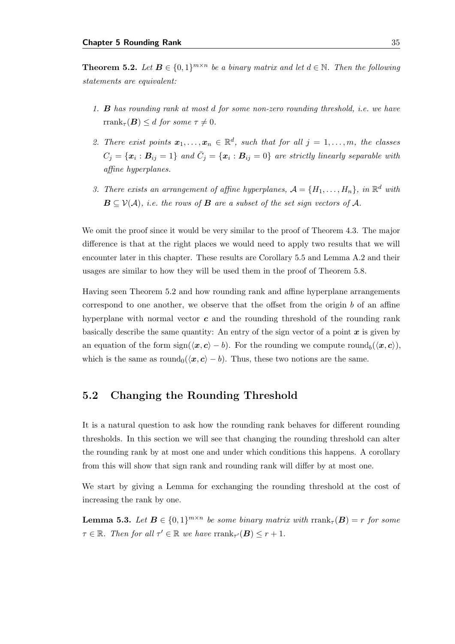<span id="page-44-0"></span>**Theorem 5.2.** Let  $B \in \{0,1\}^{m \times n}$  be a binary matrix and let  $d \in \mathbb{N}$ . Then the following statements are equivalent:

- 1. B has rounding rank at most d for some non-zero rounding threshold, i.e. we have rrank<sub> $\tau$ </sub> $(B) \leq d$  for some  $\tau \neq 0$ .
- 2. There exist points  $\mathbf{x}_1, \ldots, \mathbf{x}_n \in \mathbb{R}^d$ , such that for all  $j = 1, \ldots, m$ , the classes  $C_j = \{\boldsymbol{x}_i : \boldsymbol{B}_{ij} = 1\}$  and  $\bar{C}_j = \{\boldsymbol{x}_i : \boldsymbol{B}_{ij} = 0\}$  are strictly linearly separable with affine hyperplanes.
- 3. There exists an arrangement of affine hyperplanes,  $A = \{H_1, \ldots, H_n\}$ , in  $\mathbb{R}^d$  with  $\mathbf{B} \subseteq \mathcal{V}(\mathcal{A}),$  i.e. the rows of  $\mathbf{B}$  are a subset of the set sign vectors of  $\mathcal{A}$ .

We omit the proof since it would be very similar to the proof of Theorem [4.3.](#page-28-0) The major difference is that at the right places we would need to apply two results that we will encounter later in this chapter. These results are Corollary [5.5](#page-45-0) and Lemma [A.2](#page-86-0) and their usages are similar to how they will be used them in the proof of Theorem [5.8.](#page-47-0)

Having seen Theorem [5.2](#page-44-0) and how rounding rank and affine hyperplane arrangements correspond to one another, we observe that the offset from the origin b of an affine hyperplane with normal vector  $c$  and the rounding threshold of the rounding rank basically describe the same quantity: An entry of the sign vector of a point  $x$  is given by an equation of the form  $sign(\langle x, c \rangle - b)$ . For the rounding we compute round $b(\langle x, c \rangle)$ , which is the same as round<sub>0</sub> $(\langle x, c \rangle - b)$ . Thus, these two notions are the same.

#### 5.2 Changing the Rounding Threshold

It is a natural question to ask how the rounding rank behaves for different rounding thresholds. In this section we will see that changing the rounding threshold can alter the rounding rank by at most one and under which conditions this happens. A corollary from this will show that sign rank and rounding rank will differ by at most one.

We start by giving a Lemma for exchanging the rounding threshold at the cost of increasing the rank by one.

<span id="page-44-1"></span>**Lemma 5.3.** Let  $B \in \{0,1\}^{m \times n}$  be some binary matrix with  $\text{rank}_{\tau}(B) = r$  for some  $\tau \in \mathbb{R}$ . Then for all  $\tau' \in \mathbb{R}$  we have  $\text{rank}_{\tau'}(\mathbf{B}) \leq r + 1$ .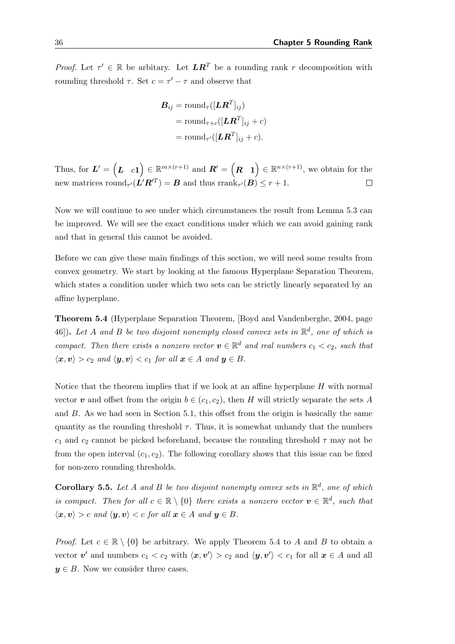*Proof.* Let  $\tau' \in \mathbb{R}$  be arbitary. Let  $LR^T$  be a rounding rank r decomposition with rounding threshold  $\tau$ . Set  $c = \tau' - \tau$  and observe that

$$
B_{ij} = \text{round}_{\tau}([\boldsymbol{L}\boldsymbol{R}^T]_{ij})
$$
  
= round <sub>$\tau+c$</sub> ( $[\boldsymbol{L}\boldsymbol{R}^T]_{ij} + c$ )  
= round <sub>$\tau'$</sub> ( $[\boldsymbol{L}\boldsymbol{R}^T]_{ij} + c$ ).

Thus, for  $L' = \begin{pmatrix} L & c \end{pmatrix} \in \mathbb{R}^{m \times (r+1)}$  and  $R' = \begin{pmatrix} R & 1 \end{pmatrix} \in \mathbb{R}^{n \times (r+1)}$ , we obtain for the new matrices round<sub> $\tau'$ </sub> $(L'R'^T) = B$  and thus rrank<sub> $\tau'$ </sub> $(B) \leq r + 1$ .  $\Box$ 

Now we will continue to see under which circumstances the result from Lemma [5.3](#page-44-1) can be improved. We will see the exact conditions under which we can avoid gaining rank and that in general this cannot be avoided.

Before we can give these main findings of this section, we will need some results from convex geometry. We start by looking at the famous Hyperplane Separation Theorem, which states a condition under which two sets can be strictly linearly separated by an affine hyperplane.

<span id="page-45-1"></span>Theorem 5.4 (Hyperplane Separation Theorem, [\[Boyd and Vandenberghe,](#page-81-2) [2004,](#page-81-2) page 46]). Let A and B be two disjoint nonempty closed convex sets in  $\mathbb{R}^d$ , one of which is compact. Then there exists a nonzero vector  $v \in \mathbb{R}^d$  and real numbers  $c_1 < c_2$ , such that  $\langle x, v \rangle > c_2$  and  $\langle y, v \rangle < c_1$  for all  $x \in A$  and  $y \in B$ .

Notice that the theorem implies that if we look at an affine hyperplane  $H$  with normal vector v and offset from the origin  $b \in (c_1, c_2)$ , then H will strictly separate the sets A and  $B$ . As we had seen in Section [5.1,](#page-42-1) this offset from the origin is basically the same quantity as the rounding threshold  $\tau$ . Thus, it is somewhat unhandy that the numbers  $c_1$  and  $c_2$  cannot be picked beforehand, because the rounding threshold  $\tau$  may not be from the open interval  $(c_1, c_2)$ . The following corollary shows that this issue can be fixed for non-zero rounding thresholds.

<span id="page-45-0"></span>**Corollary 5.5.** Let A and B be two disjoint nonempty convex sets in  $\mathbb{R}^d$ , one of which is compact. Then for all  $c \in \mathbb{R} \setminus \{0\}$  there exists a nonzero vector  $v \in \mathbb{R}^d$ , such that  $\langle x, v \rangle > c$  and  $\langle y, v \rangle < c$  for all  $x \in A$  and  $y \in B$ .

*Proof.* Let  $c \in \mathbb{R} \setminus \{0\}$  be arbitrary. We apply Theorem [5.4](#page-45-1) to A and B to obtain a vector  $v'$  and numbers  $c_1 < c_2$  with  $\langle x, v' \rangle > c_2$  and  $\langle y, v' \rangle < c_1$  for all  $x \in A$  and all  $y \in B$ . Now we consider three cases.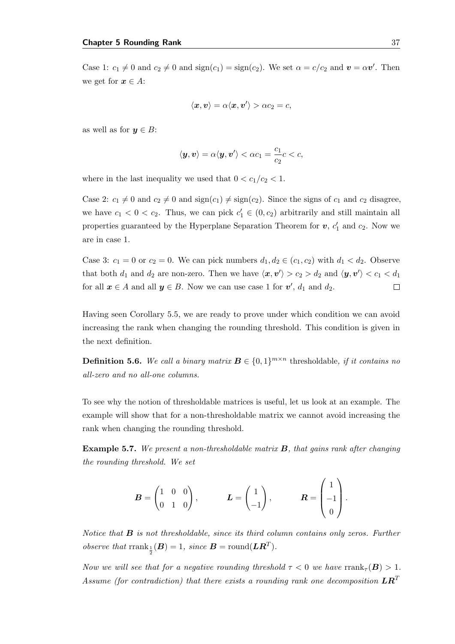Case 1:  $c_1 \neq 0$  and  $c_2 \neq 0$  and  $sign(c_1) = sign(c_2)$ . We set  $\alpha = c/c_2$  and  $\mathbf{v} = \alpha \mathbf{v}'$ . Then we get for  $x \in A$ :

$$
\langle \boldsymbol{x}, \boldsymbol{v}\rangle = \alpha \langle \boldsymbol{x}, \boldsymbol{v}'\rangle > \alpha c_2 = c,
$$

as well as for  $y \in B$ :

$$
\langle \mathbf{y}, \mathbf{v} \rangle = \alpha \langle \mathbf{y}, \mathbf{v}' \rangle < \alpha c_1 = \frac{c_1}{c_2} c < c,
$$

where in the last inequality we used that  $0 < c_1/c_2 < 1$ .

Case 2:  $c_1 \neq 0$  and  $c_2 \neq 0$  and  $sign(c_1) \neq sign(c_2)$ . Since the signs of  $c_1$  and  $c_2$  disagree, we have  $c_1 < 0 < c_2$ . Thus, we can pick  $c'_1 \in (0, c_2)$  arbitrarily and still maintain all properties guaranteed by the Hyperplane Separation Theorem for  $v, c'_1$  and  $c_2$ . Now we are in case 1.

Case 3:  $c_1 = 0$  or  $c_2 = 0$ . We can pick numbers  $d_1, d_2 \in (c_1, c_2)$  with  $d_1 < d_2$ . Observe that both  $d_1$  and  $d_2$  are non-zero. Then we have  $\langle x, v' \rangle > c_2 > d_2$  and  $\langle y, v' \rangle < c_1 < d_1$ for all  $x \in A$  and all  $y \in B$ . Now we can use case 1 for  $v'$ ,  $d_1$  and  $d_2$ .  $\Box$ 

Having seen Corollary [5.5,](#page-45-0) we are ready to prove under which condition we can avoid increasing the rank when changing the rounding threshold. This condition is given in the next definition.

**Definition 5.6.** We call a binary matrix  $\mathbf{B} \in \{0, 1\}^{m \times n}$  thresholdable, if it contains no all-zero and no all-one columns.

To see why the notion of thresholdable matrices is useful, let us look at an example. The example will show that for a non-thresholdable matrix we cannot avoid increasing the rank when changing the rounding threshold.

**Example 5.7.** We present a non-thresholdable matrix  $\bf{B}$ , that gains rank after changing the rounding threshold. We set

$$
\boldsymbol{B} = \begin{pmatrix} 1 & 0 & 0 \\ 0 & 1 & 0 \end{pmatrix}, \qquad \qquad \boldsymbol{L} = \begin{pmatrix} 1 \\ -1 \end{pmatrix}, \qquad \qquad \boldsymbol{R} = \begin{pmatrix} 1 \\ -1 \\ 0 \end{pmatrix}.
$$

Notice that  $\bf{B}$  is not thresholdable, since its third column contains only zeros. Further observe that  $\text{rank}_{\frac{1}{2}}(B) = 1$ , since  $B = \text{round}(LR^T)$ .

Now we will see that for a negative rounding threshold  $\tau < 0$  we have rrank $\tau(\mathbf{B}) > 1$ . Assume (for contradiction) that there exists a rounding rank one decomposition  $LR^T$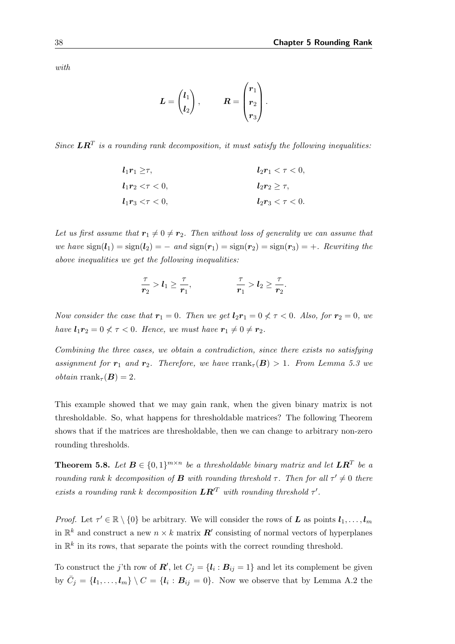with

$$
L = \begin{pmatrix} l_1 \\ l_2 \end{pmatrix}, \qquad R = \begin{pmatrix} r_1 \\ r_2 \\ r_3 \end{pmatrix}.
$$

Since  $\boldsymbol{L}\boldsymbol{R}^T$  is a rounding rank decomposition, it must satisfy the following inequalities:

$$
l_1r_1 \geq \tau, \t l_2r_1 < \tau < 0,
$$
  
\n
$$
l_1r_2 < \tau < 0, \t l_2r_2 \geq \tau,
$$
  
\n
$$
l_1r_3 < \tau < 0, \t l_2r_3 < \tau < 0.
$$

Let us first assume that  $r_1 \neq 0 \neq r_2$ . Then without loss of generality we can assume that we have  $sign(l_1) = sign(l_2) = -$  and  $sign(r_1) = sign(r_2) = sign(r_3) = +$ . Rewriting the above inequalities we get the following inequalities:

$$
\frac{\tau}{r_2} > l_1 \geq \frac{\tau}{r_1}, \qquad \qquad \frac{\tau}{r_1} > l_2 \geq \frac{\tau}{r_2}.
$$

Now consider the case that  $r_1 = 0$ . Then we get  $l_2r_1 = 0 \nless \tau \nless 0$ . Also, for  $r_2 = 0$ , we have  $l_1r_2 = 0 \nless \tau \nless 0$ . Hence, we must have  $r_1 \neq 0 \neq r_2$ .

Combining the three cases, we obtain a contradiction, since there exists no satisfying assignment for  $r_1$  and  $r_2$ . Therefore, we have rrank<sub> $\tau$ </sub>(B) > 1. From Lemma [5.3](#page-44-1) we *obtain* rrank<sub> $\tau$ </sub> $(B) = 2$ .

This example showed that we may gain rank, when the given binary matrix is not thresholdable. So, what happens for thresholdable matrices? The following Theorem shows that if the matrices are thresholdable, then we can change to arbitrary non-zero rounding thresholds.

<span id="page-47-0"></span>**Theorem 5.8.** Let  $B \in \{0,1\}^{m \times n}$  be a thresholdable binary matrix and let  $LR^T$  be a rounding rank k decomposition of **B** with rounding threshold  $\tau$ . Then for all  $\tau' \neq 0$  there exists a rounding rank k decomposition  $LR^{\prime T}$  with rounding threshold  $\tau'$ .

*Proof.* Let  $\tau' \in \mathbb{R} \setminus \{0\}$  be arbitrary. We will consider the rows of L as points  $l_1, \ldots, l_m$ in  $\mathbb{R}^k$  and construct a new  $n \times k$  matrix  $\mathbb{R}^l$  consisting of normal vectors of hyperplanes in  $\mathbb{R}^k$  in its rows, that separate the points with the correct rounding threshold.

To construct the j'th row of  $\mathbf{R}'$ , let  $C_j = \{l_i : \mathbf{B}_{ij} = 1\}$  and let its complement be given by  $\bar{C}_j = \{l_1, \ldots, l_m\} \setminus C = \{l_i : B_{ij} = 0\}$ . Now we observe that by Lemma [A.2](#page-86-0) the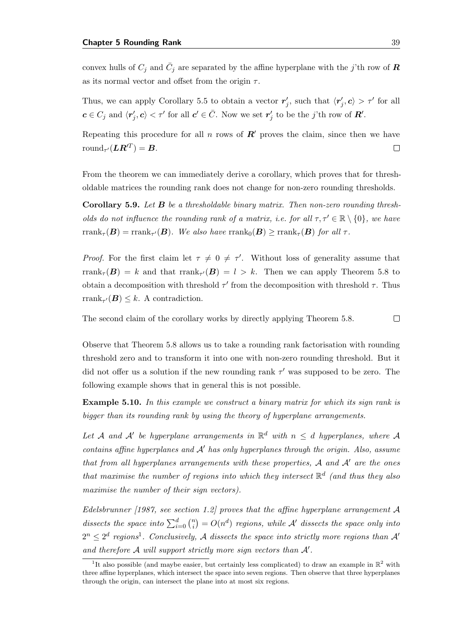convex hulls of  $C_j$  and  $\bar{C}_j$  are separated by the affine hyperplane with the j'th row of  $\bm{R}$ as its normal vector and offset from the origin  $\tau$ .

Thus, we can apply Corollary [5.5](#page-45-0) to obtain a vector  $r'_j$ , such that  $\langle r'_j, c \rangle > \tau'$  for all  $\boldsymbol{c}\in C_j$  and  $\langle \boldsymbol{r}'_j,\boldsymbol{c}\rangle < \tau'$  for all  $\boldsymbol{c}'\in \bar{C}$ . Now we set  $\boldsymbol{r}'_j$  to be the j'th row of  $\boldsymbol{R}'$ .

Repeating this procedure for all n rows of  $R'$  proves the claim, since then we have  $\mathrm{round}_{\tau'}(\boldsymbol{L}\boldsymbol{R}'^T)=\boldsymbol{B}.$  $\Box$ 

From the theorem we can immediately derive a corollary, which proves that for thresholdable matrices the rounding rank does not change for non-zero rounding thresholds.

<span id="page-48-1"></span>Corollary 5.9. Let B be a thresholdable binary matrix. Then non-zero rounding thresholds do not influence the rounding rank of a matrix, i.e. for all  $\tau, \tau' \in \mathbb{R} \setminus \{0\}$ , we have  $\text{rrank}_{\tau}(\boldsymbol{B}) = \text{rrank}_{\tau'}(\boldsymbol{B}).$  We also have  $\text{rrank}_{0}(\boldsymbol{B}) \ge \text{rrank}_{\tau}(\boldsymbol{B})$  for all  $\tau$ .

*Proof.* For the first claim let  $\tau \neq 0 \neq \tau'$ . Without loss of generality assume that  $\text{rrank}_{\tau}(\boldsymbol{B}) = k$  and that  $\text{rrank}_{\tau'}(\boldsymbol{B}) = l > k$ . Then we can apply Theorem [5.8](#page-47-0) to obtain a decomposition with threshold  $\tau'$  from the decomposition with threshold  $\tau$ . Thus rrank<sub> $\tau'$ </sub> $(B) \leq k$ . A contradiction.

The second claim of the corollary works by directly applying Theorem [5.8.](#page-47-0)  $\Box$ 

Observe that Theorem [5.8](#page-47-0) allows us to take a rounding rank factorisation with rounding threshold zero and to transform it into one with non-zero rounding threshold. But it did not offer us a solution if the new rounding rank  $\tau'$  was supposed to be zero. The following example shows that in general this is not possible.

Example 5.10. In this example we construct a binary matrix for which its sign rank is bigger than its rounding rank by using the theory of hyperplane arrangements.

Let A and A' be hyperplane arrangements in  $\mathbb{R}^d$  with  $n \leq d$  hyperplanes, where A contains affine hyperplanes and  $A<sup>'</sup>$  has only hyperplanes through the origin. Also, assume that from all hyperplanes arrangements with these properties,  $A$  and  $A'$  are the ones that maximise the number of regions into which they intersect  $\mathbb{R}^d$  (and thus they also maximise the number of their sign vectors).

[Edelsbrunner](#page-81-3) [\[1987,](#page-81-3) see section 1.2] proves that the affine hyperplane arrangement  $\mathcal A$ dissects the space into  $\sum_{i=0}^{d} \binom{n}{i}$  $\mathcal{L}^{(n)}_{ij} = O(n^d)$  regions, while  $\mathcal{A}'$  dissects the space only into  $2^n \leq 2^d$  regions<sup>[1](#page-48-0)</sup>. Conclusively, A dissects the space into strictly more regions than A' and therefore  $A$  will support strictly more sign vectors than  $A'$ .

<span id="page-48-0"></span><sup>&</sup>lt;sup>1</sup>It also possible (and maybe easier, but certainly less complicated) to draw an example in  $\mathbb{R}^2$  with three affine hyperplanes, which intersect the space into seven regions. Then observe that three hyperplanes through the origin, can intersect the plane into at most six regions.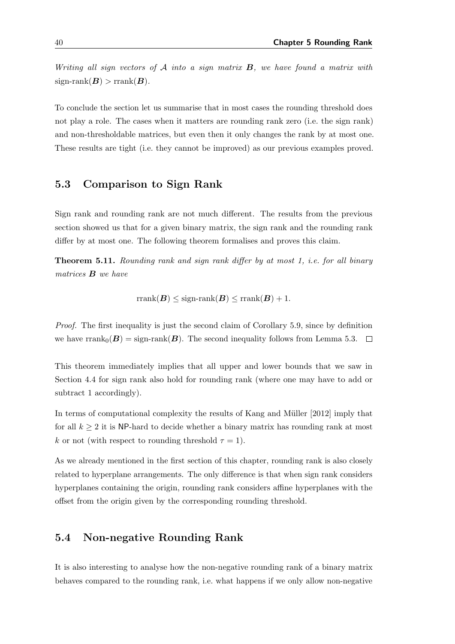Writing all sign vectors of  $A$  into a sign matrix  $B$ , we have found a matrix with  $sign-rank(B) > rank(B)$ .

To conclude the section let us summarise that in most cases the rounding threshold does not play a role. The cases when it matters are rounding rank zero (i.e. the sign rank) and non-thresholdable matrices, but even then it only changes the rank by at most one. These results are tight (i.e. they cannot be improved) as our previous examples proved.

#### <span id="page-49-0"></span>5.3 Comparison to Sign Rank

Sign rank and rounding rank are not much different. The results from the previous section showed us that for a given binary matrix, the sign rank and the rounding rank differ by at most one. The following theorem formalises and proves this claim.

Theorem 5.11. Rounding rank and sign rank differ by at most 1, i.e. for all binary matrices B we have

$$
rrank(\boldsymbol{B}) \leq sign\text{-}rank(\boldsymbol{B}) \leq rrank(\boldsymbol{B}) + 1.
$$

Proof. The first inequality is just the second claim of Corollary [5.9,](#page-48-1) since by definition we have rrank $_0(B) = \text{sign-rank}(B)$ . The second inequality follows from Lemma [5.3.](#page-44-1)  $\Box$ 

This theorem immediately implies that all upper and lower bounds that we saw in Section [4.4](#page-31-0) for sign rank also hold for rounding rank (where one may have to add or subtract 1 accordingly).

In terms of computational complexity the results of Kang and Müller [\[2012\]](#page-82-3) imply that for all  $k \geq 2$  it is NP-hard to decide whether a binary matrix has rounding rank at most k or not (with respect to rounding threshold  $\tau = 1$ ).

As we already mentioned in the first section of this chapter, rounding rank is also closely related to hyperplane arrangements. The only difference is that when sign rank considers hyperplanes containing the origin, rounding rank considers affine hyperplanes with the offset from the origin given by the corresponding rounding threshold.

#### <span id="page-49-1"></span>5.4 Non-negative Rounding Rank

It is also interesting to analyse how the non-negative rounding rank of a binary matrix behaves compared to the rounding rank, i.e. what happens if we only allow non-negative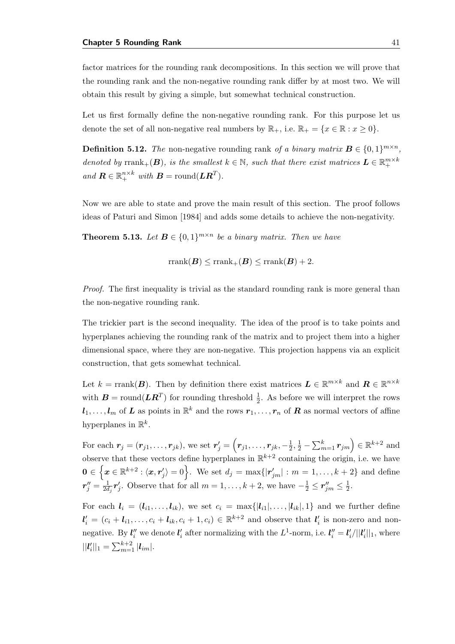factor matrices for the rounding rank decompositions. In this section we will prove that the rounding rank and the non-negative rounding rank differ by at most two. We will obtain this result by giving a simple, but somewhat technical construction.

Let us first formally define the non-negative rounding rank. For this purpose let us denote the set of all non-negative real numbers by  $\mathbb{R}_+$ , i.e.  $\mathbb{R}_+ = \{x \in \mathbb{R} : x \geq 0\}.$ 

**Definition 5.12.** The non-negative rounding rank of a binary matrix  $B \in \{0,1\}^{m \times n}$ , denoted by  $\text{rank}_+(\mathbf{B})$ , is the smallest  $k \in \mathbb{N}$ , such that there exist matrices  $\mathbf{L} \in \mathbb{R}_+^{m \times k}$ and  $\mathbf{R} \in \mathbb{R}_+^{n \times k}$  with  $\mathbf{B} = \text{round}(\mathbf{L}\mathbf{R}^T)$ .

Now we are able to state and prove the main result of this section. The proof follows ideas of [Paturi and Simon](#page-83-2) [\[1984\]](#page-83-2) and adds some details to achieve the non-negativity.

<span id="page-50-0"></span>**Theorem 5.13.** Let  $B \in \{0,1\}^{m \times n}$  be a binary matrix. Then we have

 $rrank(B) \leq rrank_{+}(B) \leq rrank(B) + 2.$ 

Proof. The first inequality is trivial as the standard rounding rank is more general than the non-negative rounding rank.

The trickier part is the second inequality. The idea of the proof is to take points and hyperplanes achieving the rounding rank of the matrix and to project them into a higher dimensional space, where they are non-negative. This projection happens via an explicit construction, that gets somewhat technical.

Let  $k = \text{rank}(B)$ . Then by definition there exist matrices  $L \in \mathbb{R}^{m \times k}$  and  $R \in \mathbb{R}^{n \times k}$ with  $B = \text{round}(LR^T)$  for rounding threshold  $\frac{1}{2}$ . As before we will interpret the rows  $\bm{l}_1,\ldots,\bm{l}_m$  of  $\bm{L}$  as points in  $\mathbb{R}^k$  and the rows  $\bm{r}_1,\ldots,\bm{r}_n$  of  $\bm{R}$  as normal vectors of affine hyperplanes in  $\mathbb{R}^k$ .

For each  $\bm{r}_j=(\bm{r}_{j1},\ldots,\bm{r}_{jk}),$  we set  $\bm{r}'_j=\left(\bm{r}_{j1},\ldots,\bm{r}_{jk},-\frac{1}{2}\right)$  $(\frac{1}{2}, \frac{1}{2} - \sum_{m=1}^{k} r_{jm}) \in \mathbb{R}^{k+2}$  and observe that these vectors define hyperplanes in  $\mathbb{R}^{k+2}$  containing the origin, i.e. we have  $\mathbf{0}\in\left\{\boldsymbol{x}\in\mathbb{R}^{k+2}:\langle\boldsymbol{x},\boldsymbol{r}_j'\rangle=0\right\}.$  We set  $d_j=\max\{|\boldsymbol{r}_{jm}'|:m=1,\ldots,k+2\}$  and define  $\bm{r}''_j = \frac{1}{2d}$  $\frac{1}{2d_j}r'_j$ . Observe that for all  $m=1,\ldots,k+2$ , we have  $-\frac{1}{2} \leq r''_{jm} \leq \frac{1}{2}$  $rac{1}{2}$ .

For each  $l_i = (l_{i1}, \ldots, l_{ik}),$  we set  $c_i = \max\{|l_{i1}|, \ldots, |l_{ik}|, 1\}$  and we further define  $l'_i = (c_i + l_{i1}, \ldots, c_i + l_{ik}, c_i + 1, c_i) \in \mathbb{R}^{k+2}$  and observe that  $l'_i$  is non-zero and nonnegative. By  $l''_i$  we denote  $l'_i$  after normalizing with the  $L^1$ -norm, i.e.  $l''_i = l'_i/||l'_i||_1$ , where  $||\mathbf{l}'_i||_1 = \sum_{m=1}^{k+2} |\mathbf{l}_{im}|.$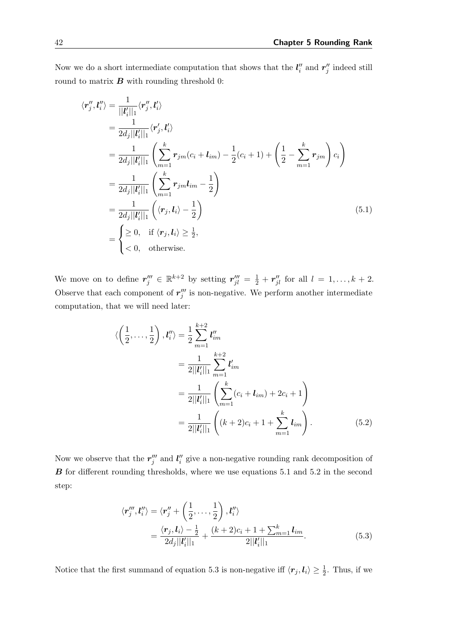Now we do a short intermediate computation that shows that the  $l_i''$  and  $r_j''$  indeed still round to matrix  $\boldsymbol{B}$  with rounding threshold 0:

$$
\langle \mathbf{r}_{j}^{\prime\prime}, \mathbf{l}_{i}^{\prime\prime} \rangle = \frac{1}{||\mathbf{l}_{i}^{\prime}||_{1}} \langle \mathbf{r}_{j}^{\prime\prime}, \mathbf{l}_{i}^{\prime} \rangle
$$
  
\n
$$
= \frac{1}{2d_{j}||\mathbf{l}_{i}^{\prime}||_{1}} \left\langle \mathbf{r}_{j}^{\prime}, \mathbf{l}_{i}^{\prime} \rangle \right
$$
  
\n
$$
= \frac{1}{2d_{j}||\mathbf{l}_{i}^{\prime}||_{1}} \left( \sum_{m=1}^{k} \mathbf{r}_{jm}(c_{i} + \mathbf{l}_{im}) - \frac{1}{2}(c_{i} + 1) + \left( \frac{1}{2} - \sum_{m=1}^{k} \mathbf{r}_{jm} \right) c_{i} \right)
$$
  
\n
$$
= \frac{1}{2d_{j}||\mathbf{l}_{i}^{\prime}||_{1}} \left( \sum_{m=1}^{k} \mathbf{r}_{jm}\mathbf{l}_{im} - \frac{1}{2} \right)
$$
  
\n
$$
= \frac{1}{2d_{j}||\mathbf{l}_{i}^{\prime}||_{1}} \left( \langle \mathbf{r}_{j}, \mathbf{l}_{i} \rangle - \frac{1}{2} \right)
$$
  
\n
$$
= \begin{cases} \geq 0, & \text{if } \langle \mathbf{r}_{j}, \mathbf{l}_{i} \rangle \geq \frac{1}{2}, \\ < 0, & \text{otherwise.} \end{cases}
$$
 (5.1)

We move on to define  $r''_j \in \mathbb{R}^{k+2}$  by setting  $r''_{jl} = \frac{1}{2} + r''_{jl}$  for all  $l = 1, \ldots, k+2$ . Observe that each component of  $r_j'''$  is non-negative. We perform another intermediate computation, that we will need later:

<span id="page-51-0"></span>
$$
\langle \left(\frac{1}{2}, \dots, \frac{1}{2}\right), l_i'' \rangle = \frac{1}{2} \sum_{m=1}^{k+2} l_{im}''
$$
  
\n
$$
= \frac{1}{2||l_i'||_1} \sum_{m=1}^{k+2} l_{im}'
$$
  
\n
$$
= \frac{1}{2||l_i'||_1} \left( \sum_{m=1}^{k} (c_i + l_{im}) + 2c_i + 1 \right)
$$
  
\n
$$
= \frac{1}{2||l_i'||_1} \left( (k+2)c_i + 1 + \sum_{m=1}^{k} l_{im} \right).
$$
 (5.2)

Now we observe that the  $r_j'''$  and  $l_i''$  give a non-negative rounding rank decomposition of **B** for different rounding thresholds, where we use equations [5.1](#page-51-0) and [5.2](#page-51-1) in the second step:

<span id="page-51-2"></span><span id="page-51-1"></span>
$$
\langle \mathbf{r}''_j, \mathbf{l}''_i \rangle = \langle \mathbf{r}''_j + \left(\frac{1}{2}, \dots, \frac{1}{2}\right), \mathbf{l}''_i \rangle
$$
  
= 
$$
\frac{\langle \mathbf{r}_j, \mathbf{l}_i \rangle - \frac{1}{2}}{2d_j||\mathbf{l}'_i||_1} + \frac{(k+2)c_i + 1 + \sum_{m=1}^k \mathbf{l}_{im}}{2||\mathbf{l}'_i||_1}.
$$
 (5.3)

Notice that the first summand of equation [5.3](#page-51-2) is non-negative iff  $\langle r_j, l_i \rangle \geq \frac{1}{2}$ . Thus, if we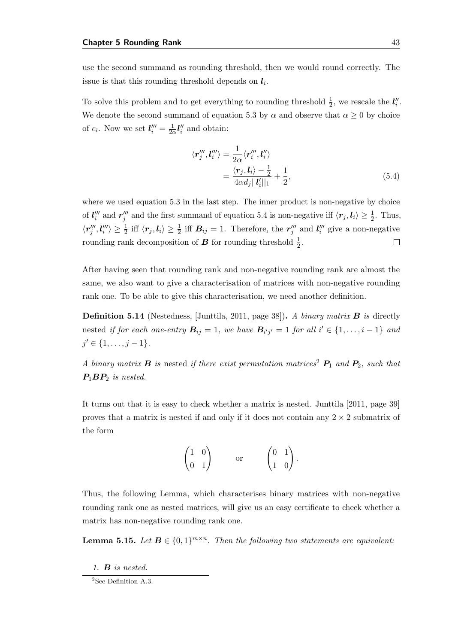use the second summand as rounding threshold, then we would round correctly. The issue is that this rounding threshold depends on  $l_i$ .

To solve this problem and to get everything to rounding threshold  $\frac{1}{2}$ , we rescale the  $l_i''$ . We denote the second summand of equation [5.3](#page-51-2) by  $\alpha$  and observe that  $\alpha \geq 0$  by choice of  $c_i$ . Now we set  $l_i''' = \frac{1}{2c}$  $\frac{1}{2\alpha}$ *l''* and obtain:

<span id="page-52-0"></span>
$$
\langle r_j''', l_i'' \rangle = \frac{1}{2\alpha} \langle r_i''', l_i'' \rangle
$$
  
= 
$$
\frac{\langle r_j, l_i \rangle - \frac{1}{2}}{4\alpha d_j ||l_i'||_1} + \frac{1}{2},
$$
 (5.4)

where we used equation [5.3](#page-51-2) in the last step. The inner product is non-negative by choice of  $l_i'''$  and  $r_j'''$  and the first summand of equation [5.4](#page-52-0) is non-negative iff  $\langle r_j, l_i \rangle \geq \frac{1}{2}$ . Thus,  $\langle r_j''',l_i'''\rangle \geq \frac{1}{2}$  iff  $\langle r_j,l_i\rangle \geq \frac{1}{2}$  iff  $B_{ij} = 1$ . Therefore, the  $r_j'''$  and  $l_i'''$  give a non-negative rounding rank decomposition of  $B$  for rounding threshold  $\frac{1}{2}$ .  $\Box$ 

After having seen that rounding rank and non-negative rounding rank are almost the same, we also want to give a characterisation of matrices with non-negative rounding rank one. To be able to give this characterisation, we need another definition.

**Definition 5.14** (Nestedness, [\[Junttila,](#page-82-4) [2011,](#page-82-4) page 38]). A binary matrix  $\bf{B}$  is directly nested if for each one-entry  $B_{ij} = 1$ , we have  $B_{i'j'} = 1$  for all  $i' \in \{1, ..., i - 1\}$  and  $j' \in \{1, \ldots, j-1\}.$ 

A binary matrix **B** is nested if there exist permutation matrices<sup>[2](#page-52-1)</sup>  $P_1$  and  $P_2$ , such that  $P_1BP_2$  is nested.

It turns out that it is easy to check whether a matrix is nested. [Junttila](#page-82-4) [\[2011,](#page-82-4) page 39] proves that a matrix is nested if and only if it does not contain any  $2 \times 2$  submatrix of the form

$$
\begin{pmatrix} 1 & 0 \\ 0 & 1 \end{pmatrix} \qquad \text{or} \qquad \begin{pmatrix} 0 & 1 \\ 1 & 0 \end{pmatrix}
$$

.

Thus, the following Lemma, which characterises binary matrices with non-negative rounding rank one as nested matrices, will give us an easy certificate to check whether a matrix has non-negative rounding rank one.

<span id="page-52-2"></span>**Lemma 5.15.** Let  $B \in \{0,1\}^{m \times n}$ . Then the following two statements are equivalent:

1. B is nested.

<span id="page-52-1"></span><sup>&</sup>lt;sup>2</sup>See Definition [A.3.](#page-86-1)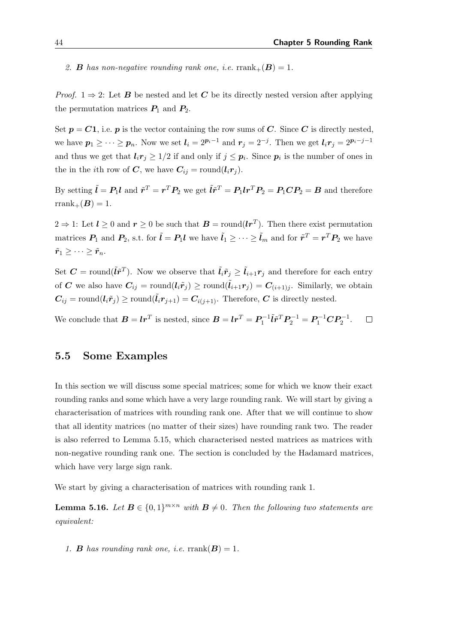2. **B** has non-negative rounding rank one, i.e.  $\text{rank}_{+}(\mathbf{B}) = 1$ .

*Proof.*  $1 \Rightarrow 2$ : Let **B** be nested and let **C** be its directly nested version after applying the permutation matrices  $P_1$  and  $P_2$ .

Set  $p = C1$ , i.e. p is the vector containing the row sums of C. Since C is directly nested, we have  $p_1 \geq \cdots \geq p_n$ . Now we set  $l_i = 2^{p_i-1}$  and  $r_j = 2^{-j}$ . Then we get  $l_i r_j = 2^{p_i - j - 1}$ and thus we get that  $\mathbf{l}_i \mathbf{r}_j \geq 1/2$  if and only if  $j \leq \mathbf{p}_i$ . Since  $\mathbf{p}_i$  is the number of ones in the in the *i*th row of C, we have  $C_{ij} = \text{round}(l_i r_j)$ .

By setting  $\tilde{l} = P_1 l$  and  $\tilde{r}^T = r^T P_2$  we get  $\tilde{l} \tilde{r}^T = P_1 l r^T P_2 = P_1 C P_2 = B$  and therefore  $rrank_{+}(B) = 1.$ 

 $2 \Rightarrow 1$ : Let  $l \geq 0$  and  $r \geq 0$  be such that  $B = \text{round}(lr^{T})$ . Then there exist permutation matrices  $P_1$  and  $P_2$ , s.t. for  $\tilde{l} = P_1 l$  we have  $\tilde{l}_1 \geq \cdots \geq \tilde{l}_m$  and for  $\tilde{r}^T = r^T P_2$  we have  $\tilde{r}_1 \geq \cdots \geq \tilde{r}_n$ .

Set  $C = \text{round}(\tilde{l}\tilde{r}^T)$ . Now we observe that  $\tilde{l}_i \tilde{r}_j \ge \tilde{l}_{i+1} r_j$  and therefore for each entry of C we also have  $C_{ij} = \text{round}(l_i \tilde{r}_j) \ge \text{round}(\tilde{l}_{i+1} r_j) = C_{(i+1)j}$ . Similarly, we obtain  $C_{ij} = \text{round}(l_i \tilde{r}_j) \ge \text{round}(l_i r_{j+1}) = C_{i(j+1)}$ . Therefore, C is directly nested.

We conclude that  $\boldsymbol{B} = \boldsymbol{l} \boldsymbol{r}^T$  is nested, since  $\boldsymbol{B} = \boldsymbol{l} \boldsymbol{r}^T = \boldsymbol{P}_1^{-1} \tilde{\boldsymbol{l}} \tilde{\boldsymbol{r}}^T \boldsymbol{P}_2^{-1} = \boldsymbol{P}_1^{-1} \boldsymbol{C} \boldsymbol{P}_2^{-1}$ .  $\Box$ 

#### <span id="page-53-1"></span>5.5 Some Examples

In this section we will discuss some special matrices; some for which we know their exact rounding ranks and some which have a very large rounding rank. We will start by giving a characterisation of matrices with rounding rank one. After that we will continue to show that all identity matrices (no matter of their sizes) have rounding rank two. The reader is also referred to Lemma [5.15,](#page-52-2) which characterised nested matrices as matrices with non-negative rounding rank one. The section is concluded by the Hadamard matrices, which have very large sign rank.

We start by giving a characterisation of matrices with rounding rank 1.

<span id="page-53-0"></span>**Lemma 5.16.** Let  $B \in \{0,1\}^{m \times n}$  with  $B \neq 0$ . Then the following two statements are equivalent:

1. **B** has rounding rank one, i.e.  $\text{rrank}(\mathbf{B}) = 1$ .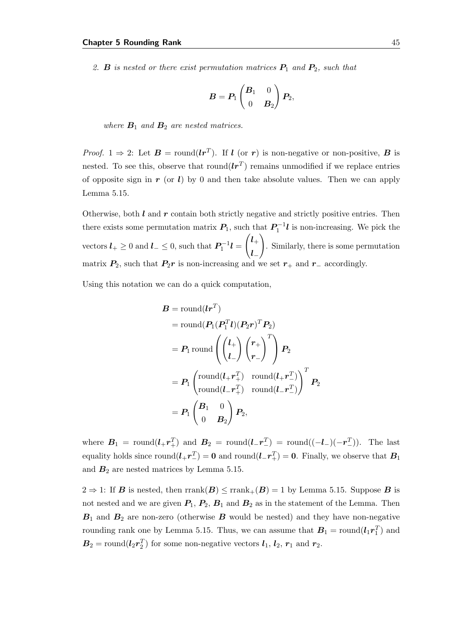2. **B** is nested or there exist permutation matrices  $P_1$  and  $P_2$ , such that

$$
\boldsymbol{B} = \boldsymbol{P}_1 \begin{pmatrix} \boldsymbol{B}_1 & 0 \\ 0 & \boldsymbol{B}_2 \end{pmatrix} \boldsymbol{P}_2,
$$

where  $B_1$  and  $B_2$  are nested matrices.

*Proof.* 1  $\Rightarrow$  2: Let  $\mathbf{B} = \text{round}(\mathbf{lr}^T)$ . If  $\mathbf{l}$  (or  $\mathbf{r}$ ) is non-negative or non-positive,  $\mathbf{B}$  is nested. To see this, observe that  $\text{round}(lr^T)$  remains unmodified if we replace entries of opposite sign in r (or l) by 0 and then take absolute values. Then we can apply Lemma [5.15.](#page-52-2)

Otherwise, both  $l$  and  $r$  contain both strictly negative and strictly positive entries. Then there exists some permutation matrix  $P_1$ , such that  $P_1^{-1}$ *l* is non-increasing. We pick the vectors  $l_+ \geq 0$  and  $l_- \leq 0$ , such that  $P_1^{-1}l =$  $\int_0^1$  $l_{-}$  $\setminus$ . Similarly, there is some permutation matrix  $P_2$ , such that  $P_2r$  is non-increasing and we set  $r_+$  and  $r_-$  accordingly.

Using this notation we can do a quick computation,

$$
B = \text{round}(lr^{T})
$$
  
= round $(P_1(P_1^T l)(P_2r)^T P_2)$   
=  $P_1$  round $\left( {l_{+} \choose l_{-}} {r_{+} \choose r_{-}}^T \right) P_2$   
=  $P_1 \begin{pmatrix} \text{round}(l_{+}r_{+}^T) & \text{round}(l_{+}r_{-}^T) \\ \text{round}(l_{-}r_{+}^T) & \text{round}(l_{-}r_{-}^T) \end{pmatrix}^T P_2$   
=  $P_1 \begin{pmatrix} B_1 & 0 \\ 0 & B_2 \end{pmatrix} P_2$ ,

where  $B_1 = \text{round}(l_+ r_+^T)$  and  $B_2 = \text{round}(l_- r_-^T) = \text{round}((-l_-)(-r_-^T))$ . The last equality holds since  $\text{round}(l_+ r_-^T) = 0$  and  $\text{round}(l_- r_+^T) = 0$ . Finally, we observe that  $B_1$ and  $B_2$  are nested matrices by Lemma [5.15.](#page-52-2)

 $2 \Rightarrow 1$ : If **B** is nested, then rrank $(B) \leq \text{rank}_{+}(B) = 1$  by Lemma [5.15.](#page-52-2) Suppose **B** is not nested and we are given  $P_1$ ,  $P_2$ ,  $B_1$  and  $B_2$  as in the statement of the Lemma. Then  $B_1$  and  $B_2$  are non-zero (otherwise  $B$  would be nested) and they have non-negative rounding rank one by Lemma [5.15.](#page-52-2) Thus, we can assume that  $B_1 = \text{round}(l_1 r_1^T)$  and  $B_2 = \text{round}(l_2 r_2^T)$  for some non-negative vectors  $l_1, l_2, r_1$  and  $r_2$ .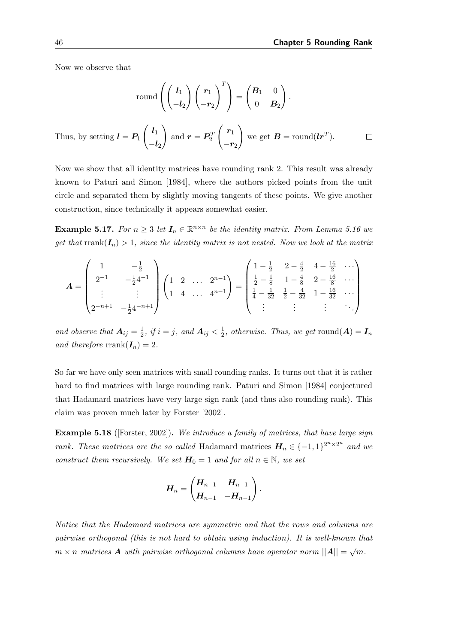Now we observe that

$$
\text{round}\left(\begin{pmatrix} l_1 \\ -l_2 \end{pmatrix} \begin{pmatrix} r_1 \\ -r_2 \end{pmatrix}^T\right) = \begin{pmatrix} B_1 & 0 \\ 0 & B_2 \end{pmatrix}.
$$
\n
$$
\text{by setting } l = P_1 \begin{pmatrix} l_1 \\ -l_2 \end{pmatrix} \text{ and } \mathbf{r} = P_2^T \begin{pmatrix} r_1 \\ -r_2 \end{pmatrix} \text{ we get } \mathbf{B} = \text{round}(l\mathbf{r}^T).
$$

Now we show that all identity matrices have rounding rank 2. This result was already known to [Paturi and Simon](#page-83-2) [\[1984\]](#page-83-2), where the authors picked points from the unit circle and separated them by slightly moving tangents of these points. We give another construction, since technically it appears somewhat easier.

<span id="page-55-0"></span>**Example 5.17.** For  $n \geq 3$  let  $I_n \in \mathbb{R}^{n \times n}$  be the identity matrix. From Lemma [5.16](#page-53-0) we get that  $\text{rank}(I_n) > 1$ , since the identity matrix is not nested. Now we look at the matrix

$$
A = \begin{pmatrix} 1 & -\frac{1}{2} \\ 2^{-1} & -\frac{1}{2}4^{-1} \\ \vdots & \vdots \\ 2^{-n+1} & -\frac{1}{2}4^{-n+1} \end{pmatrix} \begin{pmatrix} 1 & 2 & \dots & 2^{n-1} \\ 1 & 4 & \dots & 4^{n-1} \end{pmatrix} = \begin{pmatrix} 1 - \frac{1}{2} & 2 - \frac{4}{2} & 4 - \frac{16}{2} & \dots \\ \frac{1}{2} - \frac{1}{8} & 1 - \frac{4}{8} & 2 - \frac{16}{8} & \dots \\ \frac{1}{4} - \frac{1}{32} & \frac{1}{2} - \frac{4}{32} & 1 - \frac{16}{32} & \dots \\ \vdots & \vdots & \vdots & \ddots \end{pmatrix}
$$

and observe that  $A_{ij} = \frac{1}{2}$  $\frac{1}{2}$ , if  $i = j$ , and  $A_{ij} < \frac{1}{2}$  $\frac{1}{2}$ , otherwise. Thus, we get round $(\boldsymbol{A}) = \boldsymbol{I}_n$ and therefore rrank $(I_n) = 2$ .

So far we have only seen matrices with small rounding ranks. It turns out that it is rather hard to find matrices with large rounding rank. [Paturi and Simon](#page-83-2) [\[1984\]](#page-83-2) conjectured that Hadamard matrices have very large sign rank (and thus also rounding rank). This claim was proven much later by [Forster](#page-81-4) [\[2002\]](#page-81-4).

Example 5.18 ([\[Forster,](#page-81-4) [2002\]](#page-81-4)). We introduce a family of matrices, that have large sign rank. These matrices are the so called Hadamard matrices  $\boldsymbol{H}_n \in \{-1,1\}^{2^n \times 2^n}$  and we construct them recursively. We set  $H_0 = 1$  and for all  $n \in \mathbb{N}$ , we set

$$
\boldsymbol{H}_n = \begin{pmatrix} \boldsymbol{H}_{n-1} & \boldsymbol{H}_{n-1} \\ \boldsymbol{H}_{n-1} & -\boldsymbol{H}_{n-1} \end{pmatrix}.
$$

Notice that the Hadamard matrices are symmetric and that the rows and columns are pairwise orthogonal (this is not hard to obtain using induction). It is well-known that  $m \times n$  matrices  $\boldsymbol{A}$  with pairwise orthogonal columns have operator norm  $||\boldsymbol{A}|| = \sqrt{m}$ .

Thus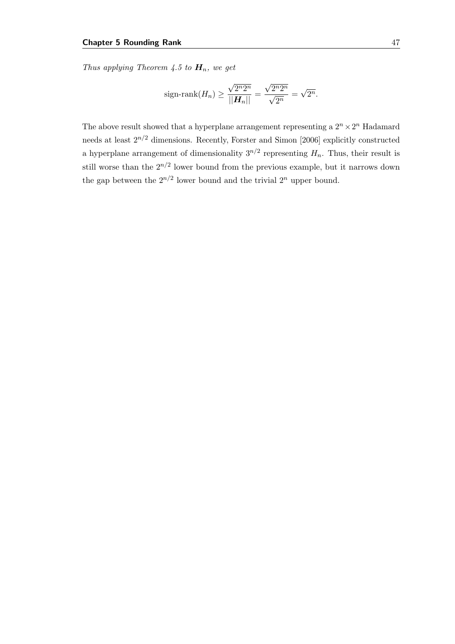Thus applying Theorem [4.5](#page-32-0) to  $H_n$ , we get

sign-rank
$$
(H_n) \ge \frac{\sqrt{2^n 2^n}}{||H_n||} = \frac{\sqrt{2^n 2^n}}{\sqrt{2^n}} = \sqrt{2^n}.
$$

The above result showed that a hyperplane arrangement representing a  $2^n \times 2^n$  Hadamard needs at least  $2^{n/2}$  dimensions. Recently, [Forster and Simon](#page-82-2) [\[2006\]](#page-82-2) explicitly constructed a hyperplane arrangement of dimensionality  $3^{n/2}$  representing  $H_n$ . Thus, their result is still worse than the  $2^{n/2}$  lower bound from the previous example, but it narrows down the gap between the  $2^{n/2}$  lower bound and the trivial  $2^n$  upper bound.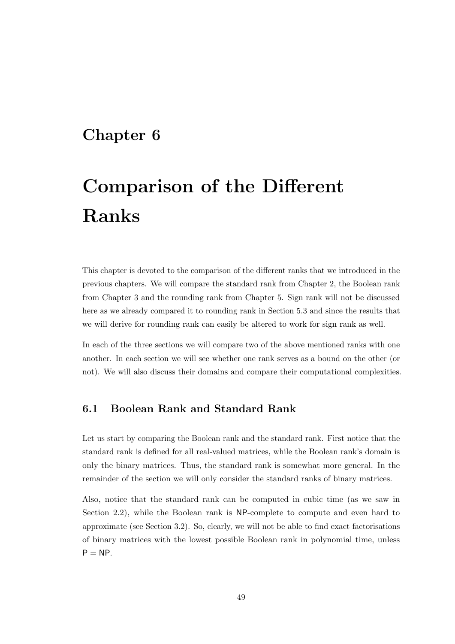## Chapter 6

# Comparison of the Different Ranks

This chapter is devoted to the comparison of the different ranks that we introduced in the previous chapters. We will compare the standard rank from Chapter [2,](#page-14-0) the Boolean rank from Chapter [3](#page-18-0) and the rounding rank from Chapter [5.](#page-42-0) Sign rank will not be discussed here as we already compared it to rounding rank in Section [5.3](#page-49-0) and since the results that we will derive for rounding rank can easily be altered to work for sign rank as well.

In each of the three sections we will compare two of the above mentioned ranks with one another. In each section we will see whether one rank serves as a bound on the other (or not). We will also discuss their domains and compare their computational complexities.

#### 6.1 Boolean Rank and Standard Rank

Let us start by comparing the Boolean rank and the standard rank. First notice that the standard rank is defined for all real-valued matrices, while the Boolean rank's domain is only the binary matrices. Thus, the standard rank is somewhat more general. In the remainder of the section we will only consider the standard ranks of binary matrices.

Also, notice that the standard rank can be computed in cubic time (as we saw in Section [2.2\)](#page-15-0), while the Boolean rank is NP-complete to compute and even hard to approximate (see Section [3.2\)](#page-20-0). So, clearly, we will not be able to find exact factorisations of binary matrices with the lowest possible Boolean rank in polynomial time, unless  $P = NP$ .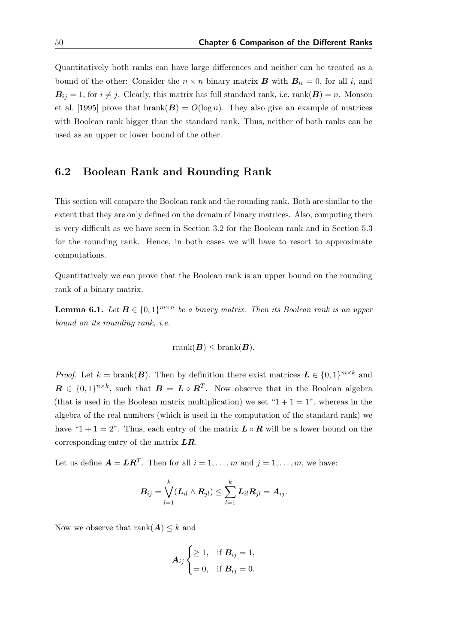Quantitatively both ranks can have large differences and neither can be treated as a bound of the other: Consider the  $n \times n$  binary matrix **B** with  $B_{ii} = 0$ , for all i, and  $B_{ij} = 1$ , for  $i \neq j$ . Clearly, this matrix has full standard rank, i.e. rank $(B) = n$ . [Monson](#page-83-3) [et al.](#page-83-3) [\[1995\]](#page-83-3) prove that  $branch(\mathbf{B}) = O(log n)$ . They also give an example of matrices with Boolean rank bigger than the standard rank. Thus, neither of both ranks can be used as an upper or lower bound of the other.

#### 6.2 Boolean Rank and Rounding Rank

This section will compare the Boolean rank and the rounding rank. Both are similar to the extent that they are only defined on the domain of binary matrices. Also, computing them is very difficult as we have seen in Section [3.2](#page-20-0) for the Boolean rank and in Section [5.3](#page-49-0) for the rounding rank. Hence, in both cases we will have to resort to approximate computations.

Quantitatively we can prove that the Boolean rank is an upper bound on the rounding rank of a binary matrix.

**Lemma 6.1.** Let  $B \in \{0,1\}^{m \times n}$  be a binary matrix. Then its Boolean rank is an upper bound on its rounding rank, i.e.

$$
\text{rrank}(\boldsymbol{B}) \leq \text{branch}(\boldsymbol{B}).
$$

*Proof.* Let  $k = \text{branch}(\mathbf{B})$ . Then by definition there exist matrices  $\mathbf{L} \in \{0,1\}^{m \times k}$  and  $\mathbf{R} \in \{0,1\}^{n \times k}$ , such that  $\mathbf{B} = \mathbf{L} \circ \mathbf{R}^{T}$ . Now observe that in the Boolean algebra (that is used in the Boolean matrix multiplication) we set " $1 + 1 = 1$ ", whereas in the algebra of the real numbers (which is used in the computation of the standard rank) we have "1 + 1 = 2". Thus, each entry of the matrix  $\mathbf{L} \circ \mathbf{R}$  will be a lower bound on the corresponding entry of the matrix  $LR$ .

Let us define  $\mathbf{A} = \mathbf{L}\mathbf{R}^T$ . Then for all  $i = 1, \ldots, m$  and  $j = 1, \ldots, m$ , we have:

$$
\boldsymbol{B}_{ij} = \bigvee_{l=1}^k (\boldsymbol{L}_{il} \wedge \boldsymbol{R}_{jl}) \leq \sum_{l=1}^k \boldsymbol{L}_{il} \boldsymbol{R}_{jl} = \boldsymbol{A}_{ij}.
$$

Now we observe that rank $(A) \leq k$  and

$$
\boldsymbol{A}_{ij} \begin{cases} \geq 1, & \text{if } \boldsymbol{B}_{ij} = 1, \\ = 0, & \text{if } \boldsymbol{B}_{ij} = 0. \end{cases}
$$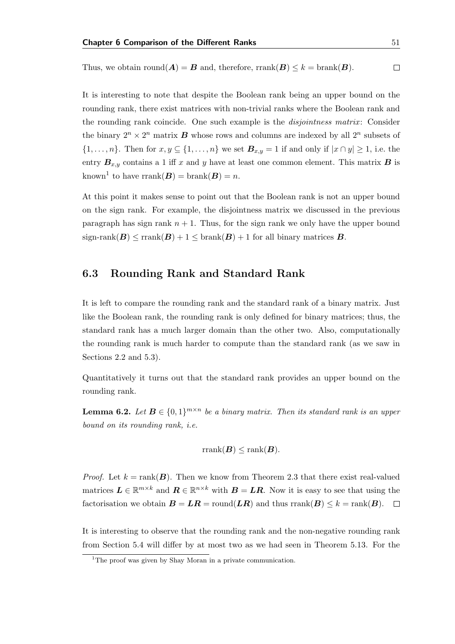Thus, we obtain round( $A$ ) =  $B$  and, therefore, rrank( $B$ )  $\leq k$  = brank( $B$ ).  $\Box$ 

It is interesting to note that despite the Boolean rank being an upper bound on the rounding rank, there exist matrices with non-trivial ranks where the Boolean rank and the rounding rank coincide. One such example is the *disjointness matrix*: Consider the binary  $2^n \times 2^n$  matrix **B** whose rows and columns are indexed by all  $2^n$  subsets of  $\{1,\ldots,n\}$ . Then for  $x,y \subseteq \{1,\ldots,n\}$  we set  $\mathbf{B}_{x,y}=1$  if and only if  $|x \cap y| \geq 1$ , i.e. the entry  $B_{x,y}$  contains a 1 iff x and y have at least one common element. This matrix B is known<sup>[1](#page-60-0)</sup> to have  $\text{rrank}(\boldsymbol{B}) = \text{brank}(\boldsymbol{B}) = n$ .

At this point it makes sense to point out that the Boolean rank is not an upper bound on the sign rank. For example, the disjointness matrix we discussed in the previous paragraph has sign rank  $n + 1$ . Thus, for the sign rank we only have the upper bound  $sign-rank(B) \leq rank(B) + 1 \leq branch(B) + 1$  for all binary matrices **B**.

#### 6.3 Rounding Rank and Standard Rank

It is left to compare the rounding rank and the standard rank of a binary matrix. Just like the Boolean rank, the rounding rank is only defined for binary matrices; thus, the standard rank has a much larger domain than the other two. Also, computationally the rounding rank is much harder to compute than the standard rank (as we saw in Sections [2.2](#page-15-0) and [5.3\)](#page-49-0).

Quantitatively it turns out that the standard rank provides an upper bound on the rounding rank.

**Lemma 6.2.** Let  $B \in \{0,1\}^{m \times n}$  be a binary matrix. Then its standard rank is an upper bound on its rounding rank, i.e.

$$
\operatorname{rank}(\boldsymbol{B}) \leq \operatorname{rank}(\boldsymbol{B}).
$$

*Proof.* Let  $k = \text{rank}(\boldsymbol{B})$ . Then we know from Theorem [2.3](#page-15-1) that there exist real-valued matrices  $\mathbf{L} \in \mathbb{R}^{m \times k}$  and  $\mathbf{R} \in \mathbb{R}^{n \times k}$  with  $\mathbf{B} = \mathbf{L}\mathbf{R}$ . Now it is easy to see that using the factorisation we obtain  $\mathbf{B} = \mathbf{LR} = \text{round}(\mathbf{LR})$  and thus  $\text{rank}(\mathbf{B}) \leq k = \text{rank}(\mathbf{B})$ .  $\Box$ 

It is interesting to observe that the rounding rank and the non-negative rounding rank from Section [5.4](#page-49-1) will differ by at most two as we had seen in Theorem [5.13.](#page-50-0) For the

<span id="page-60-0"></span><sup>&</sup>lt;sup>1</sup>The proof was given by Shay Moran in a private communication.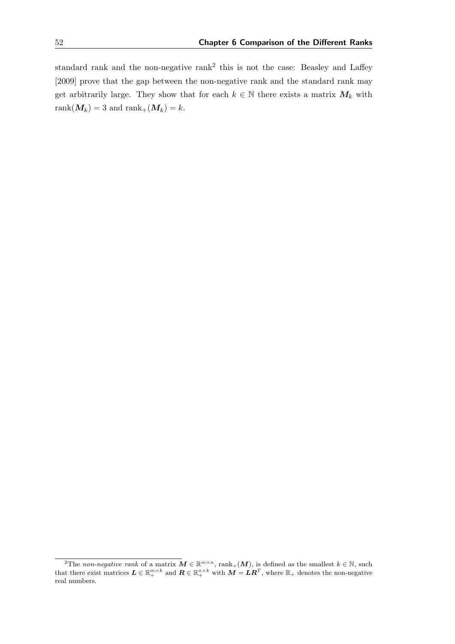standard rank and the non-negative rank<sup>[2](#page-61-0)</sup> this is not the case: [Beasley and Laffey](#page-80-3) [\[2009\]](#page-80-3) prove that the gap between the non-negative rank and the standard rank may get arbitrarily large. They show that for each  $k \in \mathbb{N}$  there exists a matrix  $M_k$  with rank $(M_k) = 3$  and rank $+(M_k) = k$ .

<span id="page-61-0"></span><sup>&</sup>lt;sup>2</sup>The non-negative rank of a matrix  $M \in \mathbb{R}^{m \times n}$ , rank<sub>+</sub>(M), is defined as the smallest  $k \in \mathbb{N}$ , such that there exist matrices  $\mathbf{L} \in \mathbb{R}^{m \times k}_+$  and  $\mathbf{R} \in \mathbb{R}^{n \times k}_+$  with  $\mathbf{M} = \mathbf{L}\mathbf{R}^T$ , where  $\mathbb{R}_+$  denotes the non-negative real numbers.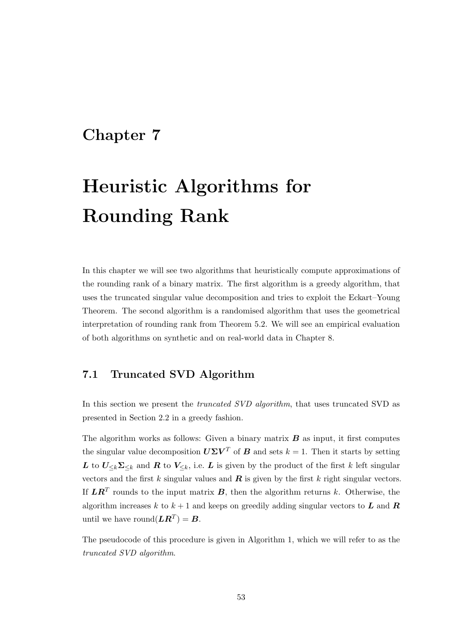## <span id="page-62-0"></span>Chapter 7

# Heuristic Algorithms for Rounding Rank

In this chapter we will see two algorithms that heuristically compute approximations of the rounding rank of a binary matrix. The first algorithm is a greedy algorithm, that uses the truncated singular value decomposition and tries to exploit the Eckart–Young Theorem. The second algorithm is a randomised algorithm that uses the geometrical interpretation of rounding rank from Theorem [5.2.](#page-44-0) We will see an empirical evaluation of both algorithms on synthetic and on real-world data in Chapter [8.](#page-70-0)

#### 7.1 Truncated SVD Algorithm

In this section we present the truncated SVD algorithm, that uses truncated SVD as presented in Section [2.2](#page-15-0) in a greedy fashion.

The algorithm works as follows: Given a binary matrix  $B$  as input, it first computes the singular value decomposition  $U\Sigma V^T$  of B and sets  $k = 1$ . Then it starts by setting L to  $U_{\leq k}\Sigma_{\leq k}$  and R to  $V_{\leq k}$ , i.e. L is given by the product of the first k left singular vectors and the first k singular values and  $\bf{R}$  is given by the first k right singular vectors. If  $LR^T$  rounds to the input matrix  $B$ , then the algorithm returns k. Otherwise, the algorithm increases k to  $k + 1$  and keeps on greedily adding singular vectors to L and R until we have round $(\boldsymbol{L}\boldsymbol{R}^T) = \boldsymbol{B}$ .

The pseudocode of this procedure is given in Algorithm [1,](#page-63-0) which we will refer to as the truncated SVD algorithm.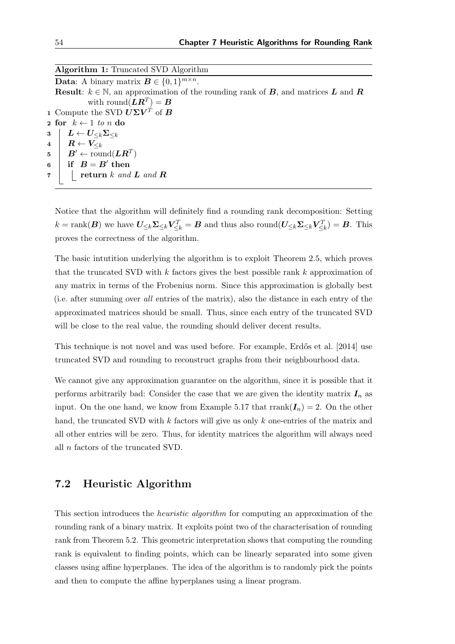Algorithm 1: Truncated SVD Algorithm **Data:** A binary matrix  $\mathbf{B} \in \{0, 1\}^{m \times n}$ . **Result:**  $k \in \mathbb{N}$ , an approximation of the rounding rank of **B**, and matrices **L** and **R** with  $\mathrm{round}(\boldsymbol{L}\boldsymbol{R}^T)=\boldsymbol{B}$ 1 Compute the SVD  $\boldsymbol{U\Sigma V^T}$  of B 2 for  $k \leftarrow 1$  to n do<br>3  $\mathbf{L} \leftarrow \mathbf{L} \cup \mathbf{\Sigma} \cup \mathbf{L}$  $\begin{array}{c|c} \texttt{3} & L \leftarrow U_{\leq k}\mathbf{\Sigma}_{\leq k} \ & \texttt{4} & R \leftarrow V_{\leq k} \ \end{array}$  $\boldsymbol{R} \leftarrow \boldsymbol{V}_{\leq k}$  $\begin{aligned} \texttt{5} \quad & \mid \quad B' \leftarrow \text{round}(\boldsymbol{L}\boldsymbol{R}^T) \end{aligned}$  $\begin{array}{|c|c|} \hline \hspace{1.5mm} \textbf{\textit{6}} & \hspace{1.5mm} \textbf{\textit{if}} & \hspace{1.5mm} B = B' \text{ then} \end{array}$  $\mathbf{7}$  | return k and **L** and **R** 

<span id="page-63-0"></span>Notice that the algorithm will definitely find a rounding rank decomposition: Setting  $k = \text{rank}(\boldsymbol{B})$  we have  $U_{\leq k} \Sigma_{\leq k} V_{\leq k}^T = \boldsymbol{B}$  and thus also round $(U_{\leq k} \Sigma_{\leq k} V_{\leq k}^T) = \boldsymbol{B}$ . This proves the correctness of the algorithm.

The basic intutition underlying the algorithm is to exploit Theorem [2.5,](#page-16-0) which proves that the truncated SVD with k factors gives the best possible rank k approximation of any matrix in terms of the Frobenius norm. Since this approximation is globally best (i.e. after summing over all entries of the matrix), also the distance in each entry of the approximated matrices should be small. Thus, since each entry of the truncated SVD will be close to the real value, the rounding should deliver decent results.

This technique is not novel and was used before. For example, Erdős et al. [\[2014\]](#page-81-5) use truncated SVD and rounding to reconstruct graphs from their neighbourhood data.

We cannot give any approximation guarantee on the algorithm, since it is possible that it performs arbitrarily bad: Consider the case that we are given the identity matrix  $I_n$  as input. On the one hand, we know from Example [5.17](#page-55-0) that rrank $(I_n) = 2$ . On the other hand, the truncated SVD with  $k$  factors will give us only  $k$  one-entries of the matrix and all other entries will be zero. Thus, for identity matrices the algorithm will always need all n factors of the truncated SVD.

#### 7.2 Heuristic Algorithm

This section introduces the heuristic algorithm for computing an approximation of the rounding rank of a binary matrix. It exploits point two of the characterisation of rounding rank from Theorem [5.2.](#page-44-0) This geometric interpretation shows that computing the rounding rank is equivalent to finding points, which can be linearly separated into some given classes using affine hyperplanes. The idea of the algorithm is to randomly pick the points and then to compute the affine hyperplanes using a linear program.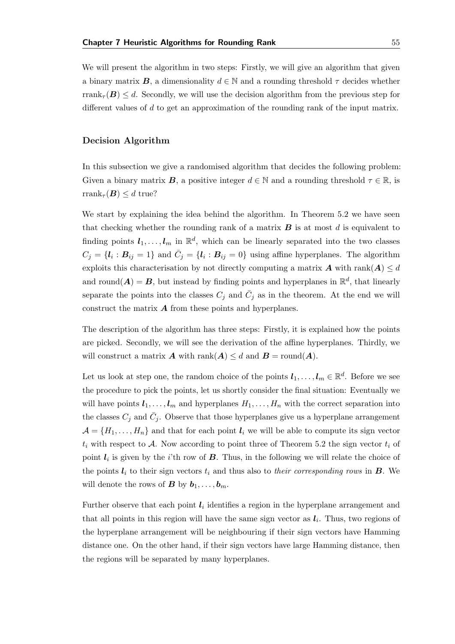We will present the algorithm in two steps: Firstly, we will give an algorithm that given a binary matrix **B**, a dimensionality  $d \in \mathbb{N}$  and a rounding threshold  $\tau$  decides whether rrank<sub> $\tau$ </sub> $(B) \leq d$ . Secondly, we will use the decision algorithm from the previous step for different values of d to get an approximation of the rounding rank of the input matrix.

#### Decision Algorithm

In this subsection we give a randomised algorithm that decides the following problem: Given a binary matrix **B**, a positive integer  $d \in \mathbb{N}$  and a rounding threshold  $\tau \in \mathbb{R}$ , is rrank<sub> $\tau$ </sub> $(B) \leq d$  true?

We start by explaining the idea behind the algorithm. In Theorem [5.2](#page-44-0) we have seen that checking whether the rounding rank of a matrix  $\bf{B}$  is at most d is equivalent to finding points  $l_1, \ldots, l_m$  in  $\mathbb{R}^d$ , which can be linearly separated into the two classes  $C_j = \{l_i : B_{ij} = 1\}$  and  $\bar{C}_j = \{l_i : B_{ij} = 0\}$  using affine hyperplanes. The algorithm exploits this characterisation by not directly computing a matrix  $\mathbf{A}$  with rank $(\mathbf{A}) \leq d$ and round( $A$ ) =  $B$ , but instead by finding points and hyperplanes in  $\mathbb{R}^d$ , that linearly separate the points into the classes  $C_j$  and  $\bar{C}_j$  as in the theorem. At the end we will construct the matrix  $\boldsymbol{A}$  from these points and hyperplanes.

The description of the algorithm has three steps: Firstly, it is explained how the points are picked. Secondly, we will see the derivation of the affine hyperplanes. Thirdly, we will construct a matrix **A** with rank $(A) \leq d$  and **B** = round $(A)$ .

Let us look at step one, the random choice of the points  $l_1, \ldots, l_m \in \mathbb{R}^d$ . Before we see the procedure to pick the points, let us shortly consider the final situation: Eventually we will have points  $l_1, \ldots, l_m$  and hyperplanes  $H_1, \ldots, H_n$  with the correct separation into the classes  $C_j$  and  $\bar{C}_j$ . Observe that those hyperplanes give us a hyperplane arrangement  $\mathcal{A} = \{H_1, \ldots, H_n\}$  and that for each point  $\mathbf{l}_i$  we will be able to compute its sign vector  $t_i$  with respect to A. Now according to point three of Theorem [5.2](#page-44-0) the sign vector  $t_i$  of point  $l_i$  is given by the *i*'th row of  $B$ . Thus, in the following we will relate the choice of the points  $l_i$  to their sign vectors  $t_i$  and thus also to their corresponding rows in **B**. We will denote the rows of **B** by  $b_1, \ldots, b_m$ .

Further observe that each point  $l_i$  identifies a region in the hyperplane arrangement and that all points in this region will have the same sign vector as  $l_i$ . Thus, two regions of the hyperplane arrangement will be neighbouring if their sign vectors have Hamming distance one. On the other hand, if their sign vectors have large Hamming distance, then the regions will be separated by many hyperplanes.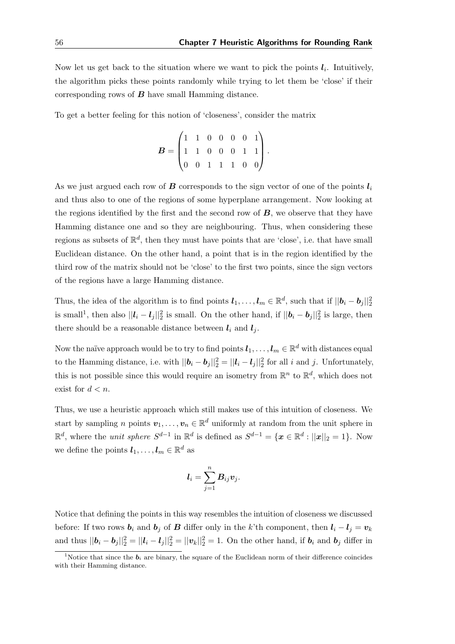Now let us get back to the situation where we want to pick the points  $l_i$ . Intuitively, the algorithm picks these points randomly while trying to let them be 'close' if their corresponding rows of  $B$  have small Hamming distance.

To get a better feeling for this notion of 'closeness', consider the matrix

$$
B = \begin{pmatrix} 1 & 1 & 0 & 0 & 0 & 0 & 1 \\ 1 & 1 & 0 & 0 & 0 & 1 & 1 \\ 0 & 0 & 1 & 1 & 1 & 0 & 0 \end{pmatrix}.
$$

As we just argued each row of **B** corresponds to the sign vector of one of the points  $l_i$ and thus also to one of the regions of some hyperplane arrangement. Now looking at the regions identified by the first and the second row of  $\boldsymbol{B}$ , we observe that they have Hamming distance one and so they are neighbouring. Thus, when considering these regions as subsets of  $\mathbb{R}^d$ , then they must have points that are 'close', i.e. that have small Euclidean distance. On the other hand, a point that is in the region identified by the third row of the matrix should not be 'close' to the first two points, since the sign vectors of the regions have a large Hamming distance.

Thus, the idea of the algorithm is to find points  $l_1, \ldots, l_m \in \mathbb{R}^d$ , such that if  $||\boldsymbol{b}_i - \boldsymbol{b}_j||_2^2$ is small<sup>[1](#page-65-0)</sup>, then also  $||\bm{l}_i - \bm{l}_j||_2^2$  is small. On the other hand, if  $||\bm{b}_i - \bm{b}_j||_2^2$  is large, then there should be a reasonable distance between  $l_i$  and  $l_j$ .

Now the naïve approach would be to try to find points  $\bm{l}_1,\ldots,\bm{l}_m\in\mathbb{R}^d$  with distances equal to the Hamming distance, i.e. with  $||\bm{b}_i - \bm{b}_j||_2^2 = ||\bm{l}_i - \bm{l}_j||_2^2$  for all i and j. Unfortunately, this is not possible since this would require an isometry from  $\mathbb{R}^n$  to  $\mathbb{R}^d$ , which does not exist for  $d < n$ .

Thus, we use a heuristic approach which still makes use of this intuition of closeness. We start by sampling n points  $v_1, \ldots, v_n \in \mathbb{R}^d$  uniformly at random from the unit sphere in  $\mathbb{R}^d$ , where the *unit sphere*  $S^{d-1}$  in  $\mathbb{R}^d$  is defined as  $S^{d-1} = \{x \in \mathbb{R}^d : ||x||_2 = 1\}$ . Now we define the points  $l_1, \ldots, l_m \in \mathbb{R}^d$  as

$$
\boldsymbol{l}_i = \sum_{j=1}^n \boldsymbol{B}_{ij} \boldsymbol{v}_j.
$$

Notice that defining the points in this way resembles the intuition of closeness we discussed before: If two rows  $b_i$  and  $b_j$  of B differ only in the k'th component, then  $l_i - l_j = v_k$ and thus  $||\boldsymbol{b}_i - \boldsymbol{b}_j||_2^2 = ||\boldsymbol{l}_i - \boldsymbol{l}_j||_2^2 = ||\boldsymbol{v}_k||_2^2 = 1$ . On the other hand, if  $\boldsymbol{b}_i$  and  $\boldsymbol{b}_j$  differ in

<span id="page-65-0"></span><sup>&</sup>lt;sup>1</sup>Notice that since the  $b_i$  are binary, the square of the Euclidean norm of their difference coincides with their Hamming distance.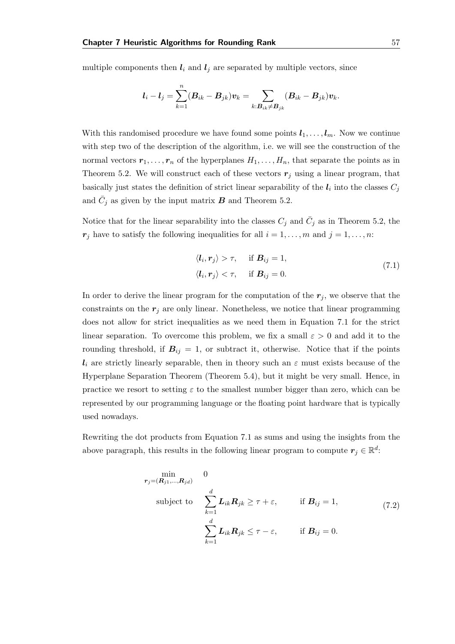multiple components then  $l_i$  and  $l_j$  are separated by multiple vectors, since

$$
\boldsymbol{l}_i - \boldsymbol{l}_j = \sum_{k=1}^n (\boldsymbol{B}_{ik} - \boldsymbol{B}_{jk}) \boldsymbol{v}_k = \sum_{k: \boldsymbol{B}_{ik} \neq \boldsymbol{B}_{jk}} (\boldsymbol{B}_{ik} - \boldsymbol{B}_{jk}) \boldsymbol{v}_k.
$$

With this randomised procedure we have found some points  $l_1, \ldots, l_m$ . Now we continue with step two of the description of the algorithm, i.e. we will see the construction of the normal vectors  $r_1, \ldots, r_n$  of the hyperplanes  $H_1, \ldots, H_n$ , that separate the points as in Theorem [5.2.](#page-44-0) We will construct each of these vectors  $r_j$  using a linear program, that basically just states the definition of strict linear separability of the  $l_i$  into the classes  $C_j$ and  $\bar{C}_j$  as given by the input matrix  $\bm{B}$  and Theorem [5.2.](#page-44-0)

Notice that for the linear separability into the classes  $C_j$  and  $\bar{C}_j$  as in Theorem [5.2,](#page-44-0) the  $r_j$  have to satisfy the following inequalities for all  $i = 1, \ldots, m$  and  $j = 1, \ldots, n$ :

<span id="page-66-0"></span>
$$
\langle \mathbf{l}_i, \mathbf{r}_j \rangle > \tau, \quad \text{if } \mathbf{B}_{ij} = 1,
$$
  

$$
\langle \mathbf{l}_i, \mathbf{r}_j \rangle < \tau, \quad \text{if } \mathbf{B}_{ij} = 0.
$$
 (7.1)

In order to derive the linear program for the computation of the  $r_j$ , we observe that the constraints on the  $r_j$  are only linear. Nonetheless, we notice that linear programming does not allow for strict inequalities as we need them in Equation [7.1](#page-66-0) for the strict linear separation. To overcome this problem, we fix a small  $\varepsilon > 0$  and add it to the rounding threshold, if  $B_{ij} = 1$ , or subtract it, otherwise. Notice that if the points  $l_i$  are strictly linearly separable, then in theory such an  $\varepsilon$  must exists because of the Hyperplane Separation Theorem (Theorem [5.4\)](#page-45-1), but it might be very small. Hence, in practice we resort to setting  $\varepsilon$  to the smallest number bigger than zero, which can be represented by our programming language or the floating point hardware that is typically used nowadays.

Rewriting the dot products from Equation [7.1](#page-66-0) as sums and using the insights from the above paragraph, this results in the following linear program to compute  $r_j \in \mathbb{R}^d$ :

<span id="page-66-1"></span>
$$
\min_{r_j = (R_{j1}, ..., R_{jd})} 0
$$
\nsubject to\n
$$
\sum_{k=1}^d L_{ik} R_{jk} \geq \tau + \varepsilon, \quad \text{if } B_{ij} = 1,
$$
\n
$$
\sum_{k=1}^d L_{ik} R_{jk} \leq \tau - \varepsilon, \quad \text{if } B_{ij} = 0.
$$
\n(7.2)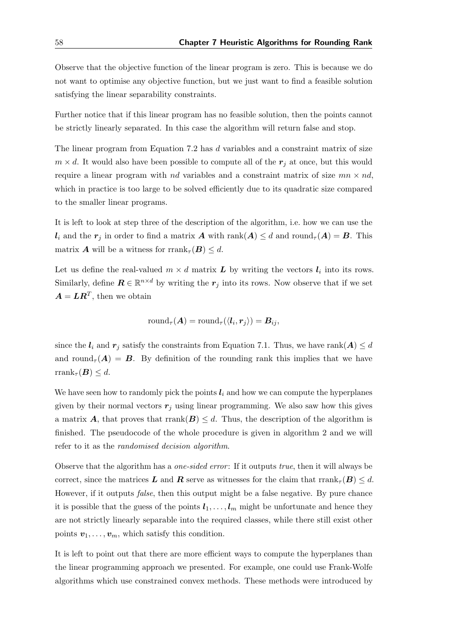Observe that the objective function of the linear program is zero. This is because we do not want to optimise any objective function, but we just want to find a feasible solution satisfying the linear separability constraints.

Further notice that if this linear program has no feasible solution, then the points cannot be strictly linearly separated. In this case the algorithm will return false and stop.

The linear program from Equation [7.2](#page-66-1) has d variables and a constraint matrix of size  $m \times d$ . It would also have been possible to compute all of the  $r_i$  at once, but this would require a linear program with nd variables and a constraint matrix of size  $mn \times nd$ , which in practice is too large to be solved efficiently due to its quadratic size compared to the smaller linear programs.

It is left to look at step three of the description of the algorithm, i.e. how we can use the  $l_i$  and the  $r_j$  in order to find a matrix A with rank $(A) \leq d$  and round $\tau(A) = B$ . This matrix **A** will be a witness for rrank<sub> $\tau$ </sub> (**B**)  $\leq d$ .

Let us define the real-valued  $m \times d$  matrix  $\boldsymbol{L}$  by writing the vectors  $\boldsymbol{l}_i$  into its rows. Similarly, define  $\mathbf{R} \in \mathbb{R}^{n \times d}$  by writing the  $r_j$  into its rows. Now observe that if we set  $\boldsymbol{A} = \boldsymbol{L}\boldsymbol{R}^T$ , then we obtain

$$
\text{round}_{\tau}(\boldsymbol{A}) = \text{round}_{\tau}(\langle \boldsymbol{l}_i, \boldsymbol{r}_j \rangle) = \boldsymbol{B}_{ij},
$$

since the  $l_i$  and  $r_j$  satisfy the constraints from Equation [7.1.](#page-66-0) Thus, we have rank $(A) \leq d$ and round<sub> $\tau(A) = B$ . By definition of the rounding rank this implies that we have</sub> rrank<sub> $\tau$ </sub> $(B) \leq d$ .

We have seen how to randomly pick the points  $l_i$  and how we can compute the hyperplanes given by their normal vectors  $r_j$  using linear programming. We also saw how this gives a matrix A, that proves that rrank $(B) \leq d$ . Thus, the description of the algorithm is finished. The pseudocode of the whole procedure is given in algorithm [2](#page-68-0) and we will refer to it as the randomised decision algorithm.

Observe that the algorithm has a *one-sided error*: If it outputs *true*, then it will always be correct, since the matrices L and R serve as witnesses for the claim that  $\text{rank}_{\tau}(B) \leq d$ . However, if it outputs *false*, then this output might be a false negative. By pure chance it is possible that the guess of the points  $l_1, \ldots, l_m$  might be unfortunate and hence they are not strictly linearly separable into the required classes, while there still exist other points  $v_1, \ldots, v_m$ , which satisfy this condition.

It is left to point out that there are more efficient ways to compute the hyperplanes than the linear programming approach we presented. For example, one could use Frank-Wolfe algorithms which use constrained convex methods. These methods were introduced by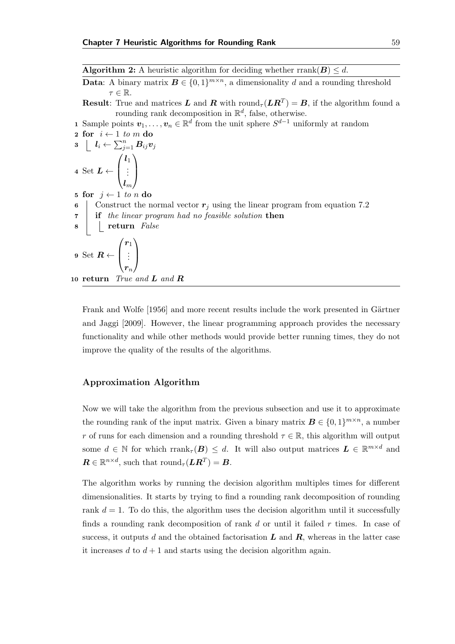**Algorithm 2:** A heuristic algorithm for deciding whether rrank( $B$ )  $\leq d$ .

**Data:** A binary matrix  $B \in \{0,1\}^{m \times n}$ , a dimensionality d and a rounding threshold  $\tau \in \mathbb{R}$ .

**Result**: True and matrices L and R with round<sub> $\tau$ </sub> (LR<sup>T</sup>) = B, if the algorithm found a rounding rank decomposition in  $\mathbb{R}^d$ , false, otherwise.

**1** Sample points  $\mathbf{v}_1, \ldots, \mathbf{v}_n \in \mathbb{R}^d$  from the unit sphere  $S^{d-1}$  uniformly at random

2 for 
$$
i \leftarrow 1
$$
 to m do  
\n3  $\left\lfloor l_i \leftarrow \sum_{j=1}^n B_{ij} v_j \right\rfloor$   
\n4 Set  $L \leftarrow \begin{pmatrix} l_1 \\ \vdots \\ l_m \end{pmatrix}$   
\n5 for  $j \leftarrow 1$  to n do

5 for  $j \leftarrow 1$  to n do 6 Construct the normal vector  $r_i$  using the linear program from equation [7.2](#page-66-1) 7 if the linear program had no feasible solution then 8 | return False 9 Set  $R \leftarrow$  $\sqrt{ }$  $\overline{\phantom{a}}$  $r_1$ . . .  $\bm{r}_n$  $\setminus$  $\Big\}$ 10 return True and **L** and **R** 

<span id="page-68-0"></span>[Frank and Wolfe](#page-82-5) [\[1956\]](#page-82-5) and more recent results include the work presented in Gärtner [and Jaggi](#page-82-6) [\[2009\]](#page-82-6). However, the linear programming approach provides the necessary functionality and while other methods would provide better running times, they do not improve the quality of the results of the algorithms.

#### Approximation Algorithm

Now we will take the algorithm from the previous subsection and use it to approximate the rounding rank of the input matrix. Given a binary matrix  $\mathbf{B} \in \{0, 1\}^{m \times n}$ , a number r of runs for each dimension and a rounding threshold  $\tau \in \mathbb{R}$ , this algorithm will output some  $d \in \mathbb{N}$  for which  $\text{rank}_{\tau}(B) \leq d$ . It will also output matrices  $L \in \mathbb{R}^{m \times d}$  and  $\boldsymbol{R} \in \mathbb{R}^{n \times d}$ , such that  $\mathrm{round}_{\tau}(\boldsymbol{L}\boldsymbol{R}^T) = \boldsymbol{B}$ .

The algorithm works by running the decision algorithm multiples times for different dimensionalities. It starts by trying to find a rounding rank decomposition of rounding rank  $d = 1$ . To do this, the algorithm uses the decision algorithm until it successfully finds a rounding rank decomposition of rank  $d$  or until it failed  $r$  times. In case of success, it outputs d and the obtained factorisation  $\boldsymbol{L}$  and  $\boldsymbol{R}$ , whereas in the latter case it increases  $d$  to  $d+1$  and starts using the decision algorithm again.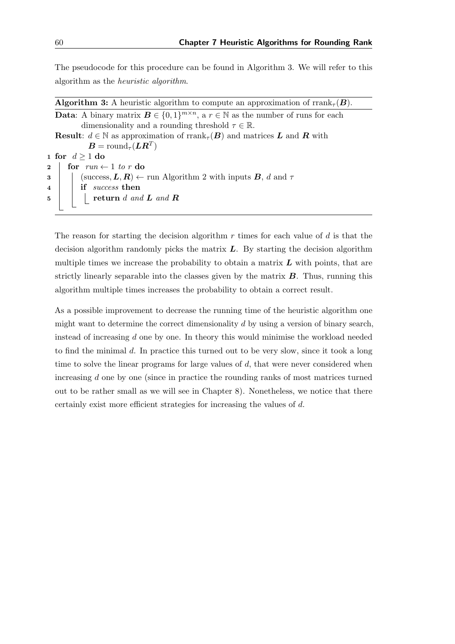The pseudocode for this procedure can be found in Algorithm [3.](#page-69-0) We will refer to this algorithm as the heuristic algorithm.

**Algorithm 3:** A heuristic algorithm to compute an approximation of rrank<sub> $\tau$ </sub> $(B)$ . **Data:** A binary matrix  $B \in \{0,1\}^{m \times n}$ , a  $r \in \mathbb{N}$  as the number of runs for each dimensionality and a rounding threshold  $\tau \in \mathbb{R}$ . **Result:**  $d \in \mathbb{N}$  as approximation of rrank<sub> $\tau$ </sub>( $\boldsymbol{B}$ ) and matrices  $\boldsymbol{L}$  and  $\boldsymbol{R}$  with  $\boldsymbol{B} = \mathrm{round}_\tau(\boldsymbol{L}\boldsymbol{R}^T)$ 1 for  $d \ge 1$  do<br>2 for  $run \leftarrow$ 2 for  $run \leftarrow 1$  to r do<br>3 | (success,  $L, R$ )  $\leftarrow$ (success,  $\mathbf{L}, \mathbf{R} \rangle \leftarrow \text{run Algorithm 2 with inputs } \mathbf{B}, d \text{ and } \tau$  $\mathbf{L}, \mathbf{R} \rangle \leftarrow \text{run Algorithm 2 with inputs } \mathbf{B}, d \text{ and } \tau$  $\mathbf{L}, \mathbf{R} \rangle \leftarrow \text{run Algorithm 2 with inputs } \mathbf{B}, d \text{ and } \tau$ 4 if *success* then  $\mathbf{5}$  | | | return d and **L** and **R** 

<span id="page-69-0"></span>The reason for starting the decision algorithm  $r$  times for each value of  $d$  is that the decision algorithm randomly picks the matrix  $L$ . By starting the decision algorithm multiple times we increase the probability to obtain a matrix  $\boldsymbol{L}$  with points, that are strictly linearly separable into the classes given by the matrix  $\bm{B}$ . Thus, running this algorithm multiple times increases the probability to obtain a correct result.

As a possible improvement to decrease the running time of the heuristic algorithm one might want to determine the correct dimensionality  $d$  by using a version of binary search, instead of increasing d one by one. In theory this would minimise the workload needed to find the minimal d. In practice this turned out to be very slow, since it took a long time to solve the linear programs for large values of  $d$ , that were never considered when increasing d one by one (since in practice the rounding ranks of most matrices turned out to be rather small as we will see in Chapter [8\)](#page-70-0). Nonetheless, we notice that there certainly exist more efficient strategies for increasing the values of d.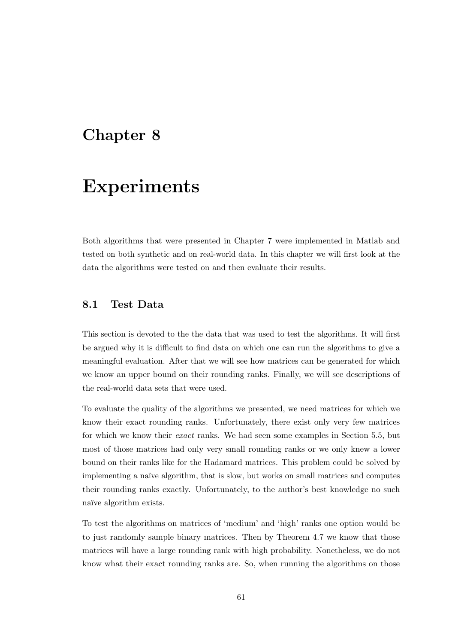### <span id="page-70-0"></span>Chapter 8

## Experiments

Both algorithms that were presented in Chapter [7](#page-62-0) were implemented in Matlab and tested on both synthetic and on real-world data. In this chapter we will first look at the data the algorithms were tested on and then evaluate their results.

#### 8.1 Test Data

This section is devoted to the the data that was used to test the algorithms. It will first be argued why it is difficult to find data on which one can run the algorithms to give a meaningful evaluation. After that we will see how matrices can be generated for which we know an upper bound on their rounding ranks. Finally, we will see descriptions of the real-world data sets that were used.

To evaluate the quality of the algorithms we presented, we need matrices for which we know their exact rounding ranks. Unfortunately, there exist only very few matrices for which we know their exact ranks. We had seen some examples in Section [5.5,](#page-53-1) but most of those matrices had only very small rounding ranks or we only knew a lower bound on their ranks like for the Hadamard matrices. This problem could be solved by implementing a naïve algorithm, that is slow, but works on small matrices and computes their rounding ranks exactly. Unfortunately, to the author's best knowledge no such naïve algorithm exists.

To test the algorithms on matrices of 'medium' and 'high' ranks one option would be to just randomly sample binary matrices. Then by Theorem [4.7](#page-33-0) we know that those matrices will have a large rounding rank with high probability. Nonetheless, we do not know what their exact rounding ranks are. So, when running the algorithms on those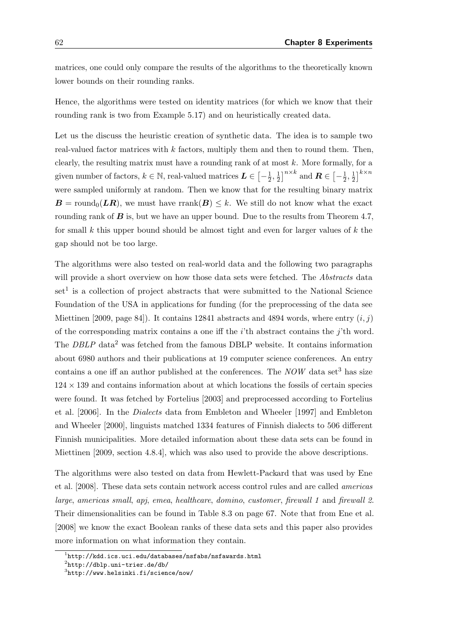matrices, one could only compare the results of the algorithms to the theoretically known lower bounds on their rounding ranks.

Hence, the algorithms were tested on identity matrices (for which we know that their rounding rank is two from Example [5.17\)](#page-55-0) and on heuristically created data.

Let us the discuss the heuristic creation of synthetic data. The idea is to sample two real-valued factor matrices with k factors, multiply them and then to round them. Then, clearly, the resulting matrix must have a rounding rank of at most  $k$ . More formally, for a given number of factors,  $k \in \mathbb{N}$ , real-valued matrices  $\mathbf{L} \in \left[-\frac{1}{2}\right]$  $\frac{1}{2}, \frac{1}{2}$  $\frac{1}{2}$ ]<sup>n×k</sup> and  $\boldsymbol{R} \in \left[-\frac{1}{2}\right]$  $\frac{1}{2}, \frac{1}{2}$  $\frac{1}{2}$ ]<sup>k×n</sup> were sampled uniformly at random. Then we know that for the resulting binary matrix  $\mathbf{B} = \text{round}_0(\mathbf{LR})$ , we must have rrank $(\mathbf{B}) \leq k$ . We still do not know what the exact rounding rank of  $\bf{B}$  is, but we have an upper bound. Due to the results from Theorem [4.7,](#page-33-0) for small k this upper bound should be almost tight and even for larger values of  $k$  the gap should not be too large.

The algorithms were also tested on real-world data and the following two paragraphs will provide a short overview on how those data sets were fetched. The Abstracts data  $set<sup>1</sup>$  $set<sup>1</sup>$  $set<sup>1</sup>$  is a collection of project abstracts that were submitted to the National Science Foundation of the USA in applications for funding (for the preprocessing of the data see [Miettinen](#page-83-4) [\[2009,](#page-83-4) page 84]). It contains 12841 abstracts and 4894 words, where entry  $(i, j)$ of the corresponding matrix contains a one iff the *i*'th abstract contains the *j*'th word. The DBLP data<sup>[2](#page-71-1)</sup> was fetched from the famous DBLP website. It contains information about 6980 authors and their publications at 19 computer science conferences. An entry contains a one iff an author published at the conferences. The  $NOW$  data set<sup>[3](#page-71-2)</sup> has size  $124 \times 139$  and contains information about at which locations the fossils of certain species were found. It was fetched by [Fortelius](#page-82-7) [\[2003\]](#page-82-7) and preprocessed according to [Fortelius](#page-82-8) [et al.](#page-82-8) [\[2006\]](#page-82-8). In the Dialects data from [Embleton and Wheeler](#page-81-6) [\[1997\]](#page-81-6) and [Embleton](#page-81-7) [and Wheeler](#page-81-7) [\[2000\]](#page-81-7), linguists matched 1334 features of Finnish dialects to 506 different Finnish municipalities. More detailed information about these data sets can be found in [Miettinen](#page-83-4) [\[2009,](#page-83-4) section 4.8.4], which was also used to provide the above descriptions.

The algorithms were also tested on data from Hewlett-Packard that was used by [Ene](#page-81-8) [et al.](#page-81-8) [\[2008\]](#page-81-8). These data sets contain network access control rules and are called americas large, americas small, apj, emea, healthcare, domino, customer, firewall 1 and firewall 2. Their dimensionalities can be found in Table [8.3](#page-76-0) on page [67.](#page-76-0) Note that from [Ene et al.](#page-81-8) [\[2008\]](#page-81-8) we know the exact Boolean ranks of these data sets and this paper also provides more information on what information they contain.

<span id="page-71-0"></span> $^{\rm 1}$ <http://kdd.ics.uci.edu/databases/nsfabs/nsfawards.html>

<span id="page-71-1"></span> $^{2}$ <http://dblp.uni-trier.de/db/>

<span id="page-71-2"></span> $^3$ <http://www.helsinki.fi/science/now/>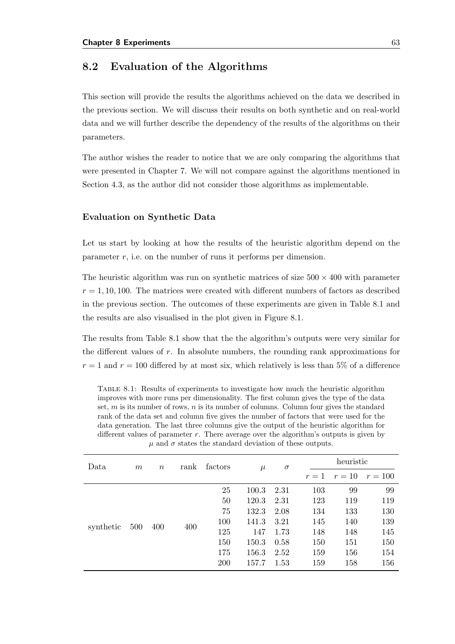#### 8.2 Evaluation of the Algorithms

This section will provide the results the algorithms achieved on the data we described in the previous section. We will discuss their results on both synthetic and on real-world data and we will further describe the dependency of the results of the algorithms on their parameters.

The author wishes the reader to notice that we are only comparing the algorithms that were presented in Chapter [7.](#page-62-0) We will not compare against the algorithms mentioned in Section [4.3,](#page-30-0) as the author did not consider those algorithms as implementable.

#### Evaluation on Synthetic Data

Let us start by looking at how the results of the heuristic algorithm depend on the parameter  $r$ , i.e. on the number of runs it performs per dimension.

The heuristic algorithm was run on synthetic matrices of size  $500 \times 400$  with parameter  $r = 1, 10, 100$ . The matrices were created with different numbers of factors as described in the previous section. The outcomes of these experiments are given in Table [8.1](#page-72-0) and the results are also visualised in the plot given in Figure [8.1.](#page-73-0)

The results from Table [8.1](#page-72-0) show that the the algorithm's outputs were very similar for the different values of r. In absolute numbers, the rounding rank approximations for  $r = 1$  and  $r = 100$  differed by at most six, which relatively is less than 5% of a difference

<span id="page-72-0"></span>Table 8.1: Results of experiments to investigate how much the heuristic algorithm improves with more runs per dimensionality. The first column gives the type of the data set,  $m$  is its number of rows,  $n$  is its number of columns. Column four gives the standard rank of the data set and column five gives the number of factors that were used for the data generation. The last three columns give the output of the heuristic algorithm for different values of parameter  $r$ . There average over the algorithm's outputs is given by  $\mu$  and  $\sigma$  states the standard deviation of these outputs.

| Data      | $m\,$ | $\boldsymbol{n}$ | rank | factors | $\mu$ | $\sigma$ |       | heuristic |           |  |
|-----------|-------|------------------|------|---------|-------|----------|-------|-----------|-----------|--|
|           |       |                  |      |         |       |          | $r=1$ | $r=10$    | $r = 100$ |  |
|           |       |                  |      | 25      | 100.3 | 2.31     | 103   | 99        | 99        |  |
| synthetic | 500   | 400              | 400  | 50      | 120.3 | 2.31     | 123   | 119       | 119       |  |
|           |       |                  |      | 75      | 132.3 | 2.08     | 134   | 133       | 130       |  |
|           |       |                  |      | 100     | 141.3 | 3.21     | 145   | 140       | 139       |  |
|           |       |                  |      | 125     | 147   | 1.73     | 148   | 148       | 145       |  |
|           |       |                  |      | 150     | 150.3 | 0.58     | 150   | 151       | 150       |  |
|           |       |                  |      | 175     | 156.3 | 2.52     | 159   | 156       | 154       |  |
|           |       |                  |      | 200     | 157.7 | 1.53     | 159   | 158       | 156       |  |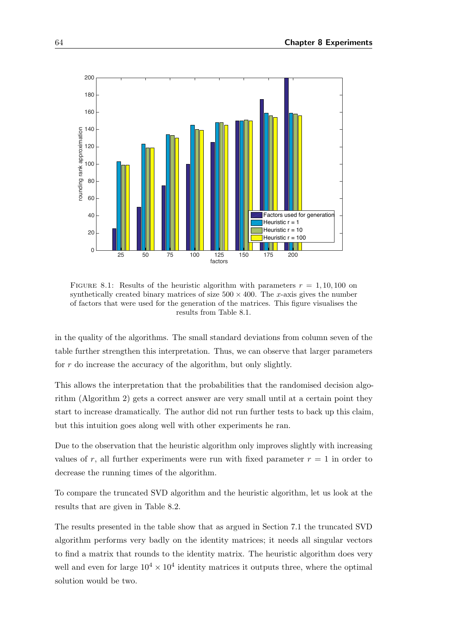<span id="page-73-0"></span>

FIGURE 8.1: Results of the heuristic algorithm with parameters  $r = 1, 10, 100$  on synthetically created binary matrices of size  $500 \times 400$ . The x-axis gives the number of factors that were used for the generation of the matrices. This figure visualises the results from Table [8.1.](#page-72-0)

in the quality of the algorithms. The small standard deviations from column seven of the table further strengthen this interpretation. Thus, we can observe that larger parameters for r do increase the accuracy of the algorithm, but only slightly.

This allows the interpretation that the probabilities that the randomised decision algorithm (Algorithm [2\)](#page-68-0) gets a correct answer are very small until at a certain point they start to increase dramatically. The author did not run further tests to back up this claim, but this intuition goes along well with other experiments he ran.

Due to the observation that the heuristic algorithm only improves slightly with increasing values of r, all further experiments were run with fixed parameter  $r = 1$  in order to decrease the running times of the algorithm.

To compare the truncated SVD algorithm and the heuristic algorithm, let us look at the results that are given in Table [8.2.](#page-74-0)

The results presented in the table show that as argued in Section [7.1](#page-62-1) the truncated SVD algorithm performs very badly on the identity matrices; it needs all singular vectors to find a matrix that rounds to the identity matrix. The heuristic algorithm does very well and even for large  $10^4 \times 10^4$  identity matrices it outputs three, where the optimal solution would be two.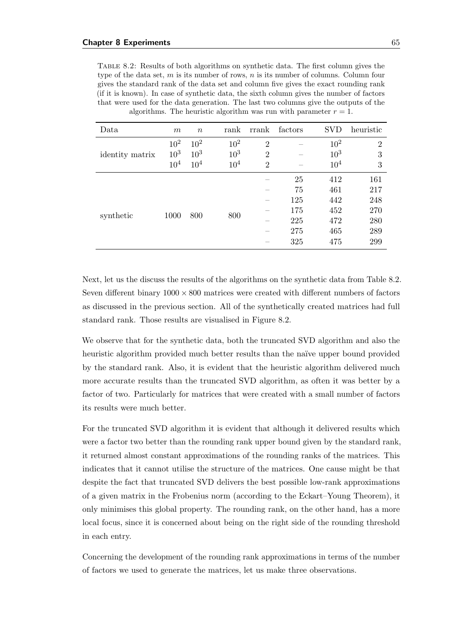<span id="page-74-0"></span>Table 8.2: Results of both algorithms on synthetic data. The first column gives the type of the data set,  $m$  is its number of rows,  $n$  is its number of columns. Column four gives the standard rank of the data set and column five gives the exact rounding rank (if it is known). In case of synthetic data, the sixth column gives the number of factors that were used for the data generation. The last two columns give the outputs of the algorithms. The heuristic algorithm was run with parameter  $r = 1$ .

| Data            | m               | $\boldsymbol{n}$ | rank     | rrank          | factors | <b>SVD</b> | heuristic      |
|-----------------|-----------------|------------------|----------|----------------|---------|------------|----------------|
|                 | $10^{2}$        | $10^{2}$         | $10^{2}$ | $\overline{2}$ |         | $10^{2}$   | $\overline{2}$ |
| identity matrix | $10^{3}$        | $10^{3}$         | $10^{3}$ | $\overline{2}$ |         | $10^{3}$   | 3              |
|                 | 10 <sup>4</sup> | $10^{4}$         | $10^{4}$ | $\overline{2}$ |         | $10^{4}$   | 3              |
|                 |                 |                  |          |                | 25      | 412        | 161            |
|                 |                 | 800              |          |                | 75      | 461        | 217            |
|                 |                 |                  |          |                | 125     | 442        | 248            |
| synthetic       | 1000            |                  | 800      |                | 175     | 452        | 270            |
|                 |                 |                  |          |                | 225     | 472        | 280            |
|                 |                 |                  |          |                | 275     | 465        | 289            |
|                 |                 |                  |          |                | 325     | 475        | 299            |

Next, let us the discuss the results of the algorithms on the synthetic data from Table [8.2.](#page-74-0) Seven different binary  $1000 \times 800$  matrices were created with different numbers of factors as discussed in the previous section. All of the synthetically created matrices had full standard rank. Those results are visualised in Figure [8.2.](#page-75-0)

We observe that for the synthetic data, both the truncated SVD algorithm and also the heuristic algorithm provided much better results than the naïve upper bound provided by the standard rank. Also, it is evident that the heuristic algorithm delivered much more accurate results than the truncated SVD algorithm, as often it was better by a factor of two. Particularly for matrices that were created with a small number of factors its results were much better.

For the truncated SVD algorithm it is evident that although it delivered results which were a factor two better than the rounding rank upper bound given by the standard rank, it returned almost constant approximations of the rounding ranks of the matrices. This indicates that it cannot utilise the structure of the matrices. One cause might be that despite the fact that truncated SVD delivers the best possible low-rank approximations of a given matrix in the Frobenius norm (according to the Eckart–Young Theorem), it only minimises this global property. The rounding rank, on the other hand, has a more local focus, since it is concerned about being on the right side of the rounding threshold in each entry.

Concerning the development of the rounding rank approximations in terms of the number of factors we used to generate the matrices, let us make three observations.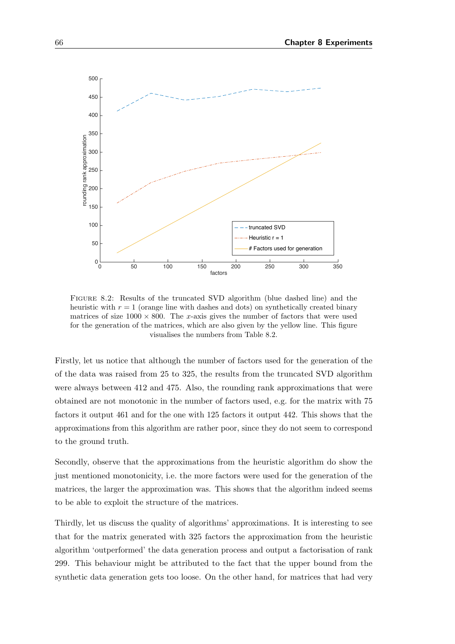<span id="page-75-0"></span>

Figure 8.2: Results of the truncated SVD algorithm (blue dashed line) and the heuristic with  $r = 1$  (orange line with dashes and dots) on synthetically created binary matrices of size  $1000 \times 800$ . The x-axis gives the number of factors that were used for the generation of the matrices, which are also given by the yellow line. This figure visualises the numbers from Table [8.2.](#page-74-0)

Firstly, let us notice that although the number of factors used for the generation of the of the data was raised from 25 to 325, the results from the truncated SVD algorithm were always between 412 and 475. Also, the rounding rank approximations that were obtained are not monotonic in the number of factors used, e.g. for the matrix with 75 factors it output 461 and for the one with 125 factors it output 442. This shows that the approximations from this algorithm are rather poor, since they do not seem to correspond to the ground truth.

Secondly, observe that the approximations from the heuristic algorithm do show the just mentioned monotonicity, i.e. the more factors were used for the generation of the matrices, the larger the approximation was. This shows that the algorithm indeed seems to be able to exploit the structure of the matrices.

Thirdly, let us discuss the quality of algorithms' approximations. It is interesting to see that for the matrix generated with 325 factors the approximation from the heuristic algorithm 'outperformed' the data generation process and output a factorisation of rank 299. This behaviour might be attributed to the fact that the upper bound from the synthetic data generation gets too loose. On the other hand, for matrices that had very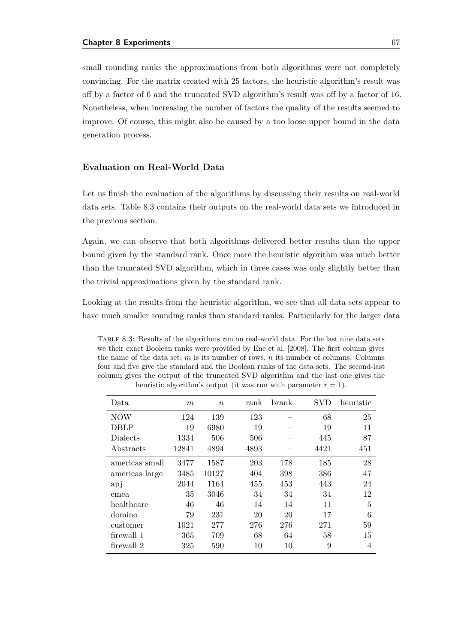small rounding ranks the approximations from both algorithms were not completely convincing. For the matrix created with 25 factors, the heuristic algorithm's result was off by a factor of 6 and the truncated SVD algorithm's result was off by a factor of 16. Nonetheless, when increasing the number of factors the quality of the results seemed to improve. Of course, this might also be caused by a too loose upper bound in the data generation process.

#### Evaluation on Real-World Data

Let us finish the evaluation of the algorithms by discussing their results on real-world data sets. Table [8.3](#page-76-0) contains their outputs on the real-world data sets we introduced in the previous section.

Again, we can observe that both algorithms delivered better results than the upper bound given by the standard rank. Once more the heuristic algorithm was much better than the truncated SVD algorithm, which in three cases was only slightly better than the trivial approximations given by the standard rank.

Looking at the results from the heuristic algorithm, we see that all data sets appear to have much smaller rounding ranks than standard ranks. Particularly for the larger data

<span id="page-76-0"></span>Table 8.3: Results of the algorithms run on real-world data. For the last nine data sets we their exact Boolean ranks were provided by [Ene et al.](#page-81-0) [\[2008\]](#page-81-0). The first column gives the name of the data set,  $m$  is its number of rows,  $n$  its number of columns. Columns four and five give the standard and the Boolean ranks of the data sets. The second-last column gives the output of the truncated SVD algorithm and the last one gives the heuristic algorithm's output (it was run with parameter  $r = 1$ ).

| Data.          | m     | $\boldsymbol{n}$ | rank | brank | <b>SVD</b> | heuristic |
|----------------|-------|------------------|------|-------|------------|-----------|
| <b>NOW</b>     | 124   | 139              | 123  |       | 68         | 25        |
| DBLP           | 19    | 6980             | 19   |       | 19         | 11        |
| Dialects       | 1334  | 506              | 506  |       | 445        | 87        |
| Abstracts      | 12841 | 4894             | 4893 |       | 4421       | 451       |
| americas small | 3477  | 1587             | 203  | 178   | 185        | 28        |
| americas large | 3485  | 10127            | 404  | 398   | 386        | 47        |
| apj            | 2044  | 1164             | 455  | 453   | 443        | 24        |
| emea           | 35    | 3046             | 34   | 34    | 34         | 12        |
| healthcare     | 46    | 46               | 14   | 14    | 11         | 5         |
| domino         | 79    | 231              | 20   | 20    | 17         | 6         |
| customer       | 1021  | 277              | 276  | 276   | 271        | 59        |
| firewall 1     | 365   | 709              | 68   | 64    | 58         | 15        |
| firewall 2     | 325   | 590              | 10   | 10    | 9          | 4         |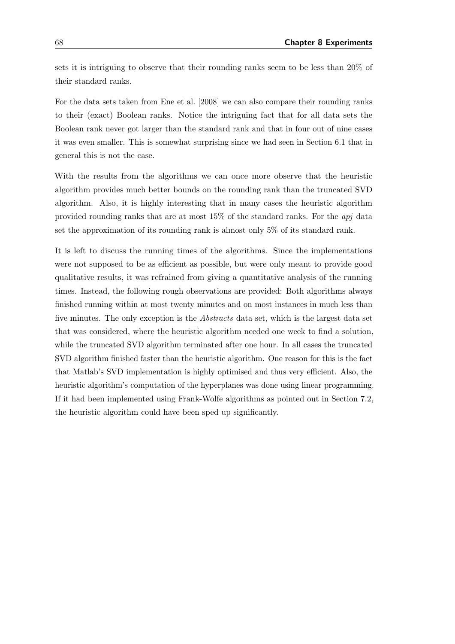sets it is intriguing to observe that their rounding ranks seem to be less than 20% of their standard ranks.

For the data sets taken from [Ene et al.](#page-81-0) [\[2008\]](#page-81-0) we can also compare their rounding ranks to their (exact) Boolean ranks. Notice the intriguing fact that for all data sets the Boolean rank never got larger than the standard rank and that in four out of nine cases it was even smaller. This is somewhat surprising since we had seen in Section [6.1](#page-58-0) that in general this is not the case.

With the results from the algorithms we can once more observe that the heuristic algorithm provides much better bounds on the rounding rank than the truncated SVD algorithm. Also, it is highly interesting that in many cases the heuristic algorithm provided rounding ranks that are at most 15% of the standard ranks. For the apj data set the approximation of its rounding rank is almost only 5% of its standard rank.

It is left to discuss the running times of the algorithms. Since the implementations were not supposed to be as efficient as possible, but were only meant to provide good qualitative results, it was refrained from giving a quantitative analysis of the running times. Instead, the following rough observations are provided: Both algorithms always finished running within at most twenty minutes and on most instances in much less than five minutes. The only exception is the Abstracts data set, which is the largest data set that was considered, where the heuristic algorithm needed one week to find a solution, while the truncated SVD algorithm terminated after one hour. In all cases the truncated SVD algorithm finished faster than the heuristic algorithm. One reason for this is the fact that Matlab's SVD implementation is highly optimised and thus very efficient. Also, the heuristic algorithm's computation of the hyperplanes was done using linear programming. If it had been implemented using Frank-Wolfe algorithms as pointed out in Section [7.2,](#page-63-0) the heuristic algorithm could have been sped up significantly.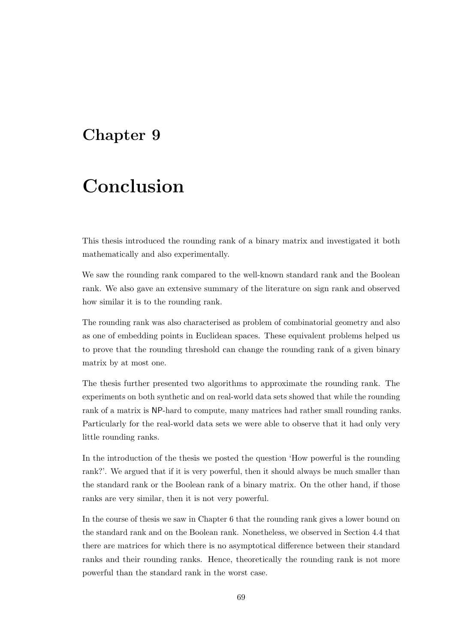### Chapter 9

# Conclusion

This thesis introduced the rounding rank of a binary matrix and investigated it both mathematically and also experimentally.

We saw the rounding rank compared to the well-known standard rank and the Boolean rank. We also gave an extensive summary of the literature on sign rank and observed how similar it is to the rounding rank.

The rounding rank was also characterised as problem of combinatorial geometry and also as one of embedding points in Euclidean spaces. These equivalent problems helped us to prove that the rounding threshold can change the rounding rank of a given binary matrix by at most one.

The thesis further presented two algorithms to approximate the rounding rank. The experiments on both synthetic and on real-world data sets showed that while the rounding rank of a matrix is NP-hard to compute, many matrices had rather small rounding ranks. Particularly for the real-world data sets we were able to observe that it had only very little rounding ranks.

In the introduction of the thesis we posted the question 'How powerful is the rounding rank?'. We argued that if it is very powerful, then it should always be much smaller than the standard rank or the Boolean rank of a binary matrix. On the other hand, if those ranks are very similar, then it is not very powerful.

In the course of thesis we saw in Chapter [6](#page-58-1) that the rounding rank gives a lower bound on the standard rank and on the Boolean rank. Nonetheless, we observed in Section [4.4](#page-31-0) that there are matrices for which there is no asymptotical difference between their standard ranks and their rounding ranks. Hence, theoretically the rounding rank is not more powerful than the standard rank in the worst case.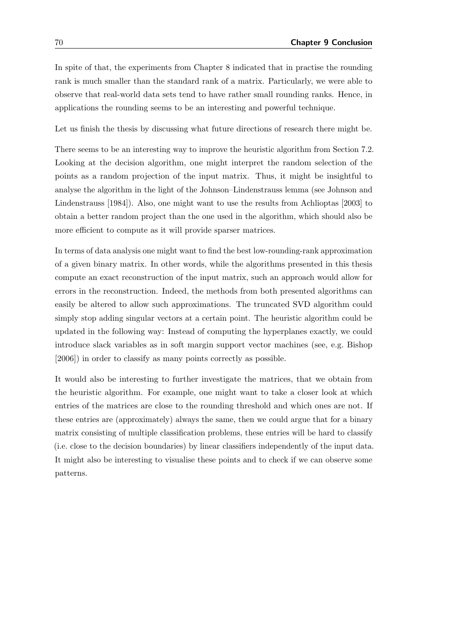In spite of that, the experiments from Chapter [8](#page-70-0) indicated that in practise the rounding rank is much smaller than the standard rank of a matrix. Particularly, we were able to observe that real-world data sets tend to have rather small rounding ranks. Hence, in applications the rounding seems to be an interesting and powerful technique.

Let us finish the thesis by discussing what future directions of research there might be.

There seems to be an interesting way to improve the heuristic algorithm from Section [7.2.](#page-63-0) Looking at the decision algorithm, one might interpret the random selection of the points as a random projection of the input matrix. Thus, it might be insightful to analyse the algorithm in the light of the Johnson–Lindenstrauss lemma (see [Johnson and](#page-82-0) [Lindenstrauss](#page-82-0) [\[1984\]](#page-82-0)). Also, one might want to use the results from [Achlioptas](#page-80-0) [\[2003\]](#page-80-0) to obtain a better random project than the one used in the algorithm, which should also be more efficient to compute as it will provide sparser matrices.

In terms of data analysis one might want to find the best low-rounding-rank approximation of a given binary matrix. In other words, while the algorithms presented in this thesis compute an exact reconstruction of the input matrix, such an approach would allow for errors in the reconstruction. Indeed, the methods from both presented algorithms can easily be altered to allow such approximations. The truncated SVD algorithm could simply stop adding singular vectors at a certain point. The heuristic algorithm could be updated in the following way: Instead of computing the hyperplanes exactly, we could introduce slack variables as in soft margin support vector machines (see, e.g. [Bishop](#page-81-1) [\[2006\]](#page-81-1)) in order to classify as many points correctly as possible.

It would also be interesting to further investigate the matrices, that we obtain from the heuristic algorithm. For example, one might want to take a closer look at which entries of the matrices are close to the rounding threshold and which ones are not. If these entries are (approximately) always the same, then we could argue that for a binary matrix consisting of multiple classification problems, these entries will be hard to classify (i.e. close to the decision boundaries) by linear classifiers independently of the input data. It might also be interesting to visualise these points and to check if we can observe some patterns.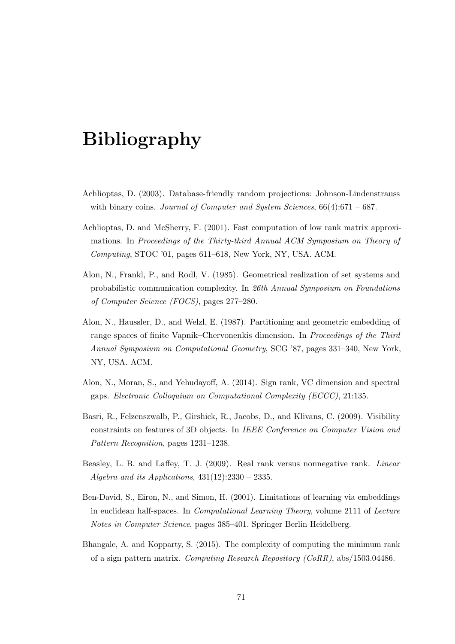## Bibliography

- <span id="page-80-0"></span>Achlioptas, D. (2003). Database-friendly random projections: Johnson-Lindenstrauss with binary coins. Journal of Computer and System Sciences,  $66(4):671-687$ .
- Achlioptas, D. and McSherry, F. (2001). Fast computation of low rank matrix approximations. In Proceedings of the Thirty-third Annual ACM Symposium on Theory of Computing, STOC '01, pages 611–618, New York, NY, USA. ACM.
- Alon, N., Frankl, P., and Rodl, V. (1985). Geometrical realization of set systems and probabilistic communication complexity. In 26th Annual Symposium on Foundations of Computer Science (FOCS), pages 277–280.
- Alon, N., Haussler, D., and Welzl, E. (1987). Partitioning and geometric embedding of range spaces of finite Vapnik–Chervonenkis dimension. In *Proceedings of the Third* Annual Symposium on Computational Geometry, SCG '87, pages 331–340, New York, NY, USA. ACM.
- Alon, N., Moran, S., and Yehudayoff, A. (2014). Sign rank, VC dimension and spectral gaps. Electronic Colloquium on Computational Complexity (ECCC), 21:135.
- Basri, R., Felzenszwalb, P., Girshick, R., Jacobs, D., and Klivans, C. (2009). Visibility constraints on features of 3D objects. In IEEE Conference on Computer Vision and Pattern Recognition, pages 1231–1238.
- Beasley, L. B. and Laffey, T. J. (2009). Real rank versus nonnegative rank. Linear Algebra and its Applications,  $431(12):2330 - 2335$ .
- Ben-David, S., Eiron, N., and Simon, H. (2001). Limitations of learning via embeddings in euclidean half-spaces. In Computational Learning Theory, volume 2111 of Lecture Notes in Computer Science, pages 385–401. Springer Berlin Heidelberg.
- Bhangale, A. and Kopparty, S. (2015). The complexity of computing the minimum rank of a sign pattern matrix. Computing Research Repository (CoRR), abs/1503.04486.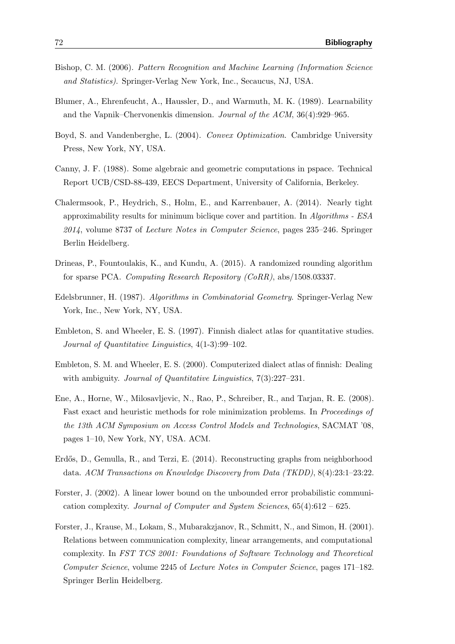- <span id="page-81-1"></span>Bishop, C. M. (2006). Pattern Recognition and Machine Learning (Information Science and Statistics). Springer-Verlag New York, Inc., Secaucus, NJ, USA.
- Blumer, A., Ehrenfeucht, A., Haussler, D., and Warmuth, M. K. (1989). Learnability and the Vapnik–Chervonenkis dimension. Journal of the ACM, 36(4):929–965.
- <span id="page-81-2"></span>Boyd, S. and Vandenberghe, L. (2004). Convex Optimization. Cambridge University Press, New York, NY, USA.
- Canny, J. F. (1988). Some algebraic and geometric computations in pspace. Technical Report UCB/CSD-88-439, EECS Department, University of California, Berkeley.
- Chalermsook, P., Heydrich, S., Holm, E., and Karrenbauer, A. (2014). Nearly tight approximability results for minimum biclique cover and partition. In Algorithms - ESA 2014, volume 8737 of Lecture Notes in Computer Science, pages 235–246. Springer Berlin Heidelberg.
- Drineas, P., Fountoulakis, K., and Kundu, A. (2015). A randomized rounding algorithm for sparse PCA. Computing Research Repository (CoRR), abs/1508.03337.
- Edelsbrunner, H. (1987). Algorithms in Combinatorial Geometry. Springer-Verlag New York, Inc., New York, NY, USA.
- Embleton, S. and Wheeler, E. S. (1997). Finnish dialect atlas for quantitative studies. Journal of Quantitative Linguistics, 4(1-3):99–102.
- Embleton, S. M. and Wheeler, E. S. (2000). Computerized dialect atlas of finnish: Dealing with ambiguity. *Journal of Quantitative Linguistics*,  $7(3):227-231$ .
- <span id="page-81-0"></span>Ene, A., Horne, W., Milosavljevic, N., Rao, P., Schreiber, R., and Tarjan, R. E. (2008). Fast exact and heuristic methods for role minimization problems. In Proceedings of the 13th ACM Symposium on Access Control Models and Technologies, SACMAT '08, pages 1–10, New York, NY, USA. ACM.
- Erdős, D., Gemulla, R., and Terzi, E. (2014). Reconstructing graphs from neighborhood data. ACM Transactions on Knowledge Discovery from Data (TKDD), 8(4):23:1–23:22.
- Forster, J. (2002). A linear lower bound on the unbounded error probabilistic communication complexity. Journal of Computer and System Sciences,  $65(4):612-625$ .
- Forster, J., Krause, M., Lokam, S., Mubarakzjanov, R., Schmitt, N., and Simon, H. (2001). Relations between communication complexity, linear arrangements, and computational complexity. In FST TCS 2001: Foundations of Software Technology and Theoretical Computer Science, volume 2245 of Lecture Notes in Computer Science, pages 171–182. Springer Berlin Heidelberg.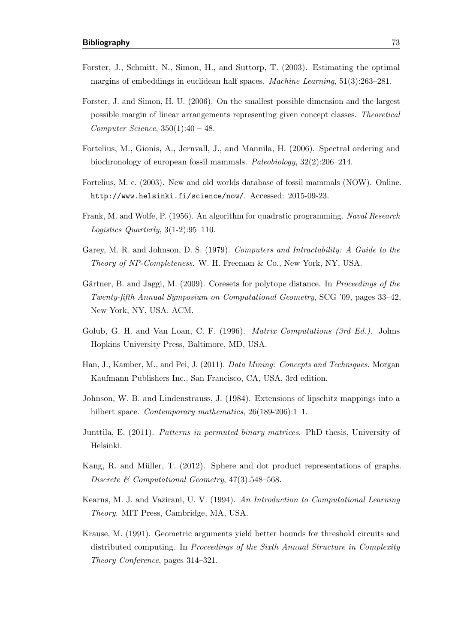- Forster, J., Schmitt, N., Simon, H., and Suttorp, T. (2003). Estimating the optimal margins of embeddings in euclidean half spaces. Machine Learning, 51(3):263–281.
- Forster, J. and Simon, H. U. (2006). On the smallest possible dimension and the largest possible margin of linear arrangements representing given concept classes. Theoretical Computer Science,  $350(1):40 - 48$ .
- Fortelius, M., Gionis, A., Jernvall, J., and Mannila, H. (2006). Spectral ordering and biochronology of european fossil mammals. Paleobiology, 32(2):206–214.
- Fortelius, M. c. (2003). New and old worlds database of fossil mammals (NOW). Online. <http://www.helsinki.fi/science/now/>. Accessed: 2015-09-23.
- Frank, M. and Wolfe, P. (1956). An algorithm for quadratic programming. Naval Research Logistics Quarterly, 3(1-2):95–110.
- Garey, M. R. and Johnson, D. S. (1979). Computers and Intractability: A Guide to the Theory of NP-Completeness. W. H. Freeman & Co., New York, NY, USA.
- Gärtner, B. and Jaggi, M. (2009). Coresets for polytope distance. In Proceedings of the Twenty-fifth Annual Symposium on Computational Geometry, SCG '09, pages 33–42, New York, NY, USA. ACM.
- <span id="page-82-1"></span>Golub, G. H. and Van Loan, C. F. (1996). *Matrix Computations (3rd Ed.*). Johns Hopkins University Press, Baltimore, MD, USA.
- Han, J., Kamber, M., and Pei, J. (2011). Data Mining: Concepts and Techniques. Morgan Kaufmann Publishers Inc., San Francisco, CA, USA, 3rd edition.
- <span id="page-82-0"></span>Johnson, W. B. and Lindenstrauss, J. (1984). Extensions of lipschitz mappings into a hilbert space. Contemporary mathematics, 26(189-206):1-1.
- Junttila, E. (2011). Patterns in permuted binary matrices. PhD thesis, University of Helsinki.
- Kang, R. and Müller, T. (2012). Sphere and dot product representations of graphs. Discrete & Computational Geometry, 47(3):548-568.
- Kearns, M. J. and Vazirani, U. V. (1994). An Introduction to Computational Learning Theory. MIT Press, Cambridge, MA, USA.
- Krause, M. (1991). Geometric arguments yield better bounds for threshold circuits and distributed computing. In Proceedings of the Sixth Annual Structure in Complexity Theory Conference, pages 314–321.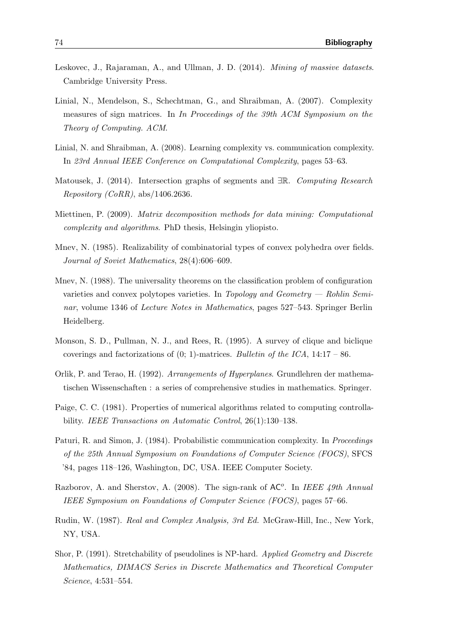- Leskovec, J., Rajaraman, A., and Ullman, J. D. (2014). *Mining of massive datasets.* Cambridge University Press.
- Linial, N., Mendelson, S., Schechtman, G., and Shraibman, A. (2007). Complexity measures of sign matrices. In In Proceedings of the 39th ACM Symposium on the Theory of Computing. ACM.
- Linial, N. and Shraibman, A. (2008). Learning complexity vs. communication complexity. In 23rd Annual IEEE Conference on Computational Complexity, pages 53–63.
- Matousek, J. (2014). Intersection graphs of segments and ∃R. Computing Research Repository (CoRR), abs/1406.2636.
- Miettinen, P. (2009). Matrix decomposition methods for data mining: Computational complexity and algorithms. PhD thesis, Helsingin yliopisto.
- Mnev, N. (1985). Realizability of combinatorial types of convex polyhedra over fields. Journal of Soviet Mathematics, 28(4):606–609.
- Mnev, N. (1988). The universality theorems on the classification problem of configuration varieties and convex polytopes varieties. In Topology and Geometry — Rohlin Seminar, volume 1346 of Lecture Notes in Mathematics, pages 527–543. Springer Berlin Heidelberg.
- Monson, S. D., Pullman, N. J., and Rees, R. (1995). A survey of clique and biclique coverings and factorizations of  $(0; 1)$ -matrices. Bulletin of the ICA, 14:17 – 86.
- Orlik, P. and Terao, H. (1992). Arrangements of Hyperplanes. Grundlehren der mathematischen Wissenschaften : a series of comprehensive studies in mathematics. Springer.
- Paige, C. C. (1981). Properties of numerical algorithms related to computing controllability. IEEE Transactions on Automatic Control, 26(1):130–138.
- Paturi, R. and Simon, J. (1984). Probabilistic communication complexity. In *Proceedings* of the 25th Annual Symposium on Foundations of Computer Science (FOCS), SFCS '84, pages 118–126, Washington, DC, USA. IEEE Computer Society.
- Razborov, A. and Sherstov, A. (2008). The sign-rank of  $AC<sup>o</sup>$ . In IEEE 49th Annual IEEE Symposium on Foundations of Computer Science (FOCS), pages 57–66.
- Rudin, W. (1987). Real and Complex Analysis, 3rd Ed. McGraw-Hill, Inc., New York, NY, USA.
- Shor, P. (1991). Stretchability of pseudolines is NP-hard. Applied Geometry and Discrete Mathematics, DIMACS Series in Discrete Mathematics and Theoretical Computer Science, 4:531–554.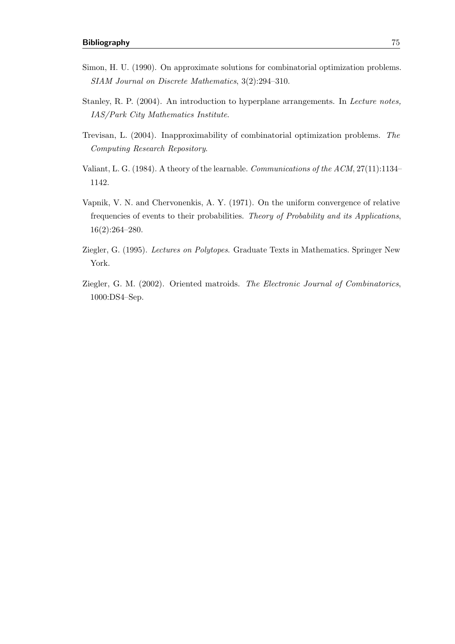- Simon, H. U. (1990). On approximate solutions for combinatorial optimization problems. SIAM Journal on Discrete Mathematics, 3(2):294–310.
- Stanley, R. P. (2004). An introduction to hyperplane arrangements. In Lecture notes, IAS/Park City Mathematics Institute.
- Trevisan, L. (2004). Inapproximability of combinatorial optimization problems. The Computing Research Repository.
- Valiant, L. G. (1984). A theory of the learnable. Communications of the ACM, 27(11):1134– 1142.
- Vapnik, V. N. and Chervonenkis, A. Y. (1971). On the uniform convergence of relative frequencies of events to their probabilities. Theory of Probability and its Applications, 16(2):264–280.
- Ziegler, G. (1995). Lectures on Polytopes. Graduate Texts in Mathematics. Springer New York.
- Ziegler, G. M. (2002). Oriented matroids. The Electronic Journal of Combinatorics, 1000:DS4–Sep.